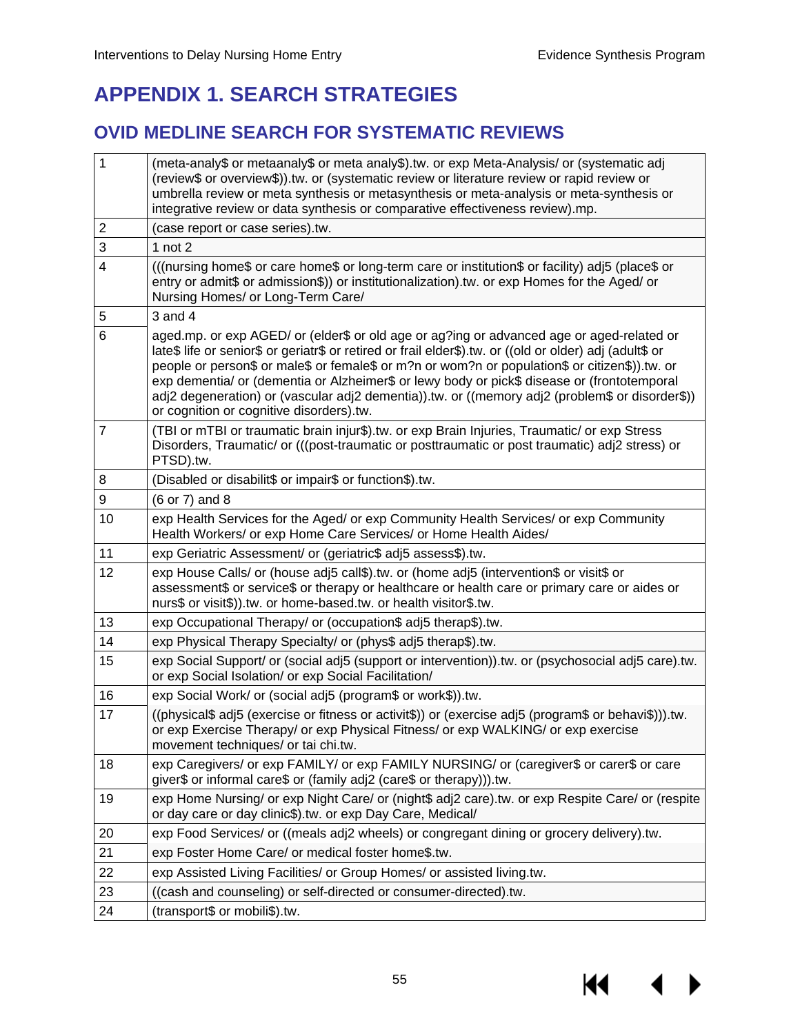# **APPENDIX 1. SEARCH STRATEGIES**

## **OVID MEDLINE SEARCH FOR SYSTEMATIC REVIEWS**

| $\mathbf{1}$   | (meta-analy\$ or metaanaly\$ or meta analy\$).tw. or exp Meta-Analysis/ or (systematic adj<br>(review\$ or overview\$)).tw. or (systematic review or literature review or rapid review or<br>umbrella review or meta synthesis or metasynthesis or meta-analysis or meta-synthesis or<br>integrative review or data synthesis or comparative effectiveness review).mp.                                                                                                                                                                                |  |
|----------------|-------------------------------------------------------------------------------------------------------------------------------------------------------------------------------------------------------------------------------------------------------------------------------------------------------------------------------------------------------------------------------------------------------------------------------------------------------------------------------------------------------------------------------------------------------|--|
| $\overline{2}$ | (case report or case series).tw.                                                                                                                                                                                                                                                                                                                                                                                                                                                                                                                      |  |
| 3              | 1 not $2$                                                                                                                                                                                                                                                                                                                                                                                                                                                                                                                                             |  |
| 4              | (((nursing home\$ or care home\$ or long-term care or institution\$ or facility) adj5 (place\$ or<br>entry or admit\$ or admission\$)) or institutionalization).tw. or exp Homes for the Aged/ or<br>Nursing Homes/ or Long-Term Care/                                                                                                                                                                                                                                                                                                                |  |
| 5              | $3$ and $4$                                                                                                                                                                                                                                                                                                                                                                                                                                                                                                                                           |  |
| 6              | aged.mp. or exp AGED/ or (elder\$ or old age or ag?ing or advanced age or aged-related or<br>late\$ life or senior\$ or geriatr\$ or retired or frail elder\$).tw. or ((old or older) adj (adult\$ or<br>people or person\$ or male\$ or female\$ or m?n or wom?n or population\$ or citizen\$)).tw. or<br>exp dementia/ or (dementia or Alzheimer\$ or lewy body or pick\$ disease or (frontotemporal<br>adj2 degeneration) or (vascular adj2 dementia)).tw. or ((memory adj2 (problem\$ or disorder\$))<br>or cognition or cognitive disorders).tw. |  |
| $\overline{7}$ | (TBI or mTBI or traumatic brain injur\$).tw. or exp Brain Injuries, Traumatic/ or exp Stress<br>Disorders, Traumatic/ or (((post-traumatic or posttraumatic or post traumatic) adj2 stress) or<br>PTSD).tw.                                                                                                                                                                                                                                                                                                                                           |  |
| 8              | (Disabled or disabilit\$ or impair\$ or function\$).tw.                                                                                                                                                                                                                                                                                                                                                                                                                                                                                               |  |
| 9              | (6 or 7) and 8                                                                                                                                                                                                                                                                                                                                                                                                                                                                                                                                        |  |
| 10             | exp Health Services for the Aged/ or exp Community Health Services/ or exp Community<br>Health Workers/ or exp Home Care Services/ or Home Health Aides/                                                                                                                                                                                                                                                                                                                                                                                              |  |
| 11             | exp Geriatric Assessment/ or (geriatric\$ adj5 assess\$).tw.                                                                                                                                                                                                                                                                                                                                                                                                                                                                                          |  |
| 12             | exp House Calls/ or (house adj5 call\$).tw. or (home adj5 (intervention\$ or visit\$ or<br>assessment\$ or service\$ or therapy or healthcare or health care or primary care or aides or<br>nurs\$ or visit\$)).tw. or home-based.tw. or health visitor\$.tw.                                                                                                                                                                                                                                                                                         |  |
| 13             | exp Occupational Therapy/ or (occupation\$ adj5 therap\$).tw.                                                                                                                                                                                                                                                                                                                                                                                                                                                                                         |  |
| 14             | exp Physical Therapy Specialty/ or (phys\$ adj5 therap\$).tw.                                                                                                                                                                                                                                                                                                                                                                                                                                                                                         |  |
| 15             | exp Social Support/ or (social adj5 (support or intervention)).tw. or (psychosocial adj5 care).tw.<br>or exp Social Isolation/ or exp Social Facilitation/                                                                                                                                                                                                                                                                                                                                                                                            |  |
| 16             | exp Social Work/ or (social adj5 (program\$ or work\$)).tw.                                                                                                                                                                                                                                                                                                                                                                                                                                                                                           |  |
| 17             | ((physical\$ adj5 (exercise or fitness or activit\$)) or (exercise adj5 (program\$ or behavi\$))).tw.<br>or exp Exercise Therapy/ or exp Physical Fitness/ or exp WALKING/ or exp exercise<br>movement techniques/ or tai chi.tw.                                                                                                                                                                                                                                                                                                                     |  |
| 18             | exp Caregivers/ or exp FAMILY/ or exp FAMILY NURSING/ or (caregiver\$ or carer\$ or care<br>giver\$ or informal care\$ or (family adj2 (care\$ or therapy))).tw.                                                                                                                                                                                                                                                                                                                                                                                      |  |
| 19             | exp Home Nursing/ or exp Night Care/ or (night\$ adj2 care).tw. or exp Respite Care/ or (respite<br>or day care or day clinic\$).tw. or exp Day Care, Medical/                                                                                                                                                                                                                                                                                                                                                                                        |  |
| 20             | exp Food Services/ or ((meals adj2 wheels) or congregant dining or grocery delivery).tw.                                                                                                                                                                                                                                                                                                                                                                                                                                                              |  |
| 21             | exp Foster Home Care/ or medical foster home\$.tw.                                                                                                                                                                                                                                                                                                                                                                                                                                                                                                    |  |
| 22             | exp Assisted Living Facilities/ or Group Homes/ or assisted living.tw.                                                                                                                                                                                                                                                                                                                                                                                                                                                                                |  |
| 23             | ((cash and counseling) or self-directed or consumer-directed).tw.                                                                                                                                                                                                                                                                                                                                                                                                                                                                                     |  |
| 24             | (transport\$ or mobili\$).tw.                                                                                                                                                                                                                                                                                                                                                                                                                                                                                                                         |  |

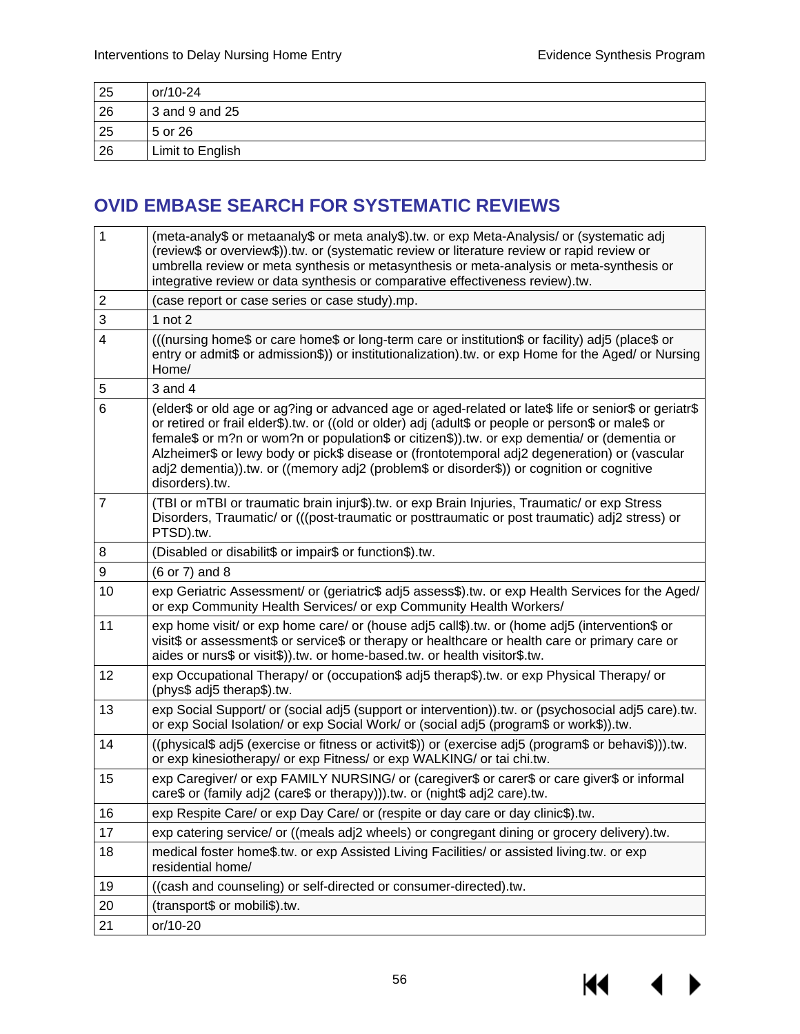| 25 | or/10-24         |
|----|------------------|
| 26 | $3$ and 9 and 25 |
| 25 | 5 or 26          |
| 26 | Limit to English |

## **OVID EMBASE SEARCH FOR SYSTEMATIC REVIEWS**

| 1              | (meta-analy\$ or metaanaly\$ or meta analy\$).tw. or exp Meta-Analysis/ or (systematic adj<br>(review\$ or overview\$)).tw. or (systematic review or literature review or rapid review or<br>umbrella review or meta synthesis or metasynthesis or meta-analysis or meta-synthesis or<br>integrative review or data synthesis or comparative effectiveness review).tw.                                                                                                                                                       |
|----------------|------------------------------------------------------------------------------------------------------------------------------------------------------------------------------------------------------------------------------------------------------------------------------------------------------------------------------------------------------------------------------------------------------------------------------------------------------------------------------------------------------------------------------|
| $\mathbf 2$    | (case report or case series or case study).mp.                                                                                                                                                                                                                                                                                                                                                                                                                                                                               |
| 3              | 1 $not 2$                                                                                                                                                                                                                                                                                                                                                                                                                                                                                                                    |
| $\overline{4}$ | (((nursing home\$ or care home\$ or long-term care or institution\$ or facility) adj5 (place\$ or<br>entry or admit\$ or admission\$)) or institutionalization).tw. or exp Home for the Aged/ or Nursing<br>Home/                                                                                                                                                                                                                                                                                                            |
| 5              | $3$ and $4$                                                                                                                                                                                                                                                                                                                                                                                                                                                                                                                  |
| 6              | (elder\$ or old age or ag?ing or advanced age or aged-related or late\$ life or senior\$ or geriatr\$<br>or retired or frail elder\$).tw. or ((old or older) adj (adult\$ or people or person\$ or male\$ or<br>female\$ or m?n or wom?n or population\$ or citizen\$)).tw. or exp dementia/ or (dementia or<br>Alzheimer\$ or lewy body or pick\$ disease or (frontotemporal adj2 degeneration) or (vascular<br>adj2 dementia)).tw. or ((memory adj2 (problem\$ or disorder\$)) or cognition or cognitive<br>disorders).tw. |
| $\overline{7}$ | (TBI or mTBI or traumatic brain injur\$).tw. or exp Brain Injuries, Traumatic/ or exp Stress<br>Disorders, Traumatic/ or (((post-traumatic or posttraumatic or post traumatic) adj2 stress) or<br>PTSD).tw.                                                                                                                                                                                                                                                                                                                  |
| 8              | (Disabled or disabilit\$ or impair\$ or function\$).tw.                                                                                                                                                                                                                                                                                                                                                                                                                                                                      |
| 9              | (6 or 7) and 8                                                                                                                                                                                                                                                                                                                                                                                                                                                                                                               |
| 10             | exp Geriatric Assessment/ or (geriatric\$ adj5 assess\$).tw. or exp Health Services for the Aged/<br>or exp Community Health Services/ or exp Community Health Workers/                                                                                                                                                                                                                                                                                                                                                      |
| 11             | exp home visit/ or exp home care/ or (house adj5 call\$).tw. or (home adj5 (intervention\$ or<br>visit\$ or assessment\$ or service\$ or therapy or healthcare or health care or primary care or<br>aides or nurs\$ or visit\$)).tw. or home-based.tw. or health visitor\$.tw.                                                                                                                                                                                                                                               |
| 12             | exp Occupational Therapy/ or (occupation\$ adj5 therap\$).tw. or exp Physical Therapy/ or<br>(phys\$ adj5 therap\$).tw.                                                                                                                                                                                                                                                                                                                                                                                                      |
| 13             | exp Social Support/ or (social adj5 (support or intervention)).tw. or (psychosocial adj5 care).tw.<br>or exp Social Isolation/ or exp Social Work/ or (social adj5 (program\$ or work\$)).tw.                                                                                                                                                                                                                                                                                                                                |
| 14             | ((physical\$ adj5 (exercise or fitness or activit\$)) or (exercise adj5 (program\$ or behavi\$))).tw.<br>or exp kinesiotherapy/ or exp Fitness/ or exp WALKING/ or tai chi.tw.                                                                                                                                                                                                                                                                                                                                               |
| 15             | exp Caregiver/ or exp FAMILY NURSING/ or (caregiver\$ or carer\$ or care giver\$ or informal<br>care\$ or (family adj2 (care\$ or therapy))).tw. or (night\$ adj2 care).tw.                                                                                                                                                                                                                                                                                                                                                  |
| 16             | exp Respite Care/ or exp Day Care/ or (respite or day care or day clinic\$).tw.                                                                                                                                                                                                                                                                                                                                                                                                                                              |
| 17             | exp catering service/ or ((meals adj2 wheels) or congregant dining or grocery delivery).tw.                                                                                                                                                                                                                                                                                                                                                                                                                                  |
| 18             | medical foster home\$.tw. or exp Assisted Living Facilities/ or assisted living.tw. or exp<br>residential home/                                                                                                                                                                                                                                                                                                                                                                                                              |
| 19             | ((cash and counseling) or self-directed or consumer-directed).tw.                                                                                                                                                                                                                                                                                                                                                                                                                                                            |
| 20             | (transport\$ or mobili\$).tw.                                                                                                                                                                                                                                                                                                                                                                                                                                                                                                |
| 21             | or/10-20                                                                                                                                                                                                                                                                                                                                                                                                                                                                                                                     |

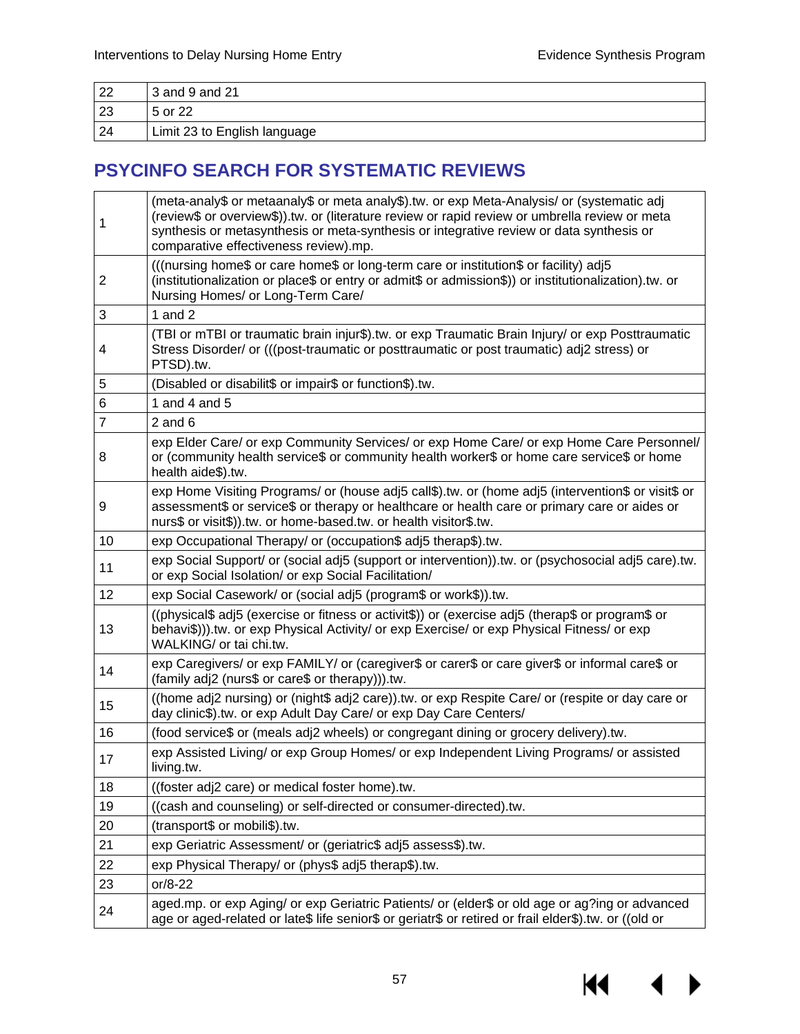| 22 | $3$ and 9 and 21             |
|----|------------------------------|
| 23 | 15 or 22                     |
| 24 | Limit 23 to English language |

## **PSYCINFO SEARCH FOR SYSTEMATIC REVIEWS**

| 1              | (meta-analy\$ or metaanaly\$ or meta analy\$).tw. or exp Meta-Analysis/ or (systematic adj<br>(review\$ or overview\$)).tw. or (literature review or rapid review or umbrella review or meta<br>synthesis or metasynthesis or meta-synthesis or integrative review or data synthesis or<br>comparative effectiveness review).mp. |  |
|----------------|----------------------------------------------------------------------------------------------------------------------------------------------------------------------------------------------------------------------------------------------------------------------------------------------------------------------------------|--|
| 2              | (((nursing home\$ or care home\$ or long-term care or institution\$ or facility) adj5<br>(institutionalization or place\$ or entry or admit\$ or admission\$)) or institutionalization).tw. or<br>Nursing Homes/ or Long-Term Care/                                                                                              |  |
| 3              | 1 and $2$                                                                                                                                                                                                                                                                                                                        |  |
| 4              | (TBI or mTBI or traumatic brain injur\$).tw. or exp Traumatic Brain Injury/ or exp Posttraumatic<br>Stress Disorder/ or (((post-traumatic or posttraumatic or post traumatic) adj2 stress) or<br>PTSD).tw.                                                                                                                       |  |
| 5              | (Disabled or disabilit\$ or impair\$ or function\$).tw.                                                                                                                                                                                                                                                                          |  |
| 6              | 1 and 4 and 5                                                                                                                                                                                                                                                                                                                    |  |
| $\overline{7}$ | $2$ and $6$                                                                                                                                                                                                                                                                                                                      |  |
| 8              | exp Elder Care/ or exp Community Services/ or exp Home Care/ or exp Home Care Personnel/<br>or (community health service\$ or community health worker\$ or home care service\$ or home<br>health aide\$).tw.                                                                                                                     |  |
| 9              | exp Home Visiting Programs/ or (house adj5 call\$).tw. or (home adj5 (intervention\$ or visit\$ or<br>assessment\$ or service\$ or therapy or healthcare or health care or primary care or aides or<br>nurs\$ or visit\$)).tw. or home-based.tw. or health visitor\$.tw.                                                         |  |
| 10             | exp Occupational Therapy/ or (occupation\$ adj5 therap\$).tw.                                                                                                                                                                                                                                                                    |  |
| 11             | exp Social Support/ or (social adj5 (support or intervention)).tw. or (psychosocial adj5 care).tw.<br>or exp Social Isolation/ or exp Social Facilitation/                                                                                                                                                                       |  |
| 12             | exp Social Casework/ or (social adj5 (program\$ or work\$)).tw.                                                                                                                                                                                                                                                                  |  |
| 13             | ((physical\$ adj5 (exercise or fitness or activit\$)) or (exercise adj5 (therap\$ or program\$ or<br>behavi\$))).tw. or exp Physical Activity/ or exp Exercise/ or exp Physical Fitness/ or exp<br>WALKING/ or tai chi.tw.                                                                                                       |  |
| 14             | exp Caregivers/ or exp FAMILY/ or (caregiver\$ or carer\$ or care giver\$ or informal care\$ or<br>(family adj2 (nurs\$ or care\$ or therapy))).tw.                                                                                                                                                                              |  |
| 15             | ((home adj2 nursing) or (night\$ adj2 care)).tw. or exp Respite Care/ or (respite or day care or<br>day clinic\$).tw. or exp Adult Day Care/ or exp Day Care Centers/                                                                                                                                                            |  |
| 16             | (food service\$ or (meals adj2 wheels) or congregant dining or grocery delivery).tw.                                                                                                                                                                                                                                             |  |
| 17             | exp Assisted Living/ or exp Group Homes/ or exp Independent Living Programs/ or assisted<br>living.tw.                                                                                                                                                                                                                           |  |
| 18             | ((foster adj2 care) or medical foster home).tw.                                                                                                                                                                                                                                                                                  |  |
| 19             | ((cash and counseling) or self-directed or consumer-directed).tw.                                                                                                                                                                                                                                                                |  |
| 20             | (transport\$ or mobili\$).tw.                                                                                                                                                                                                                                                                                                    |  |
| 21             | exp Geriatric Assessment/ or (geriatric\$ adj5 assess\$).tw.                                                                                                                                                                                                                                                                     |  |
| 22             | exp Physical Therapy/ or (phys\$ adj5 therap\$).tw.                                                                                                                                                                                                                                                                              |  |
| 23             | or/8-22                                                                                                                                                                                                                                                                                                                          |  |
| 24             | aged.mp. or exp Aging/ or exp Geriatric Patients/ or (elder\$ or old age or ag?ing or advanced<br>age or aged-related or late\$ life senior\$ or geriatr\$ or retired or frail elder\$).tw. or ((old or                                                                                                                          |  |

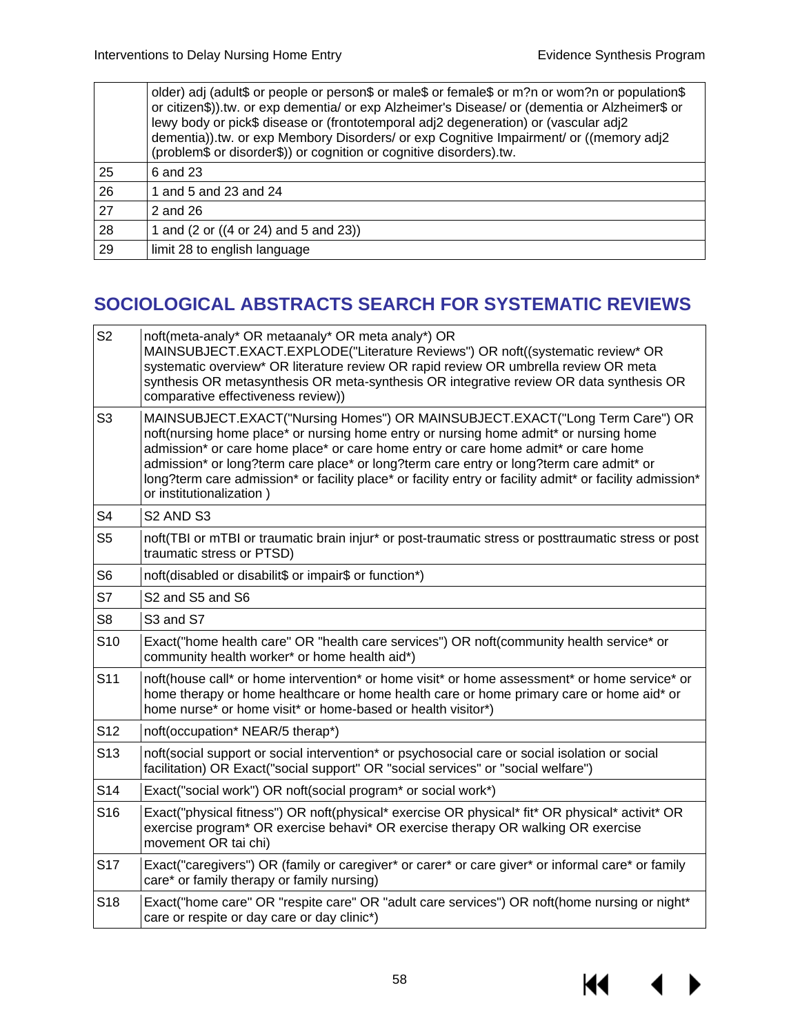|    | older) adj (adult\$ or people or person\$ or male\$ or female\$ or m?n or wom?n or population\$<br>or citizen\$)).tw. or exp dementia/ or exp Alzheimer's Disease/ or (dementia or Alzheimer\$ or<br>lewy body or pick\$ disease or (frontotemporal adj2 degeneration) or (vascular adj2<br>dementia)).tw. or exp Membory Disorders/ or exp Cognitive Impairment/ or ((memory adj2<br>(problem\$ or disorder\$)) or cognition or cognitive disorders).tw. |
|----|-----------------------------------------------------------------------------------------------------------------------------------------------------------------------------------------------------------------------------------------------------------------------------------------------------------------------------------------------------------------------------------------------------------------------------------------------------------|
| 25 | 6 and 23                                                                                                                                                                                                                                                                                                                                                                                                                                                  |
| 26 | 1 and 5 and 23 and 24                                                                                                                                                                                                                                                                                                                                                                                                                                     |
| 27 | 2 and 26                                                                                                                                                                                                                                                                                                                                                                                                                                                  |
| 28 | 1 and (2 or ((4 or 24) and 5 and 23))                                                                                                                                                                                                                                                                                                                                                                                                                     |
| 29 | limit 28 to english language                                                                                                                                                                                                                                                                                                                                                                                                                              |

## **SOCIOLOGICAL ABSTRACTS SEARCH FOR SYSTEMATIC REVIEWS**

| noft(meta-analy* OR metaanaly* OR meta analy*) OR<br>MAINSUBJECT.EXACT.EXPLODE("Literature Reviews") OR noft((systematic review* OR<br>systematic overview* OR literature review OR rapid review OR umbrella review OR meta<br>synthesis OR metasynthesis OR meta-synthesis OR integrative review OR data synthesis OR<br>comparative effectiveness review))                                                                                                                                   |  |
|------------------------------------------------------------------------------------------------------------------------------------------------------------------------------------------------------------------------------------------------------------------------------------------------------------------------------------------------------------------------------------------------------------------------------------------------------------------------------------------------|--|
| MAINSUBJECT.EXACT("Nursing Homes") OR MAINSUBJECT.EXACT("Long Term Care") OR<br>noft(nursing home place* or nursing home entry or nursing home admit* or nursing home<br>admission* or care home place* or care home entry or care home admit* or care home<br>admission* or long?term care place* or long?term care entry or long?term care admit* or<br>long?term care admission* or facility place* or facility entry or facility admit* or facility admission*<br>or institutionalization) |  |
| S <sub>2</sub> AND S <sub>3</sub>                                                                                                                                                                                                                                                                                                                                                                                                                                                              |  |
| noft(TBI or mTBI or traumatic brain injur* or post-traumatic stress or posttraumatic stress or post<br>traumatic stress or PTSD)                                                                                                                                                                                                                                                                                                                                                               |  |
| noft(disabled or disabilit\$ or impair\$ or function*)                                                                                                                                                                                                                                                                                                                                                                                                                                         |  |
| S2 and S5 and S6                                                                                                                                                                                                                                                                                                                                                                                                                                                                               |  |
| S3 and S7                                                                                                                                                                                                                                                                                                                                                                                                                                                                                      |  |
| Exact("home health care" OR "health care services") OR noft(community health service* or<br>community health worker* or home health aid*)                                                                                                                                                                                                                                                                                                                                                      |  |
| noft(house call* or home intervention* or home visit* or home assessment* or home service* or<br>home therapy or home healthcare or home health care or home primary care or home aid* or<br>home nurse* or home visit* or home-based or health visitor*)                                                                                                                                                                                                                                      |  |
| noft(occupation* NEAR/5 therap*)                                                                                                                                                                                                                                                                                                                                                                                                                                                               |  |
| noft(social support or social intervention* or psychosocial care or social isolation or social<br>facilitation) OR Exact("social support" OR "social services" or "social welfare")                                                                                                                                                                                                                                                                                                            |  |
| Exact("social work") OR noft(social program* or social work*)                                                                                                                                                                                                                                                                                                                                                                                                                                  |  |
| Exact("physical fitness") OR noft(physical* exercise OR physical* fit* OR physical* activit* OR<br>exercise program* OR exercise behavi* OR exercise therapy OR walking OR exercise<br>movement OR tai chi)                                                                                                                                                                                                                                                                                    |  |
| Exact("caregivers") OR (family or caregiver* or carer* or care giver* or informal care* or family<br>care* or family therapy or family nursing)                                                                                                                                                                                                                                                                                                                                                |  |
| Exact("home care" OR "respite care" OR "adult care services") OR noft(home nursing or night*<br>care or respite or day care or day clinic*)                                                                                                                                                                                                                                                                                                                                                    |  |
|                                                                                                                                                                                                                                                                                                                                                                                                                                                                                                |  |

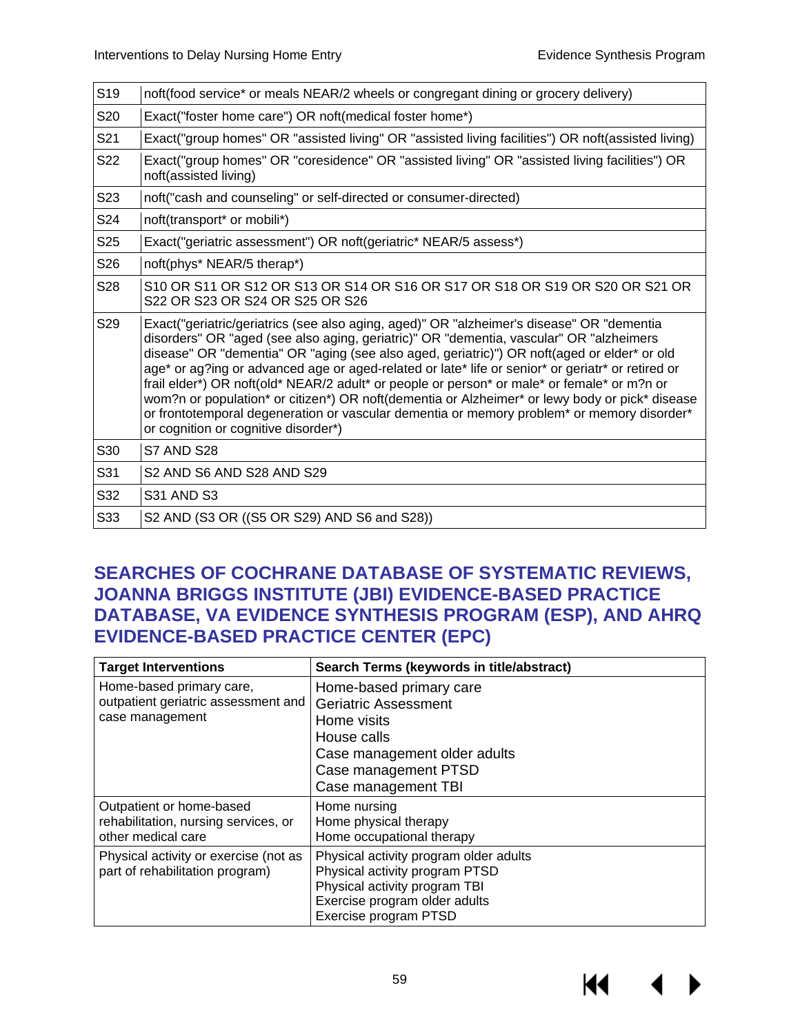| S <sub>19</sub> | noft(food service* or meals NEAR/2 wheels or congregant dining or grocery delivery)                                                                                                                                                                                                                                                                                                                                                                                                                                                                                                                                                                                                                                             |  |
|-----------------|---------------------------------------------------------------------------------------------------------------------------------------------------------------------------------------------------------------------------------------------------------------------------------------------------------------------------------------------------------------------------------------------------------------------------------------------------------------------------------------------------------------------------------------------------------------------------------------------------------------------------------------------------------------------------------------------------------------------------------|--|
| S20             | Exact("foster home care") OR noft(medical foster home*)                                                                                                                                                                                                                                                                                                                                                                                                                                                                                                                                                                                                                                                                         |  |
| S21             | Exact("group homes" OR "assisted living" OR "assisted living facilities") OR noft(assisted living)                                                                                                                                                                                                                                                                                                                                                                                                                                                                                                                                                                                                                              |  |
| S22             | Exact("group homes" OR "coresidence" OR "assisted living" OR "assisted living facilities") OR<br>noft(assisted living)                                                                                                                                                                                                                                                                                                                                                                                                                                                                                                                                                                                                          |  |
| S <sub>23</sub> | noft("cash and counseling" or self-directed or consumer-directed)                                                                                                                                                                                                                                                                                                                                                                                                                                                                                                                                                                                                                                                               |  |
| S24             | noft(transport* or mobili*)                                                                                                                                                                                                                                                                                                                                                                                                                                                                                                                                                                                                                                                                                                     |  |
| S <sub>25</sub> | Exact("geriatric assessment") OR noft(geriatric* NEAR/5 assess*)                                                                                                                                                                                                                                                                                                                                                                                                                                                                                                                                                                                                                                                                |  |
| S26             | noft(phys* NEAR/5 therap*)                                                                                                                                                                                                                                                                                                                                                                                                                                                                                                                                                                                                                                                                                                      |  |
| S28             | S10 OR S11 OR S12 OR S13 OR S14 OR S16 OR S17 OR S18 OR S19 OR S20 OR S21 OR<br>S22 OR S23 OR S24 OR S25 OR S26                                                                                                                                                                                                                                                                                                                                                                                                                                                                                                                                                                                                                 |  |
| S29             | Exact("geriatric/geriatrics (see also aging, aged)" OR "alzheimer's disease" OR "dementia<br>disorders" OR "aged (see also aging, geriatric)" OR "dementia, vascular" OR "alzheimers<br>disease" OR "dementia" OR "aging (see also aged, geriatric)") OR noft(aged or elder* or old<br>age* or ag?ing or advanced age or aged-related or late* life or senior* or geriatr* or retired or<br>frail elder*) OR noft(old* NEAR/2 adult* or people or person* or male* or female* or m?n or<br>wom?n or population* or citizen*) OR noft(dementia or Alzheimer* or lewy body or pick* disease<br>or frontotemporal degeneration or vascular dementia or memory problem* or memory disorder*<br>or cognition or cognitive disorder*) |  |
| S30             | S7 AND S28                                                                                                                                                                                                                                                                                                                                                                                                                                                                                                                                                                                                                                                                                                                      |  |
| S31             | S <sub>2</sub> AND S <sub>6</sub> AND S <sub>28</sub> AND S <sub>29</sub>                                                                                                                                                                                                                                                                                                                                                                                                                                                                                                                                                                                                                                                       |  |
| S32             | <b>S31 AND S3</b>                                                                                                                                                                                                                                                                                                                                                                                                                                                                                                                                                                                                                                                                                                               |  |
| S33             | S2 AND (S3 OR ((S5 OR S29) AND S6 and S28))                                                                                                                                                                                                                                                                                                                                                                                                                                                                                                                                                                                                                                                                                     |  |
|                 |                                                                                                                                                                                                                                                                                                                                                                                                                                                                                                                                                                                                                                                                                                                                 |  |

### **SEARCHES OF COCHRANE DATABASE OF SYSTEMATIC REVIEWS, JOANNA BRIGGS INSTITUTE (JBI) EVIDENCE-BASED PRACTICE DATABASE, VA EVIDENCE SYNTHESIS PROGRAM (ESP), AND AHRQ EVIDENCE-BASED PRACTICE CENTER (EPC)**

| <b>Target Interventions</b>                                                            | Search Terms (keywords in title/abstract)                                                                                                                           |
|----------------------------------------------------------------------------------------|---------------------------------------------------------------------------------------------------------------------------------------------------------------------|
| Home-based primary care,<br>outpatient geriatric assessment and<br>case management     | Home-based primary care<br><b>Geriatric Assessment</b><br>Home visits<br>House calls<br>Case management older adults<br>Case management PTSD<br>Case management TBI |
| Outpatient or home-based<br>rehabilitation, nursing services, or<br>other medical care | Home nursing<br>Home physical therapy<br>Home occupational therapy                                                                                                  |
| Physical activity or exercise (not as<br>part of rehabilitation program)               | Physical activity program older adults<br>Physical activity program PTSD<br>Physical activity program TBI<br>Exercise program older adults<br>Exercise program PTSD |

KI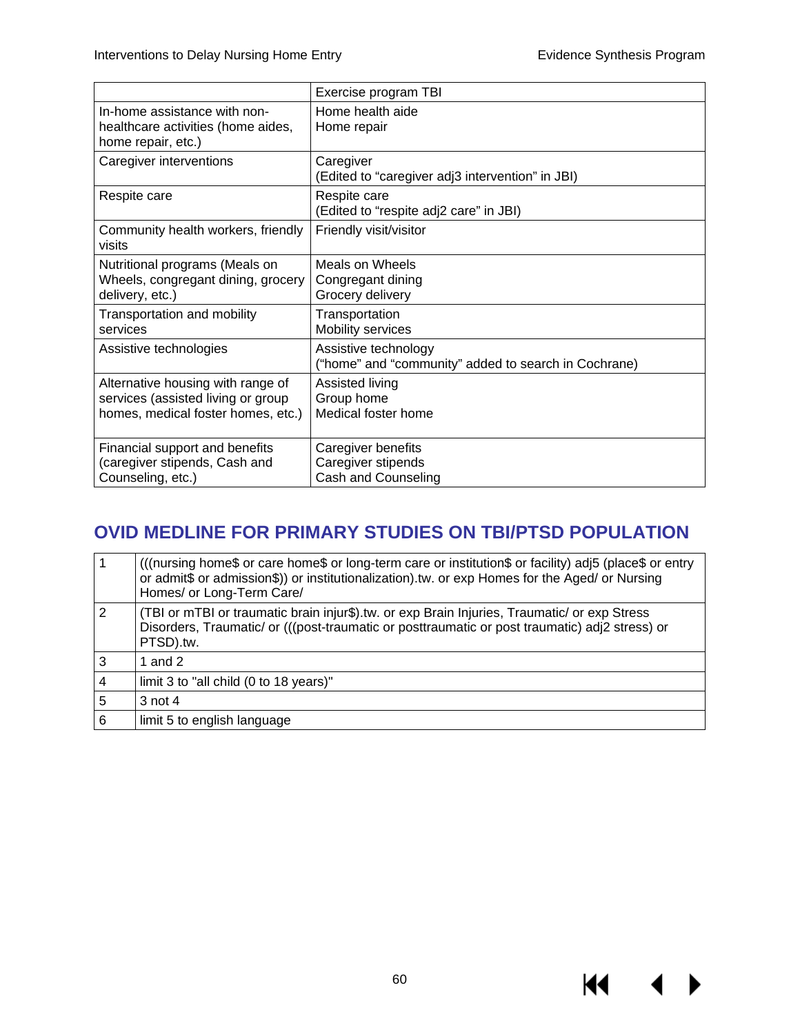$M \sim 1$ 

 $\blacktriangleright$ 

|                                                                                                               | Exercise program TBI                                                         |
|---------------------------------------------------------------------------------------------------------------|------------------------------------------------------------------------------|
| In-home assistance with non-<br>healthcare activities (home aides,<br>home repair, etc.)                      | Home health aide<br>Home repair                                              |
| Caregiver interventions                                                                                       | Caregiver<br>(Edited to "caregiver adj3 intervention" in JBI)                |
| Respite care                                                                                                  | Respite care<br>(Edited to "respite adj2 care" in JBI)                       |
| Community health workers, friendly<br>visits                                                                  | Friendly visit/visitor                                                       |
| Nutritional programs (Meals on<br>Wheels, congregant dining, grocery<br>delivery, etc.)                       | Meals on Wheels<br>Congregant dining<br>Grocery delivery                     |
| Transportation and mobility<br>services                                                                       | Transportation<br>Mobility services                                          |
| Assistive technologies                                                                                        | Assistive technology<br>("home" and "community" added to search in Cochrane) |
| Alternative housing with range of<br>services (assisted living or group<br>homes, medical foster homes, etc.) | Assisted living<br>Group home<br>Medical foster home                         |
| Financial support and benefits<br>(caregiver stipends, Cash and<br>Counseling, etc.)                          | Caregiver benefits<br>Caregiver stipends<br>Cash and Counseling              |

## **OVID MEDLINE FOR PRIMARY STUDIES ON TBI/PTSD POPULATION**

|                | (((nursing home\$ or care home\$ or long-term care or institution\$ or facility) adj5 (place\$ or entry<br>or admit\$ or admission\$)) or institutionalization).tw. or exp Homes for the Aged/ or Nursing<br>Homes/ or Long-Term Care/ |
|----------------|----------------------------------------------------------------------------------------------------------------------------------------------------------------------------------------------------------------------------------------|
| $\overline{2}$ | (TBI or mTBI or traumatic brain injur\$).tw. or exp Brain Injuries, Traumatic/ or exp Stress<br>Disorders, Traumatic/ or (((post-traumatic or posttraumatic or post traumatic) adj2 stress) or<br>PTSD).tw.                            |
| 3              | 1 and 2                                                                                                                                                                                                                                |
| 4              | limit 3 to "all child (0 to 18 years)"                                                                                                                                                                                                 |
| 5              | $3$ not 4                                                                                                                                                                                                                              |
| 6              | limit 5 to english language                                                                                                                                                                                                            |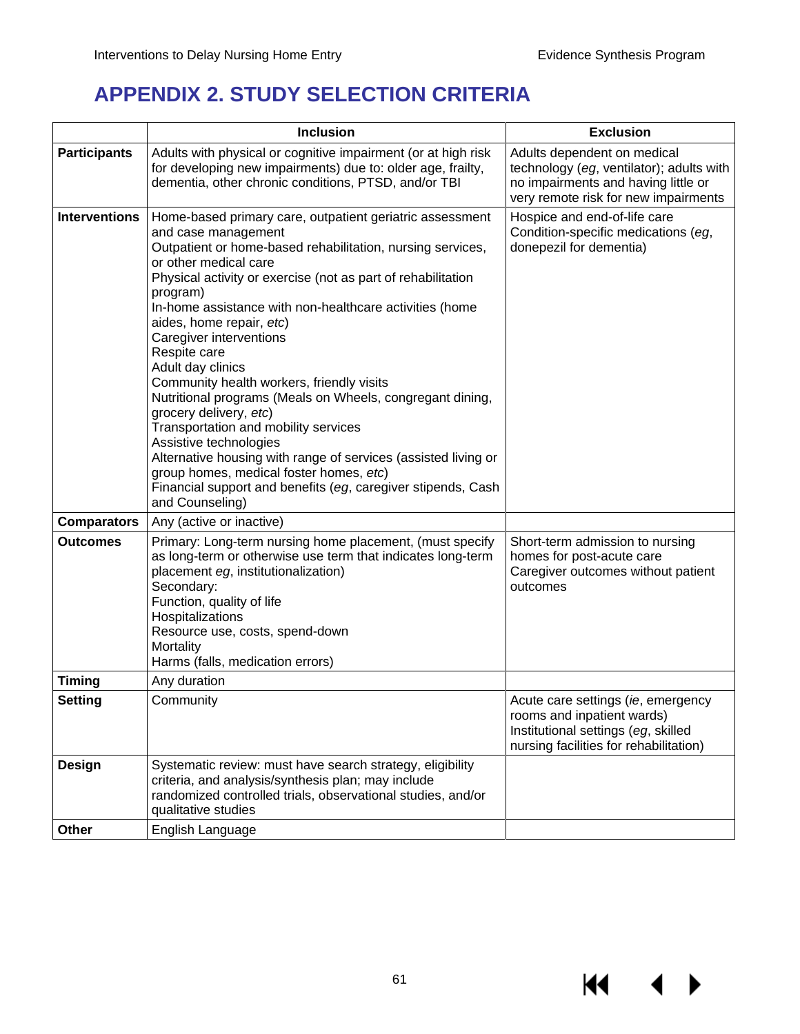# **APPENDIX 2. STUDY SELECTION CRITERIA**

|                      | <b>Inclusion</b>                                                                                                                                                                                                                                                                                                                                                                                                                                                                                                                                                                                                                                                                                                                                                                                                | <b>Exclusion</b>                                                                                                                                       |
|----------------------|-----------------------------------------------------------------------------------------------------------------------------------------------------------------------------------------------------------------------------------------------------------------------------------------------------------------------------------------------------------------------------------------------------------------------------------------------------------------------------------------------------------------------------------------------------------------------------------------------------------------------------------------------------------------------------------------------------------------------------------------------------------------------------------------------------------------|--------------------------------------------------------------------------------------------------------------------------------------------------------|
| <b>Participants</b>  | Adults with physical or cognitive impairment (or at high risk<br>for developing new impairments) due to: older age, frailty,<br>dementia, other chronic conditions, PTSD, and/or TBI                                                                                                                                                                                                                                                                                                                                                                                                                                                                                                                                                                                                                            | Adults dependent on medical<br>technology (eg, ventilator); adults with<br>no impairments and having little or<br>very remote risk for new impairments |
| <b>Interventions</b> | Home-based primary care, outpatient geriatric assessment<br>and case management<br>Outpatient or home-based rehabilitation, nursing services,<br>or other medical care<br>Physical activity or exercise (not as part of rehabilitation<br>program)<br>In-home assistance with non-healthcare activities (home<br>aides, home repair, etc)<br>Caregiver interventions<br>Respite care<br>Adult day clinics<br>Community health workers, friendly visits<br>Nutritional programs (Meals on Wheels, congregant dining,<br>grocery delivery, etc)<br>Transportation and mobility services<br>Assistive technologies<br>Alternative housing with range of services (assisted living or<br>group homes, medical foster homes, etc)<br>Financial support and benefits (eg, caregiver stipends, Cash<br>and Counseling) | Hospice and end-of-life care<br>Condition-specific medications (eg,<br>donepezil for dementia)                                                         |
| <b>Comparators</b>   | Any (active or inactive)                                                                                                                                                                                                                                                                                                                                                                                                                                                                                                                                                                                                                                                                                                                                                                                        |                                                                                                                                                        |
| <b>Outcomes</b>      | Primary: Long-term nursing home placement, (must specify<br>as long-term or otherwise use term that indicates long-term<br>placement eg, institutionalization)<br>Secondary:<br>Function, quality of life<br>Hospitalizations<br>Resource use, costs, spend-down<br>Mortality<br>Harms (falls, medication errors)                                                                                                                                                                                                                                                                                                                                                                                                                                                                                               | Short-term admission to nursing<br>homes for post-acute care<br>Caregiver outcomes without patient<br>outcomes                                         |
| <b>Timing</b>        | Any duration                                                                                                                                                                                                                                                                                                                                                                                                                                                                                                                                                                                                                                                                                                                                                                                                    |                                                                                                                                                        |
| <b>Setting</b>       | Community                                                                                                                                                                                                                                                                                                                                                                                                                                                                                                                                                                                                                                                                                                                                                                                                       | Acute care settings (ie, emergency<br>rooms and inpatient wards)<br>Institutional settings (eg, skilled<br>nursing facilities for rehabilitation)      |
| Design               | Systematic review: must have search strategy, eligibility<br>criteria, and analysis/synthesis plan; may include<br>randomized controlled trials, observational studies, and/or<br>qualitative studies                                                                                                                                                                                                                                                                                                                                                                                                                                                                                                                                                                                                           |                                                                                                                                                        |
| Other                | English Language                                                                                                                                                                                                                                                                                                                                                                                                                                                                                                                                                                                                                                                                                                                                                                                                |                                                                                                                                                        |

KI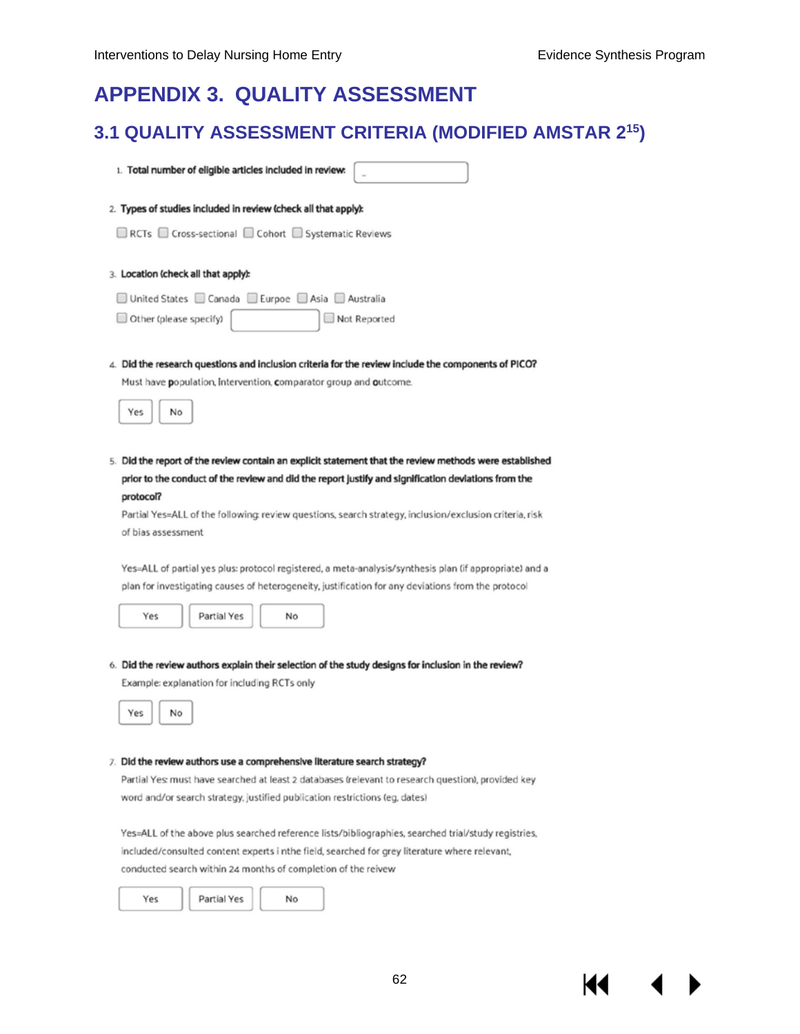## **APPENDIX 3. QUALITY ASSESSMENT**

## **3.1 QUALITY ASSESSMENT CRITERIA (MODIFIED AMSTAR 215)**

1. Total number of eligible articles included in review:

#### 2. Types of studies included in review (check all that apply):

□ RCTs □ Cross-sectional □ Cohort □ Systematic Reviews

- 3. Location (check all that apply):
- □ United States □ Canada □ Eurpoe □ Asia □ Australia
- Other (please specify) Not Reported
- 4. Did the research questions and inclusion criteria for the review include the components of PICO? Must have population, intervention, comparator group and outcome.



5. Did the report of the review contain an explicit statement that the review methods were established prior to the conduct of the review and did the report justify and signification deviations from the protocol?

Partial Yes=ALL of the following: review questions, search strategy, inclusion/exclusion criteria, risk of bias assessment

Yes=ALL of partial yes plus: protocol registered, a meta-analysis/synthesis plan (if appropriate) and a plan for investigating causes of heterogeneity, justification for any deviations from the protocol



Partial Yes No

6. Did the review authors explain their selection of the study designs for inclusion in the review? Example: explanation for including RCTs only



#### 7. Did the review authors use a comprehensive literature search strategy?

Partial Yes: must have searched at least 2 databases (relevant to research question), provided key word and/or search strategy, justified publication restrictions (eg, dates)

Yes=ALL of the above plus searched reference lists/bibliographies, searched trial/study registries, included/consulted content experts i nthe field, searched for grey literature where relevant, conducted search within 24 months of completion of the reivew

| Vac | Partial Yes | No |  |
|-----|-------------|----|--|
|     |             |    |  |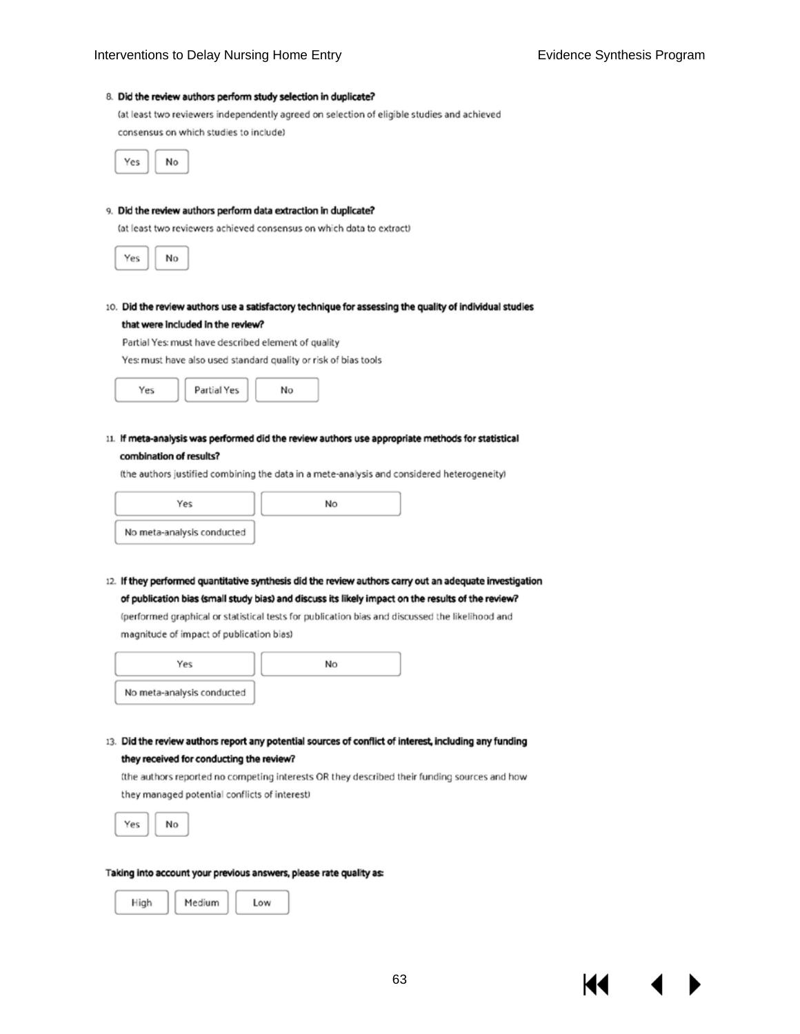#### 8. Did the review authors perform study selection in duplicate? (at least two reviewers independently agreed on selection of eligible studies and achieved

consensus on which studies to include)



#### 9. Did the review authors perform data extraction in duplicate?

(at least two reviewers achieved consensus on which data to extract)



10. Did the review authors use a satisfactory technique for assessing the quality of individual studies that were included in the review?

Partial Yes: must have described element of quality

Yes: must have also used standard quality or risk of bias tools



11. If meta-analysis was performed did the review authors use appropriate methods for statistical combination of results?

(the authors justified combining the data in a mete-analysis and considered heterogeneity)

| Yes                        | Nο |
|----------------------------|----|
| No meta-analysis conducted |    |

12. If they performed quantitative synthesis did the review authors carry out an adequate investigation of publication bias (small study bias) and discuss its likely impact on the results of the review?

(performed graphical or statistical tests for publication bias and discussed the likelihood and magnitude of impact of publication bias)

| Yes                        | No |
|----------------------------|----|
| No meta-analysis conducted |    |

13. Did the review authors report any potential sources of conflict of interest, including any funding they received for conducting the review?

(the authors reported no competing interests OR they described their funding sources and how they managed potential conflicts of interest)



#### Taking into account your previous answers, please rate quality as:

| Medium<br>I ow |  |  |  |
|----------------|--|--|--|
|----------------|--|--|--|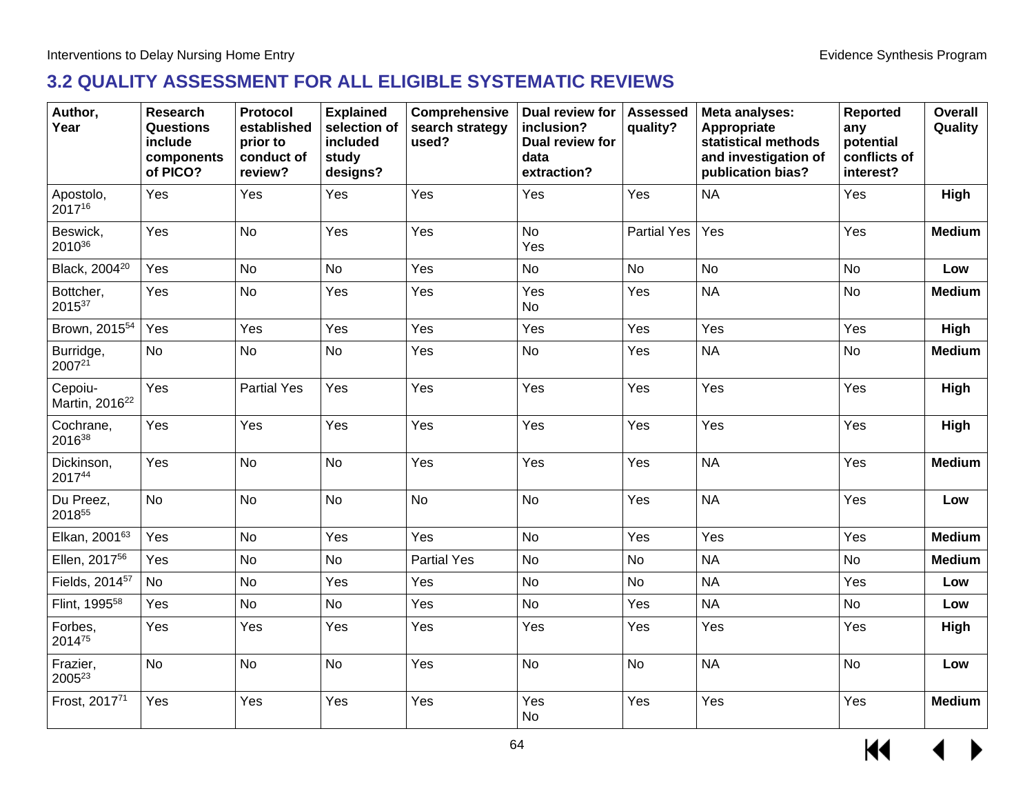## **3.2 QUALITY ASSESSMENT FOR ALL ELIGIBLE SYSTEMATIC REVIEWS**

| Author,<br>Year                       | <b>Research</b><br><b>Questions</b><br>include<br>components<br>of PICO? | Protocol<br>established<br>prior to<br>conduct of<br>review? | <b>Explained</b><br>selection of<br>included<br>study<br>designs? | Comprehensive<br>search strategy<br>used? | Dual review for<br>inclusion?<br>Dual review for<br>data<br>extraction? | <b>Assessed</b><br>quality? | Meta analyses:<br>Appropriate<br>statistical methods<br>and investigation of<br>publication bias? | <b>Reported</b><br>any<br>potential<br>conflicts of<br>interest? | Overall<br>Quality |
|---------------------------------------|--------------------------------------------------------------------------|--------------------------------------------------------------|-------------------------------------------------------------------|-------------------------------------------|-------------------------------------------------------------------------|-----------------------------|---------------------------------------------------------------------------------------------------|------------------------------------------------------------------|--------------------|
| Apostolo,<br>201716                   | Yes                                                                      | Yes                                                          | Yes                                                               | Yes                                       | Yes                                                                     | Yes                         | <b>NA</b>                                                                                         | Yes                                                              | High               |
| Beswick,<br>201036                    | Yes                                                                      | <b>No</b>                                                    | Yes                                                               | Yes                                       | <b>No</b><br>Yes                                                        | <b>Partial Yes</b>          | Yes                                                                                               | Yes                                                              | <b>Medium</b>      |
| Black, 2004 <sup>20</sup>             | Yes                                                                      | <b>No</b>                                                    | No                                                                | Yes                                       | <b>No</b>                                                               | <b>No</b>                   | <b>No</b>                                                                                         | <b>No</b>                                                        | Low                |
| Bottcher,<br>201537                   | Yes                                                                      | <b>No</b>                                                    | Yes                                                               | Yes                                       | Yes<br>No                                                               | Yes                         | <b>NA</b>                                                                                         | <b>No</b>                                                        | <b>Medium</b>      |
| Brown, 2015 <sup>54</sup>             | Yes                                                                      | Yes                                                          | Yes                                                               | Yes                                       | Yes                                                                     | Yes                         | Yes                                                                                               | Yes                                                              | High               |
| Burridge,<br>200721                   | <b>No</b>                                                                | <b>No</b>                                                    | <b>No</b>                                                         | Yes                                       | <b>No</b>                                                               | Yes                         | <b>NA</b>                                                                                         | <b>No</b>                                                        | <b>Medium</b>      |
| Cepoiu-<br>Martin, 2016 <sup>22</sup> | Yes                                                                      | <b>Partial Yes</b>                                           | Yes                                                               | Yes                                       | Yes                                                                     | Yes                         | Yes                                                                                               | Yes                                                              | <b>High</b>        |
| Cochrane,<br>201638                   | Yes                                                                      | Yes                                                          | Yes                                                               | Yes                                       | Yes                                                                     | Yes                         | Yes                                                                                               | Yes                                                              | <b>High</b>        |
| Dickinson,<br>201744                  | Yes                                                                      | <b>No</b>                                                    | <b>No</b>                                                         | Yes                                       | Yes                                                                     | Yes                         | <b>NA</b>                                                                                         | Yes                                                              | <b>Medium</b>      |
| Du Preez,<br>201855                   | <b>No</b>                                                                | <b>No</b>                                                    | <b>No</b>                                                         | <b>No</b>                                 | <b>No</b>                                                               | Yes                         | <b>NA</b>                                                                                         | Yes                                                              | Low                |
| Elkan, 200163                         | Yes                                                                      | <b>No</b>                                                    | Yes                                                               | Yes                                       | <b>No</b>                                                               | Yes                         | Yes                                                                                               | Yes                                                              | <b>Medium</b>      |
| Ellen, 2017 <sup>56</sup>             | Yes                                                                      | <b>No</b>                                                    | <b>No</b>                                                         | <b>Partial Yes</b>                        | <b>No</b>                                                               | <b>No</b>                   | <b>NA</b>                                                                                         | <b>No</b>                                                        | <b>Medium</b>      |
| Fields, 2014 <sup>57</sup>            | <b>No</b>                                                                | <b>No</b>                                                    | Yes                                                               | Yes                                       | <b>No</b>                                                               | No                          | <b>NA</b>                                                                                         | Yes                                                              | Low                |
| Flint, 1995 <sup>58</sup>             | Yes                                                                      | <b>No</b>                                                    | <b>No</b>                                                         | Yes                                       | <b>No</b>                                                               | Yes                         | <b>NA</b>                                                                                         | <b>No</b>                                                        | Low                |
| Forbes,<br>201475                     | Yes                                                                      | Yes                                                          | Yes                                                               | Yes                                       | Yes                                                                     | Yes                         | Yes                                                                                               | Yes                                                              | High               |
| Frazier,<br>200523                    | <b>No</b>                                                                | <b>No</b>                                                    | <b>No</b>                                                         | Yes                                       | <b>No</b>                                                               | <b>No</b>                   | <b>NA</b>                                                                                         | <b>No</b>                                                        | Low                |
| Frost, 201771                         | Yes                                                                      | Yes                                                          | Yes                                                               | Yes                                       | Yes<br>No                                                               | Yes                         | Yes                                                                                               | Yes                                                              | <b>Medium</b>      |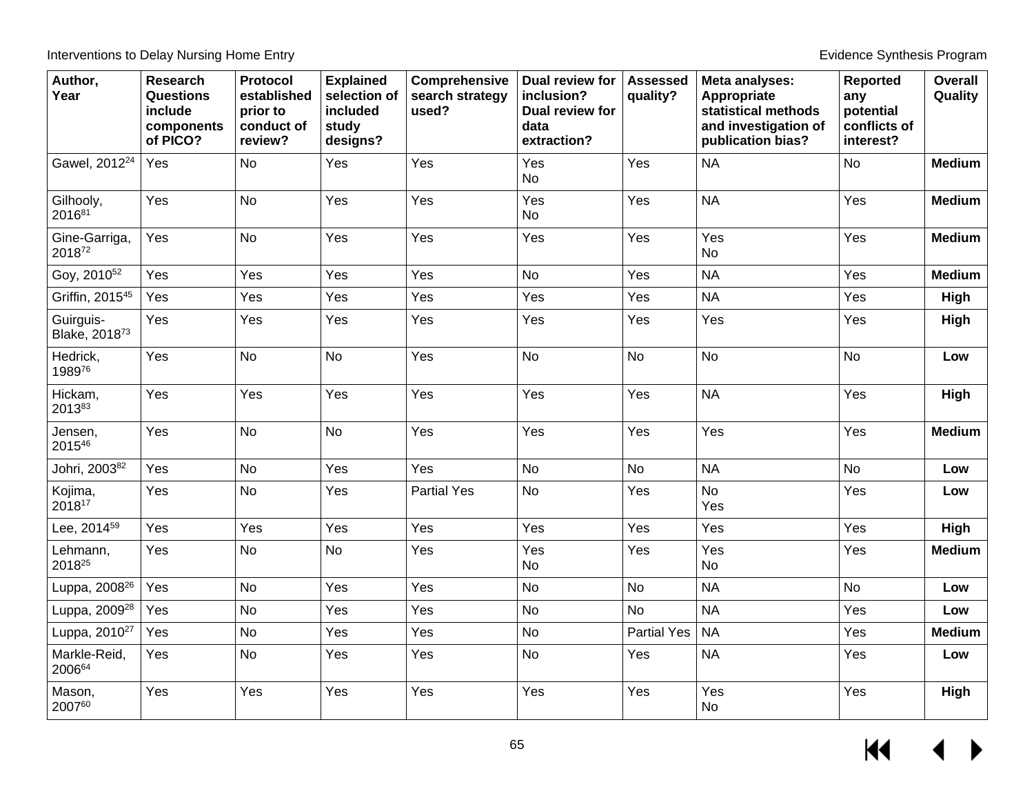| Author,<br>Year                        | <b>Research</b><br><b>Questions</b><br>include<br>components<br>of PICO? | Protocol<br>established<br>prior to<br>conduct of<br>review? | <b>Explained</b><br>selection of<br>included<br>study<br>designs? | Comprehensive<br>search strategy<br>used? | Dual review for<br>inclusion?<br>Dual review for<br>data<br>extraction? | <b>Assessed</b><br>quality? | Meta analyses:<br>Appropriate<br>statistical methods<br>and investigation of<br>publication bias? | <b>Reported</b><br>any<br>potential<br>conflicts of<br>interest? | Overall<br>Quality |
|----------------------------------------|--------------------------------------------------------------------------|--------------------------------------------------------------|-------------------------------------------------------------------|-------------------------------------------|-------------------------------------------------------------------------|-----------------------------|---------------------------------------------------------------------------------------------------|------------------------------------------------------------------|--------------------|
| Gawel, 2012 <sup>24</sup>              | Yes                                                                      | <b>No</b>                                                    | Yes                                                               | Yes                                       | Yes<br><b>No</b>                                                        | Yes                         | <b>NA</b>                                                                                         | <b>No</b>                                                        | <b>Medium</b>      |
| Gilhooly,<br>201681                    | Yes                                                                      | <b>No</b>                                                    | Yes                                                               | Yes                                       | Yes<br><b>No</b>                                                        | Yes                         | <b>NA</b>                                                                                         | Yes                                                              | <b>Medium</b>      |
| Gine-Garriga,<br>201872                | Yes                                                                      | No                                                           | Yes                                                               | Yes                                       | Yes                                                                     | Yes                         | Yes<br><b>No</b>                                                                                  | Yes                                                              | <b>Medium</b>      |
| Goy, 2010 <sup>52</sup>                | Yes                                                                      | Yes                                                          | Yes                                                               | Yes                                       | No                                                                      | Yes                         | <b>NA</b>                                                                                         | Yes                                                              | <b>Medium</b>      |
| Griffin, 2015 <sup>45</sup>            | Yes                                                                      | Yes                                                          | Yes                                                               | Yes                                       | Yes                                                                     | Yes                         | <b>NA</b>                                                                                         | Yes                                                              | High               |
| Guirguis-<br>Blake, 2018 <sup>73</sup> | Yes                                                                      | Yes                                                          | Yes                                                               | Yes                                       | Yes                                                                     | Yes                         | Yes                                                                                               | Yes                                                              | High               |
| Hedrick,<br>198976                     | Yes                                                                      | <b>No</b>                                                    | <b>No</b>                                                         | Yes                                       | <b>No</b>                                                               | <b>No</b>                   | <b>No</b>                                                                                         | No                                                               | Low                |
| Hickam,<br>201383                      | Yes                                                                      | Yes                                                          | Yes                                                               | Yes                                       | Yes                                                                     | Yes                         | <b>NA</b>                                                                                         | Yes                                                              | High               |
| Jensen,<br>201546                      | Yes                                                                      | <b>No</b>                                                    | <b>No</b>                                                         | Yes                                       | Yes                                                                     | Yes                         | Yes                                                                                               | Yes                                                              | <b>Medium</b>      |
| Johri, 200382                          | Yes                                                                      | <b>No</b>                                                    | Yes                                                               | Yes                                       | <b>No</b>                                                               | <b>No</b>                   | <b>NA</b>                                                                                         | <b>No</b>                                                        | Low                |
| Kojima,<br>201817                      | Yes                                                                      | <b>No</b>                                                    | Yes                                                               | <b>Partial Yes</b>                        | No                                                                      | Yes                         | <b>No</b><br>Yes                                                                                  | Yes                                                              | Low                |
| Lee, 2014 <sup>59</sup>                | Yes                                                                      | Yes                                                          | Yes                                                               | Yes                                       | Yes                                                                     | Yes                         | Yes                                                                                               | Yes                                                              | High               |
| Lehmann,<br>201825                     | Yes                                                                      | <b>No</b>                                                    | <b>No</b>                                                         | Yes                                       | Yes<br><b>No</b>                                                        | Yes                         | Yes<br><b>No</b>                                                                                  | Yes                                                              | <b>Medium</b>      |
| Luppa, 2008 <sup>26</sup>              | Yes                                                                      | <b>No</b>                                                    | Yes                                                               | Yes                                       | No                                                                      | <b>No</b>                   | <b>NA</b>                                                                                         | <b>No</b>                                                        | Low                |
| Luppa, 2009 <sup>28</sup>              | Yes                                                                      | No                                                           | Yes                                                               | Yes                                       | No                                                                      | <b>No</b>                   | <b>NA</b>                                                                                         | Yes                                                              | Low                |
| Luppa, 2010 <sup>27</sup>              | Yes                                                                      | <b>No</b>                                                    | Yes                                                               | Yes                                       | <b>No</b>                                                               | <b>Partial Yes</b>          | <b>NA</b>                                                                                         | Yes                                                              | <b>Medium</b>      |
| Markle-Reid,<br>200664                 | Yes                                                                      | <b>No</b>                                                    | Yes                                                               | Yes                                       | <b>No</b>                                                               | Yes                         | <b>NA</b>                                                                                         | Yes                                                              | Low                |
| Mason,<br>200760                       | Yes                                                                      | Yes                                                          | Yes                                                               | Yes                                       | Yes                                                                     | Yes                         | Yes<br><b>No</b>                                                                                  | Yes                                                              | High               |

 $\leftrightarrow$  $H$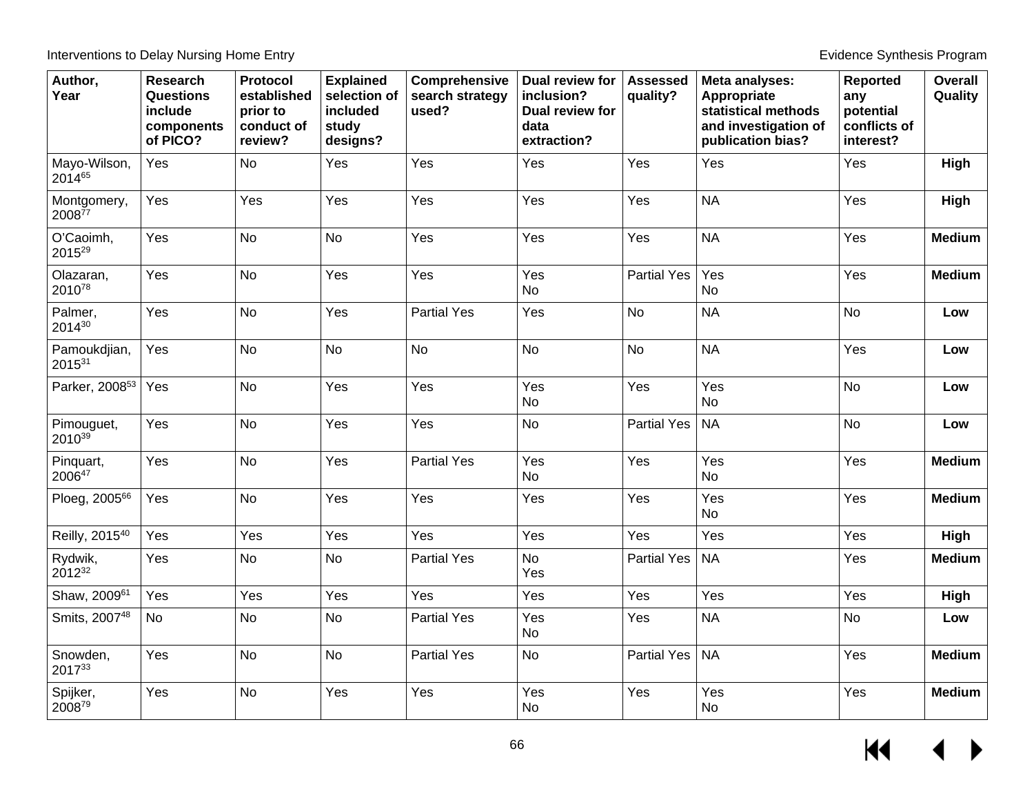| Author,<br>Year            | <b>Research</b><br>Questions<br>include<br>components<br>of PICO? | <b>Protocol</b><br>established<br>prior to<br>conduct of<br>review? | <b>Explained</b><br>selection of<br>included<br>study<br>designs? | Comprehensive<br>search strategy<br>used? | Dual review for<br>inclusion?<br>Dual review for<br>data<br>extraction? | <b>Assessed</b><br>quality? | Meta analyses:<br>Appropriate<br>statistical methods<br>and investigation of<br>publication bias? | Reported<br>any<br>potential<br>conflicts of<br>interest? | Overall<br>Quality |
|----------------------------|-------------------------------------------------------------------|---------------------------------------------------------------------|-------------------------------------------------------------------|-------------------------------------------|-------------------------------------------------------------------------|-----------------------------|---------------------------------------------------------------------------------------------------|-----------------------------------------------------------|--------------------|
| Mayo-Wilson,<br>201465     | Yes                                                               | <b>No</b>                                                           | Yes                                                               | Yes                                       | Yes                                                                     | Yes                         | Yes                                                                                               | Yes                                                       | High               |
| Montgomery,<br>$2008^{77}$ | Yes                                                               | Yes                                                                 | Yes                                                               | Yes                                       | Yes                                                                     | Yes                         | <b>NA</b>                                                                                         | Yes                                                       | High               |
| O'Caoimh,<br>201529        | Yes                                                               | No                                                                  | <b>No</b>                                                         | Yes                                       | Yes                                                                     | Yes                         | <b>NA</b>                                                                                         | Yes                                                       | <b>Medium</b>      |
| Olazaran,<br>201078        | Yes                                                               | <b>No</b>                                                           | Yes                                                               | Yes                                       | Yes<br>No                                                               | <b>Partial Yes</b>          | Yes<br>No                                                                                         | Yes                                                       | <b>Medium</b>      |
| Palmer,<br>201430          | Yes                                                               | <b>No</b>                                                           | Yes                                                               | <b>Partial Yes</b>                        | Yes                                                                     | <b>No</b>                   | <b>NA</b>                                                                                         | <b>No</b>                                                 | Low                |
| Pamoukdjian,<br>201531     | Yes                                                               | <b>No</b>                                                           | <b>No</b>                                                         | <b>No</b>                                 | <b>No</b>                                                               | <b>No</b>                   | <b>NA</b>                                                                                         | Yes                                                       | Low                |
| Parker, 2008 <sup>53</sup> | Yes                                                               | <b>No</b>                                                           | Yes                                                               | Yes                                       | Yes<br>No                                                               | Yes                         | Yes<br><b>No</b>                                                                                  | <b>No</b>                                                 | Low                |
| Pimouguet,<br>201039       | Yes                                                               | <b>No</b>                                                           | Yes                                                               | Yes                                       | <b>No</b>                                                               | <b>Partial Yes</b>          | <b>NA</b>                                                                                         | <b>No</b>                                                 | Low                |
| Pinquart,<br>200647        | Yes                                                               | <b>No</b>                                                           | Yes                                                               | <b>Partial Yes</b>                        | Yes<br>No                                                               | Yes                         | Yes<br><b>No</b>                                                                                  | Yes                                                       | <b>Medium</b>      |
| Ploeg, 200566              | Yes                                                               | <b>No</b>                                                           | Yes                                                               | Yes                                       | Yes                                                                     | Yes                         | Yes<br><b>No</b>                                                                                  | Yes                                                       | <b>Medium</b>      |
| Reilly, 2015 <sup>40</sup> | Yes                                                               | Yes                                                                 | Yes                                                               | Yes                                       | Yes                                                                     | Yes                         | Yes                                                                                               | Yes                                                       | High               |
| Rydwik,<br>201232          | Yes                                                               | No                                                                  | No                                                                | <b>Partial Yes</b>                        | <b>No</b><br>Yes                                                        | <b>Partial Yes</b>          | <b>NA</b>                                                                                         | Yes                                                       | <b>Medium</b>      |
| Shaw, 200961               | Yes                                                               | Yes                                                                 | Yes                                                               | Yes                                       | Yes                                                                     | Yes                         | Yes                                                                                               | Yes                                                       | High               |
| Smits, 200748              | <b>No</b>                                                         | No                                                                  | <b>No</b>                                                         | <b>Partial Yes</b>                        | Yes<br>No                                                               | Yes                         | <b>NA</b>                                                                                         | No                                                        | Low                |
| Snowden,<br>201733         | Yes                                                               | No                                                                  | <b>No</b>                                                         | <b>Partial Yes</b>                        | No                                                                      | <b>Partial Yes</b>          | <b>NA</b>                                                                                         | Yes                                                       | <b>Medium</b>      |
| Spijker,<br>200879         | Yes                                                               | No                                                                  | Yes                                                               | Yes                                       | Yes<br>No                                                               | Yes                         | Yes<br>No                                                                                         | Yes                                                       | <b>Medium</b>      |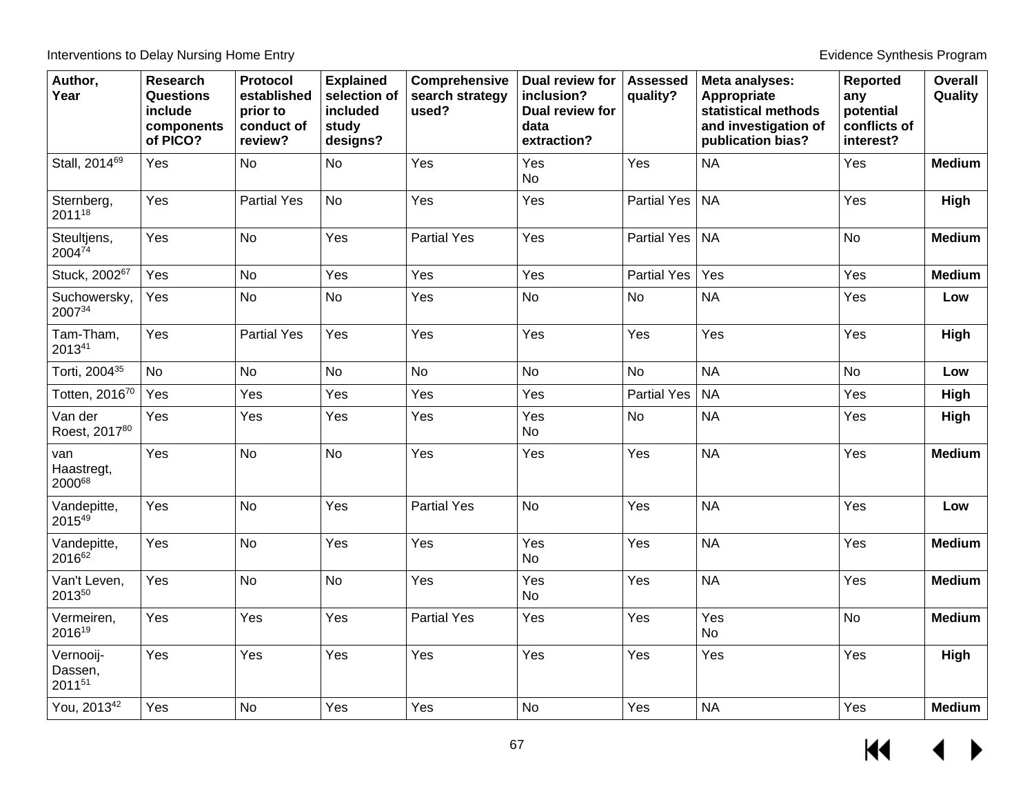| Author,<br>Year                | <b>Research</b><br><b>Questions</b><br>include<br>components<br>of PICO? | Protocol<br>established<br>prior to<br>conduct of<br>review? | <b>Explained</b><br>selection of<br>included<br>study<br>designs? | Comprehensive<br>search strategy<br>used? | Dual review for<br>inclusion?<br>Dual review for<br>data<br>extraction? | <b>Assessed</b><br>quality? | Meta analyses:<br>Appropriate<br>statistical methods<br>and investigation of<br>publication bias? | <b>Reported</b><br>any<br>potential<br>conflicts of<br>interest? | <b>Overall</b><br>Quality |
|--------------------------------|--------------------------------------------------------------------------|--------------------------------------------------------------|-------------------------------------------------------------------|-------------------------------------------|-------------------------------------------------------------------------|-----------------------------|---------------------------------------------------------------------------------------------------|------------------------------------------------------------------|---------------------------|
| Stall, 2014 <sup>69</sup>      | Yes                                                                      | <b>No</b>                                                    | <b>No</b>                                                         | Yes                                       | Yes<br><b>No</b>                                                        | Yes                         | <b>NA</b>                                                                                         | Yes                                                              | <b>Medium</b>             |
| Sternberg,<br>201118           | Yes                                                                      | <b>Partial Yes</b>                                           | <b>No</b>                                                         | Yes                                       | Yes                                                                     | <b>Partial Yes</b>          | <b>NA</b>                                                                                         | Yes                                                              | High                      |
| Steultjens,<br>200474          | Yes                                                                      | No                                                           | Yes                                                               | <b>Partial Yes</b>                        | Yes                                                                     | <b>Partial Yes</b>          | <b>NA</b>                                                                                         | <b>No</b>                                                        | <b>Medium</b>             |
| Stuck, 200267                  | Yes                                                                      | No                                                           | Yes                                                               | Yes                                       | Yes                                                                     | <b>Partial Yes</b>          | Yes                                                                                               | Yes                                                              | <b>Medium</b>             |
| Suchowersky,<br>200734         | Yes                                                                      | No                                                           | <b>No</b>                                                         | Yes                                       | No                                                                      | <b>No</b>                   | <b>NA</b>                                                                                         | Yes                                                              | Low                       |
| Tam-Tham,<br>201341            | Yes                                                                      | <b>Partial Yes</b>                                           | Yes                                                               | Yes                                       | Yes                                                                     | Yes                         | Yes                                                                                               | Yes                                                              | High                      |
| Torti, 2004 <sup>35</sup>      | <b>No</b>                                                                | <b>No</b>                                                    | <b>No</b>                                                         | <b>No</b>                                 | <b>No</b>                                                               | <b>No</b>                   | <b>NA</b>                                                                                         | <b>No</b>                                                        | Low                       |
| Totten, 201670                 | Yes                                                                      | Yes                                                          | Yes                                                               | Yes                                       | Yes                                                                     | <b>Partial Yes</b>          | <b>NA</b>                                                                                         | Yes                                                              | High                      |
| Van der<br>Roest, 201780       | Yes                                                                      | Yes                                                          | Yes                                                               | Yes                                       | Yes<br>No                                                               | No                          | <b>NA</b>                                                                                         | Yes                                                              | High                      |
| van<br>Haastregt,<br>200068    | Yes                                                                      | <b>No</b>                                                    | No                                                                | Yes                                       | Yes                                                                     | Yes                         | <b>NA</b>                                                                                         | Yes                                                              | <b>Medium</b>             |
| Vandepitte,<br>201549          | Yes                                                                      | <b>No</b>                                                    | Yes                                                               | <b>Partial Yes</b>                        | <b>No</b>                                                               | Yes                         | <b>NA</b>                                                                                         | Yes                                                              | Low                       |
| Vandepitte,<br>201662          | Yes                                                                      | <b>No</b>                                                    | Yes                                                               | Yes                                       | Yes<br>No                                                               | Yes                         | <b>NA</b>                                                                                         | Yes                                                              | <b>Medium</b>             |
| Van't Leven,<br>201350         | Yes                                                                      | <b>No</b>                                                    | <b>No</b>                                                         | Yes                                       | Yes<br>No                                                               | Yes                         | <b>NA</b>                                                                                         | Yes                                                              | <b>Medium</b>             |
| Vermeiren,<br>201619           | Yes                                                                      | Yes                                                          | Yes                                                               | <b>Partial Yes</b>                        | Yes                                                                     | Yes                         | Yes<br><b>No</b>                                                                                  | <b>No</b>                                                        | <b>Medium</b>             |
| Vernooij-<br>Dassen,<br>201151 | Yes                                                                      | Yes                                                          | Yes                                                               | Yes                                       | Yes                                                                     | Yes                         | Yes                                                                                               | Yes                                                              | High                      |
| You, 2013 <sup>42</sup>        | Yes                                                                      | No                                                           | Yes                                                               | Yes                                       | <b>No</b>                                                               | Yes                         | <b>NA</b>                                                                                         | Yes                                                              | <b>Medium</b>             |

 $\leftrightarrow$  $\overline{\mathbf{M}}$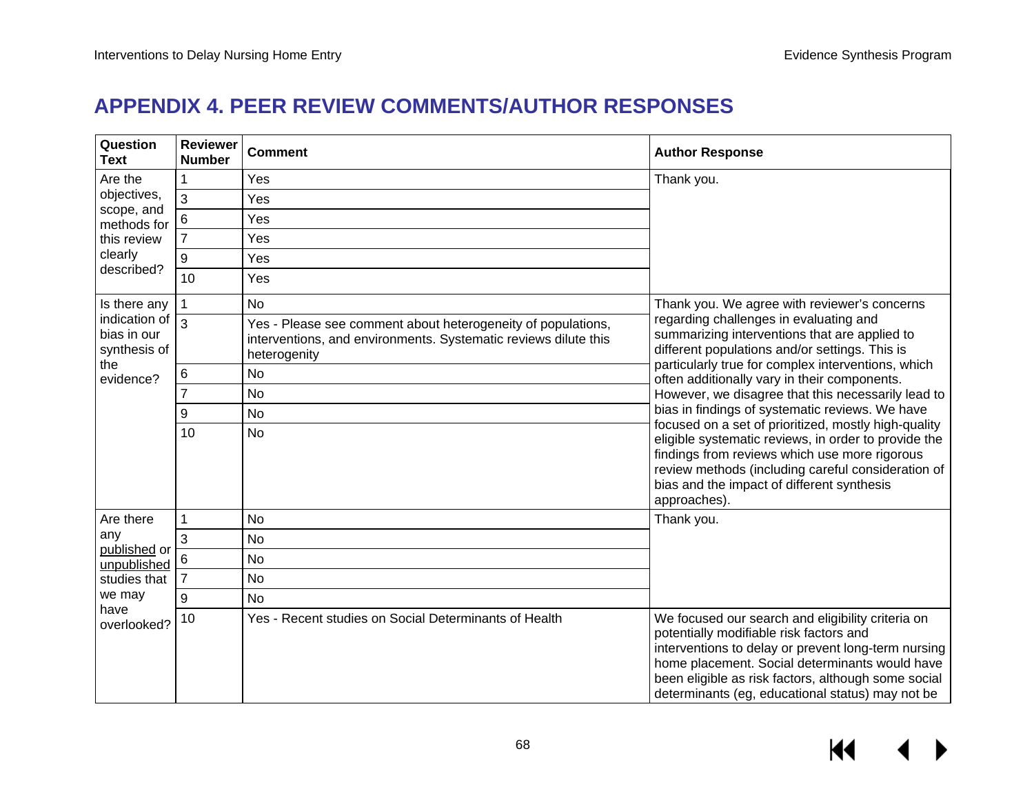# **APPENDIX 4. PEER REVIEW COMMENTS/AUTHOR RESPONSES**

| Question<br><b>Text</b>                             | <b>Reviewer</b><br><b>Number</b> | <b>Comment</b>                                                                                                                                  | <b>Author Response</b>                                                                                                                                                                                                                                                                                           |
|-----------------------------------------------------|----------------------------------|-------------------------------------------------------------------------------------------------------------------------------------------------|------------------------------------------------------------------------------------------------------------------------------------------------------------------------------------------------------------------------------------------------------------------------------------------------------------------|
| Are the                                             | 1                                | Yes                                                                                                                                             | Thank you.                                                                                                                                                                                                                                                                                                       |
| objectives,                                         | 3                                | Yes                                                                                                                                             |                                                                                                                                                                                                                                                                                                                  |
| scope, and<br>methods for                           | 6                                | Yes                                                                                                                                             |                                                                                                                                                                                                                                                                                                                  |
| this review                                         | $\overline{7}$                   | Yes                                                                                                                                             |                                                                                                                                                                                                                                                                                                                  |
| clearly                                             | 9                                | Yes                                                                                                                                             |                                                                                                                                                                                                                                                                                                                  |
| described?                                          | 10                               | Yes                                                                                                                                             |                                                                                                                                                                                                                                                                                                                  |
| Is there any                                        | 1                                | <b>No</b>                                                                                                                                       | Thank you. We agree with reviewer's concerns                                                                                                                                                                                                                                                                     |
| indication of<br>bias in our<br>synthesis of<br>the | 3                                | Yes - Please see comment about heterogeneity of populations,<br>interventions, and environments. Systematic reviews dilute this<br>heterogenity | regarding challenges in evaluating and<br>summarizing interventions that are applied to<br>different populations and/or settings. This is                                                                                                                                                                        |
| evidence?                                           | 6                                | <b>No</b>                                                                                                                                       | particularly true for complex interventions, which<br>often additionally vary in their components.                                                                                                                                                                                                               |
|                                                     | $\overline{7}$                   | <b>No</b>                                                                                                                                       | However, we disagree that this necessarily lead to                                                                                                                                                                                                                                                               |
|                                                     | 9                                | <b>No</b>                                                                                                                                       | bias in findings of systematic reviews. We have                                                                                                                                                                                                                                                                  |
|                                                     | 10                               | <b>No</b>                                                                                                                                       | focused on a set of prioritized, mostly high-quality<br>eligible systematic reviews, in order to provide the<br>findings from reviews which use more rigorous<br>review methods (including careful consideration of<br>bias and the impact of different synthesis<br>approaches).                                |
| Are there                                           | 1                                | <b>No</b>                                                                                                                                       | Thank you.                                                                                                                                                                                                                                                                                                       |
| any<br>published or                                 | 3                                | <b>No</b>                                                                                                                                       |                                                                                                                                                                                                                                                                                                                  |
| unpublished                                         | 6                                | <b>No</b>                                                                                                                                       |                                                                                                                                                                                                                                                                                                                  |
| studies that                                        | $\overline{7}$                   | <b>No</b>                                                                                                                                       |                                                                                                                                                                                                                                                                                                                  |
| we may<br>have<br>overlooked?                       | 9                                | <b>No</b>                                                                                                                                       |                                                                                                                                                                                                                                                                                                                  |
|                                                     | 10                               | Yes - Recent studies on Social Determinants of Health                                                                                           | We focused our search and eligibility criteria on<br>potentially modifiable risk factors and<br>interventions to delay or prevent long-term nursing<br>home placement. Social determinants would have<br>been eligible as risk factors, although some social<br>determinants (eg, educational status) may not be |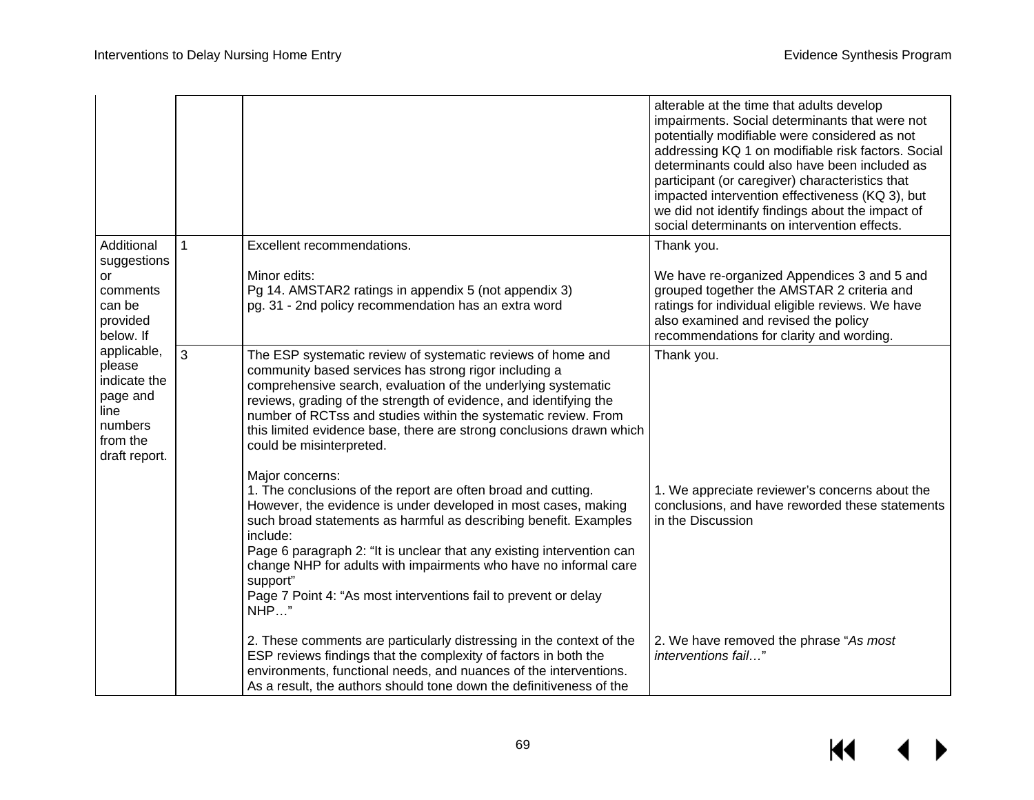|                                                                  |                                                                                                   |                                                                                                                               |                                                                                                                                                                                                                                                                                                                                                                                                                                                                           | alterable at the time that adults develop<br>impairments. Social determinants that were not<br>potentially modifiable were considered as not<br>addressing KQ 1 on modifiable risk factors. Social<br>determinants could also have been included as<br>participant (or caregiver) characteristics that<br>impacted intervention effectiveness (KQ 3), but<br>we did not identify findings about the impact of<br>social determinants on intervention effects. |
|------------------------------------------------------------------|---------------------------------------------------------------------------------------------------|-------------------------------------------------------------------------------------------------------------------------------|---------------------------------------------------------------------------------------------------------------------------------------------------------------------------------------------------------------------------------------------------------------------------------------------------------------------------------------------------------------------------------------------------------------------------------------------------------------------------|---------------------------------------------------------------------------------------------------------------------------------------------------------------------------------------------------------------------------------------------------------------------------------------------------------------------------------------------------------------------------------------------------------------------------------------------------------------|
|                                                                  | Additional                                                                                        |                                                                                                                               | <b>Excellent recommendations.</b>                                                                                                                                                                                                                                                                                                                                                                                                                                         | Thank you.                                                                                                                                                                                                                                                                                                                                                                                                                                                    |
| suggestions<br>or<br>comments<br>can be<br>provided<br>below. If |                                                                                                   | Minor edits:<br>Pg 14. AMSTAR2 ratings in appendix 5 (not appendix 3)<br>pg. 31 - 2nd policy recommendation has an extra word | We have re-organized Appendices 3 and 5 and<br>grouped together the AMSTAR 2 criteria and<br>ratings for individual eligible reviews. We have<br>also examined and revised the policy<br>recommendations for clarity and wording.                                                                                                                                                                                                                                         |                                                                                                                                                                                                                                                                                                                                                                                                                                                               |
|                                                                  | applicable,<br>please<br>indicate the<br>page and<br>line<br>numbers<br>from the<br>draft report. | 3                                                                                                                             | The ESP systematic review of systematic reviews of home and<br>community based services has strong rigor including a<br>comprehensive search, evaluation of the underlying systematic<br>reviews, grading of the strength of evidence, and identifying the<br>number of RCTss and studies within the systematic review. From<br>this limited evidence base, there are strong conclusions drawn which<br>could be misinterpreted.                                          | Thank you.                                                                                                                                                                                                                                                                                                                                                                                                                                                    |
|                                                                  |                                                                                                   |                                                                                                                               | Major concerns:<br>1. The conclusions of the report are often broad and cutting.<br>However, the evidence is under developed in most cases, making<br>such broad statements as harmful as describing benefit. Examples<br>include:<br>Page 6 paragraph 2: "It is unclear that any existing intervention can<br>change NHP for adults with impairments who have no informal care<br>support"<br>Page 7 Point 4: "As most interventions fail to prevent or delay<br>$NHP$ " | 1. We appreciate reviewer's concerns about the<br>conclusions, and have reworded these statements<br>in the Discussion                                                                                                                                                                                                                                                                                                                                        |
|                                                                  |                                                                                                   |                                                                                                                               | 2. These comments are particularly distressing in the context of the<br>ESP reviews findings that the complexity of factors in both the<br>environments, functional needs, and nuances of the interventions.<br>As a result, the authors should tone down the definitiveness of the                                                                                                                                                                                       | 2. We have removed the phrase "As most<br>interventions fail"                                                                                                                                                                                                                                                                                                                                                                                                 |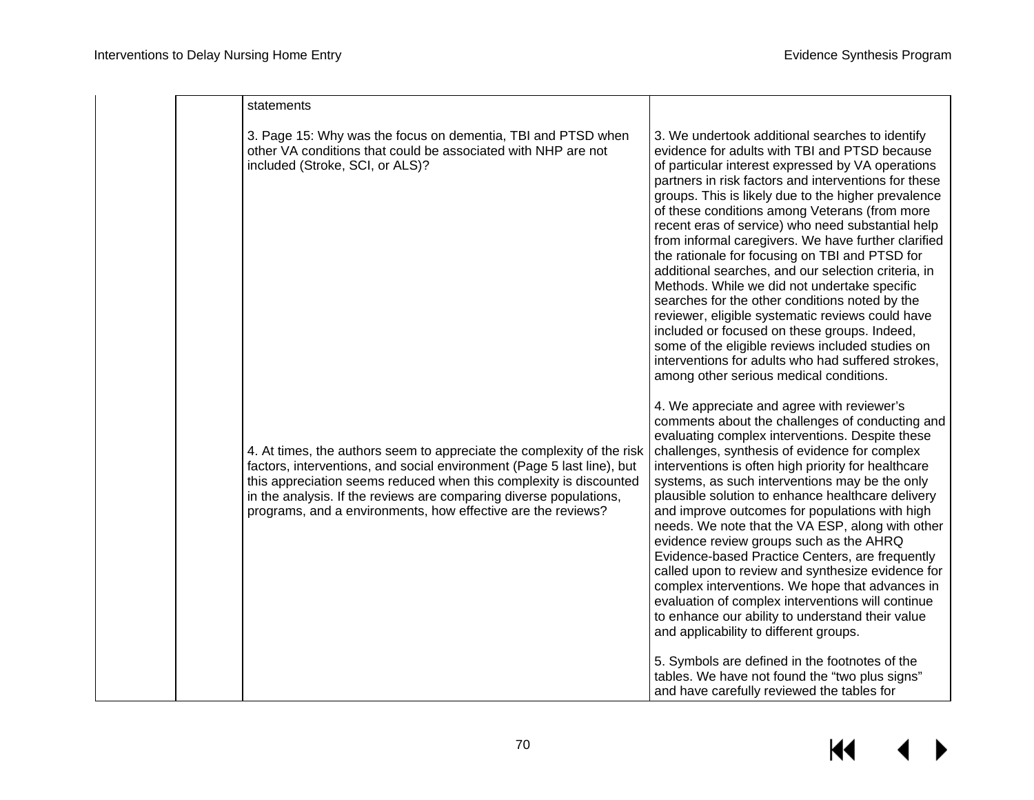| statements                                                                                                                                                                                                                                                                                                                                                   |                                                                                                                                                                                                                                                                                                                                                                                                                                                                                                                                                                                                                                                                                                                                                                                                                                                                                                       |
|--------------------------------------------------------------------------------------------------------------------------------------------------------------------------------------------------------------------------------------------------------------------------------------------------------------------------------------------------------------|-------------------------------------------------------------------------------------------------------------------------------------------------------------------------------------------------------------------------------------------------------------------------------------------------------------------------------------------------------------------------------------------------------------------------------------------------------------------------------------------------------------------------------------------------------------------------------------------------------------------------------------------------------------------------------------------------------------------------------------------------------------------------------------------------------------------------------------------------------------------------------------------------------|
| 3. Page 15: Why was the focus on dementia, TBI and PTSD when<br>other VA conditions that could be associated with NHP are not<br>included (Stroke, SCI, or ALS)?                                                                                                                                                                                             | 3. We undertook additional searches to identify<br>evidence for adults with TBI and PTSD because<br>of particular interest expressed by VA operations<br>partners in risk factors and interventions for these<br>groups. This is likely due to the higher prevalence<br>of these conditions among Veterans (from more<br>recent eras of service) who need substantial help<br>from informal caregivers. We have further clarified<br>the rationale for focusing on TBI and PTSD for<br>additional searches, and our selection criteria, in<br>Methods. While we did not undertake specific<br>searches for the other conditions noted by the<br>reviewer, eligible systematic reviews could have<br>included or focused on these groups. Indeed,<br>some of the eligible reviews included studies on<br>interventions for adults who had suffered strokes,<br>among other serious medical conditions. |
| 4. At times, the authors seem to appreciate the complexity of the risk<br>factors, interventions, and social environment (Page 5 last line), but<br>this appreciation seems reduced when this complexity is discounted<br>in the analysis. If the reviews are comparing diverse populations,<br>programs, and a environments, how effective are the reviews? | 4. We appreciate and agree with reviewer's<br>comments about the challenges of conducting and<br>evaluating complex interventions. Despite these<br>challenges, synthesis of evidence for complex<br>interventions is often high priority for healthcare<br>systems, as such interventions may be the only<br>plausible solution to enhance healthcare delivery<br>and improve outcomes for populations with high<br>needs. We note that the VA ESP, along with other<br>evidence review groups such as the AHRQ<br>Evidence-based Practice Centers, are frequently<br>called upon to review and synthesize evidence for<br>complex interventions. We hope that advances in<br>evaluation of complex interventions will continue<br>to enhance our ability to understand their value<br>and applicability to different groups.                                                                        |
|                                                                                                                                                                                                                                                                                                                                                              | 5. Symbols are defined in the footnotes of the<br>tables. We have not found the "two plus signs"<br>and have carefully reviewed the tables for                                                                                                                                                                                                                                                                                                                                                                                                                                                                                                                                                                                                                                                                                                                                                        |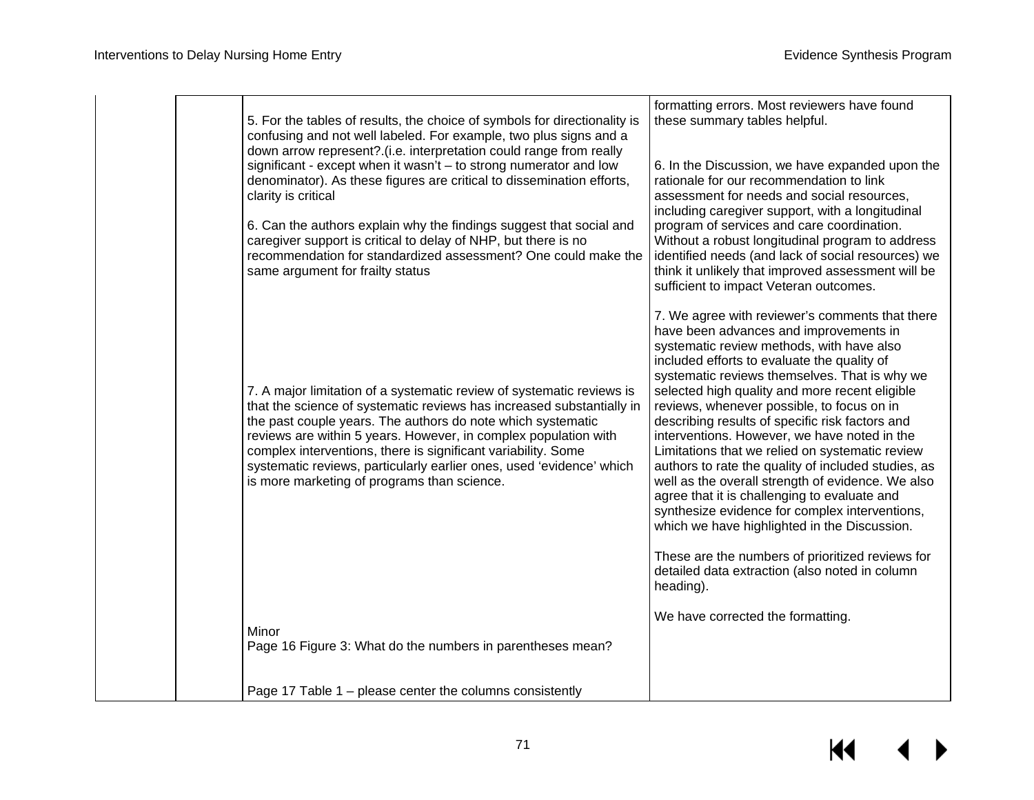|  | 5. For the tables of results, the choice of symbols for directionality is<br>confusing and not well labeled. For example, two plus signs and a<br>down arrow represent?.(i.e. interpretation could range from really<br>significant - except when it wasn't - to strong numerator and low<br>denominator). As these figures are critical to dissemination efforts,<br>clarity is critical<br>6. Can the authors explain why the findings suggest that social and<br>caregiver support is critical to delay of NHP, but there is no<br>recommendation for standardized assessment? One could make the<br>same argument for frailty status | formatting errors. Most reviewers have found<br>these summary tables helpful.<br>6. In the Discussion, we have expanded upon the<br>rationale for our recommendation to link<br>assessment for needs and social resources.<br>including caregiver support, with a longitudinal<br>program of services and care coordination.<br>Without a robust longitudinal program to address<br>identified needs (and lack of social resources) we<br>think it unlikely that improved assessment will be<br>sufficient to impact Veteran outcomes.                                                                                                                                                                                                                                                                                                                                        |
|--|------------------------------------------------------------------------------------------------------------------------------------------------------------------------------------------------------------------------------------------------------------------------------------------------------------------------------------------------------------------------------------------------------------------------------------------------------------------------------------------------------------------------------------------------------------------------------------------------------------------------------------------|-------------------------------------------------------------------------------------------------------------------------------------------------------------------------------------------------------------------------------------------------------------------------------------------------------------------------------------------------------------------------------------------------------------------------------------------------------------------------------------------------------------------------------------------------------------------------------------------------------------------------------------------------------------------------------------------------------------------------------------------------------------------------------------------------------------------------------------------------------------------------------|
|  | 7. A major limitation of a systematic review of systematic reviews is<br>that the science of systematic reviews has increased substantially in<br>the past couple years. The authors do note which systematic<br>reviews are within 5 years. However, in complex population with<br>complex interventions, there is significant variability. Some<br>systematic reviews, particularly earlier ones, used 'evidence' which<br>is more marketing of programs than science.                                                                                                                                                                 | 7. We agree with reviewer's comments that there<br>have been advances and improvements in<br>systematic review methods, with have also<br>included efforts to evaluate the quality of<br>systematic reviews themselves. That is why we<br>selected high quality and more recent eligible<br>reviews, whenever possible, to focus on in<br>describing results of specific risk factors and<br>interventions. However, we have noted in the<br>Limitations that we relied on systematic review<br>authors to rate the quality of included studies, as<br>well as the overall strength of evidence. We also<br>agree that it is challenging to evaluate and<br>synthesize evidence for complex interventions,<br>which we have highlighted in the Discussion.<br>These are the numbers of prioritized reviews for<br>detailed data extraction (also noted in column<br>heading). |
|  | Minor<br>Page 16 Figure 3: What do the numbers in parentheses mean?                                                                                                                                                                                                                                                                                                                                                                                                                                                                                                                                                                      | We have corrected the formatting.                                                                                                                                                                                                                                                                                                                                                                                                                                                                                                                                                                                                                                                                                                                                                                                                                                             |
|  | Page 17 Table 1 – please center the columns consistently                                                                                                                                                                                                                                                                                                                                                                                                                                                                                                                                                                                 |                                                                                                                                                                                                                                                                                                                                                                                                                                                                                                                                                                                                                                                                                                                                                                                                                                                                               |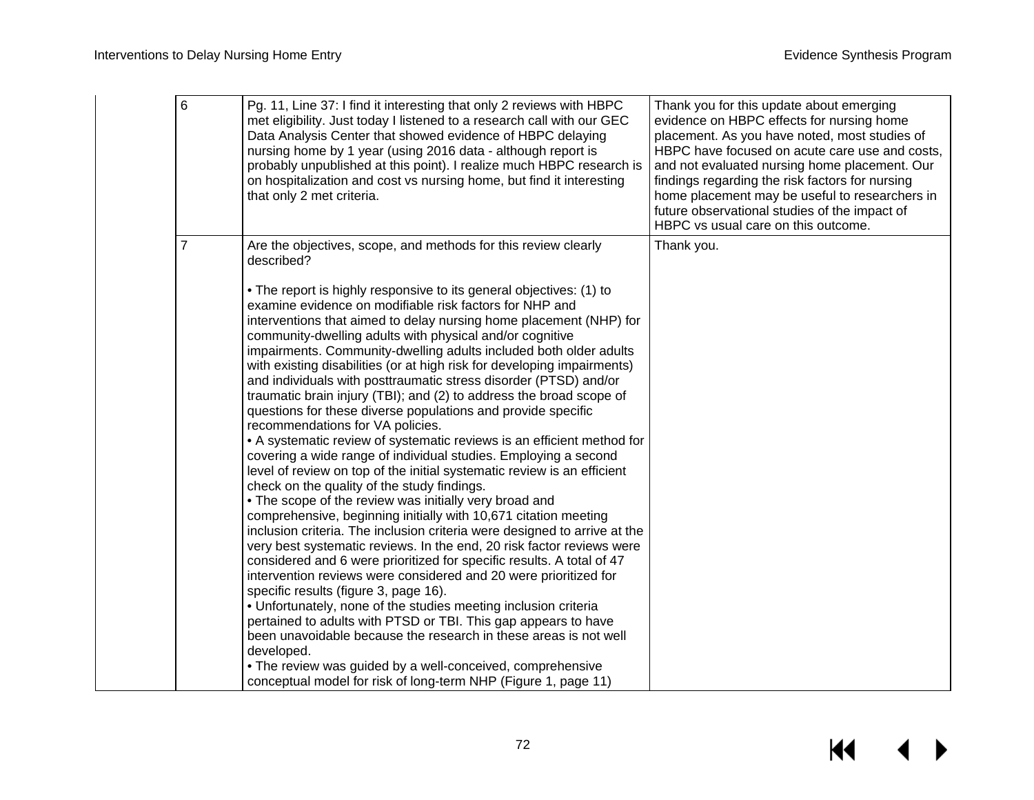| 6              | Pg. 11, Line 37: I find it interesting that only 2 reviews with HBPC<br>met eligibility. Just today I listened to a research call with our GEC<br>Data Analysis Center that showed evidence of HBPC delaying<br>nursing home by 1 year (using 2016 data - although report is<br>probably unpublished at this point). I realize much HBPC research is<br>on hospitalization and cost vs nursing home, but find it interesting<br>that only 2 met criteria.                                                                                                                                                                                                                                                                                                                                                                                                                                                                                                                                                                                                                                                                                                                                                                                                                                                                                                                                                                                                                                                                                                                                                                                                                                            | Thank you for this update about emerging<br>evidence on HBPC effects for nursing home<br>placement. As you have noted, most studies of<br>HBPC have focused on acute care use and costs,<br>and not evaluated nursing home placement. Our<br>findings regarding the risk factors for nursing<br>home placement may be useful to researchers in<br>future observational studies of the impact of<br>HBPC vs usual care on this outcome. |
|----------------|------------------------------------------------------------------------------------------------------------------------------------------------------------------------------------------------------------------------------------------------------------------------------------------------------------------------------------------------------------------------------------------------------------------------------------------------------------------------------------------------------------------------------------------------------------------------------------------------------------------------------------------------------------------------------------------------------------------------------------------------------------------------------------------------------------------------------------------------------------------------------------------------------------------------------------------------------------------------------------------------------------------------------------------------------------------------------------------------------------------------------------------------------------------------------------------------------------------------------------------------------------------------------------------------------------------------------------------------------------------------------------------------------------------------------------------------------------------------------------------------------------------------------------------------------------------------------------------------------------------------------------------------------------------------------------------------------|----------------------------------------------------------------------------------------------------------------------------------------------------------------------------------------------------------------------------------------------------------------------------------------------------------------------------------------------------------------------------------------------------------------------------------------|
| $\overline{7}$ | Are the objectives, scope, and methods for this review clearly<br>described?                                                                                                                                                                                                                                                                                                                                                                                                                                                                                                                                                                                                                                                                                                                                                                                                                                                                                                                                                                                                                                                                                                                                                                                                                                                                                                                                                                                                                                                                                                                                                                                                                         | Thank you.                                                                                                                                                                                                                                                                                                                                                                                                                             |
|                | • The report is highly responsive to its general objectives: (1) to<br>examine evidence on modifiable risk factors for NHP and<br>interventions that aimed to delay nursing home placement (NHP) for<br>community-dwelling adults with physical and/or cognitive<br>impairments. Community-dwelling adults included both older adults<br>with existing disabilities (or at high risk for developing impairments)<br>and individuals with posttraumatic stress disorder (PTSD) and/or<br>traumatic brain injury (TBI); and (2) to address the broad scope of<br>questions for these diverse populations and provide specific<br>recommendations for VA policies.<br>• A systematic review of systematic reviews is an efficient method for<br>covering a wide range of individual studies. Employing a second<br>level of review on top of the initial systematic review is an efficient<br>check on the quality of the study findings.<br>• The scope of the review was initially very broad and<br>comprehensive, beginning initially with 10,671 citation meeting<br>inclusion criteria. The inclusion criteria were designed to arrive at the<br>very best systematic reviews. In the end, 20 risk factor reviews were<br>considered and 6 were prioritized for specific results. A total of 47<br>intervention reviews were considered and 20 were prioritized for<br>specific results (figure 3, page 16).<br>• Unfortunately, none of the studies meeting inclusion criteria<br>pertained to adults with PTSD or TBI. This gap appears to have<br>been unavoidable because the research in these areas is not well<br>developed.<br>• The review was guided by a well-conceived, comprehensive |                                                                                                                                                                                                                                                                                                                                                                                                                                        |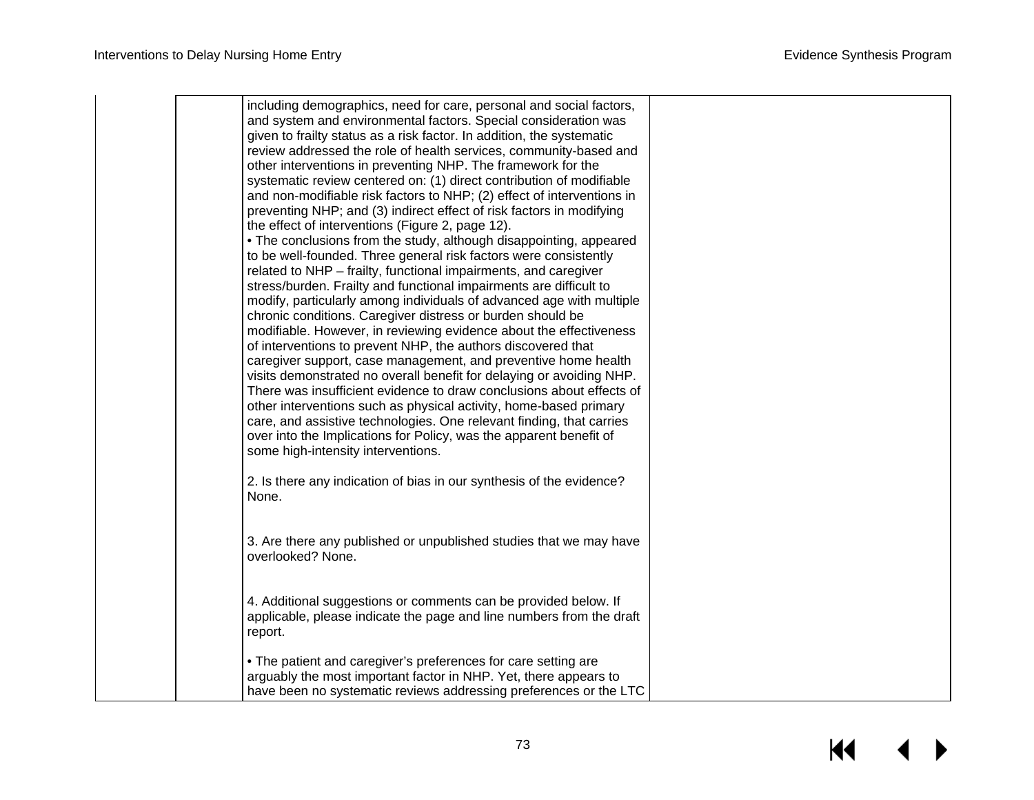| including demographics, need for care, personal and social factors,<br>and system and environmental factors. Special consideration was<br>given to frailty status as a risk factor. In addition, the systematic<br>review addressed the role of health services, community-based and<br>other interventions in preventing NHP. The framework for the<br>systematic review centered on: (1) direct contribution of modifiable<br>and non-modifiable risk factors to NHP; (2) effect of interventions in<br>preventing NHP; and (3) indirect effect of risk factors in modifying<br>the effect of interventions (Figure 2, page 12).<br>• The conclusions from the study, although disappointing, appeared<br>to be well-founded. Three general risk factors were consistently<br>related to NHP - frailty, functional impairments, and caregiver<br>stress/burden. Frailty and functional impairments are difficult to<br>modify, particularly among individuals of advanced age with multiple<br>chronic conditions. Caregiver distress or burden should be<br>modifiable. However, in reviewing evidence about the effectiveness<br>of interventions to prevent NHP, the authors discovered that<br>caregiver support, case management, and preventive home health<br>visits demonstrated no overall benefit for delaying or avoiding NHP.<br>There was insufficient evidence to draw conclusions about effects of<br>other interventions such as physical activity, home-based primary |  |
|------------------------------------------------------------------------------------------------------------------------------------------------------------------------------------------------------------------------------------------------------------------------------------------------------------------------------------------------------------------------------------------------------------------------------------------------------------------------------------------------------------------------------------------------------------------------------------------------------------------------------------------------------------------------------------------------------------------------------------------------------------------------------------------------------------------------------------------------------------------------------------------------------------------------------------------------------------------------------------------------------------------------------------------------------------------------------------------------------------------------------------------------------------------------------------------------------------------------------------------------------------------------------------------------------------------------------------------------------------------------------------------------------------------------------------------------------------------------------------------|--|
| care, and assistive technologies. One relevant finding, that carries<br>over into the Implications for Policy, was the apparent benefit of<br>some high-intensity interventions.                                                                                                                                                                                                                                                                                                                                                                                                                                                                                                                                                                                                                                                                                                                                                                                                                                                                                                                                                                                                                                                                                                                                                                                                                                                                                                         |  |
| 2. Is there any indication of bias in our synthesis of the evidence?<br>None.<br>3. Are there any published or unpublished studies that we may have                                                                                                                                                                                                                                                                                                                                                                                                                                                                                                                                                                                                                                                                                                                                                                                                                                                                                                                                                                                                                                                                                                                                                                                                                                                                                                                                      |  |
| overlooked? None.<br>4. Additional suggestions or comments can be provided below. If<br>applicable, please indicate the page and line numbers from the draft<br>report.                                                                                                                                                                                                                                                                                                                                                                                                                                                                                                                                                                                                                                                                                                                                                                                                                                                                                                                                                                                                                                                                                                                                                                                                                                                                                                                  |  |
| • The patient and caregiver's preferences for care setting are<br>arguably the most important factor in NHP. Yet, there appears to<br>have been no systematic reviews addressing preferences or the LTC                                                                                                                                                                                                                                                                                                                                                                                                                                                                                                                                                                                                                                                                                                                                                                                                                                                                                                                                                                                                                                                                                                                                                                                                                                                                                  |  |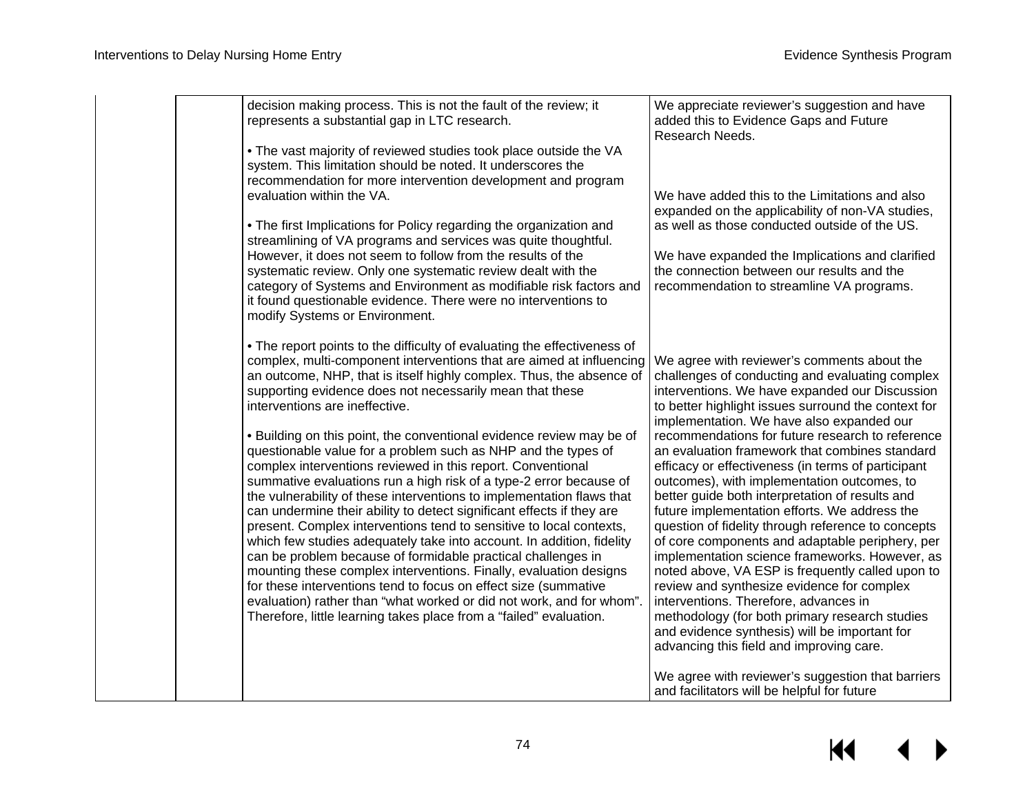| decision making process. This is not the fault of the review; it<br>represents a substantial gap in LTC research.                                                                                                                                                                                                                                                                                                                                                                                                                                                                                                                                                                                                                                                                                                                                                                                                                                                                                                                                                                                                                                                                                                                                            | We appreciate reviewer's suggestion and have<br>added this to Evidence Gaps and Future<br>Research Needs.                                                                                                                                                                                                                                                                                                                                                                                                                                                                                                                                                                                                                                                                                                                                                                                                                                                                                                                                                                     |
|--------------------------------------------------------------------------------------------------------------------------------------------------------------------------------------------------------------------------------------------------------------------------------------------------------------------------------------------------------------------------------------------------------------------------------------------------------------------------------------------------------------------------------------------------------------------------------------------------------------------------------------------------------------------------------------------------------------------------------------------------------------------------------------------------------------------------------------------------------------------------------------------------------------------------------------------------------------------------------------------------------------------------------------------------------------------------------------------------------------------------------------------------------------------------------------------------------------------------------------------------------------|-------------------------------------------------------------------------------------------------------------------------------------------------------------------------------------------------------------------------------------------------------------------------------------------------------------------------------------------------------------------------------------------------------------------------------------------------------------------------------------------------------------------------------------------------------------------------------------------------------------------------------------------------------------------------------------------------------------------------------------------------------------------------------------------------------------------------------------------------------------------------------------------------------------------------------------------------------------------------------------------------------------------------------------------------------------------------------|
| . The vast majority of reviewed studies took place outside the VA<br>system. This limitation should be noted. It underscores the<br>recommendation for more intervention development and program<br>evaluation within the VA.                                                                                                                                                                                                                                                                                                                                                                                                                                                                                                                                                                                                                                                                                                                                                                                                                                                                                                                                                                                                                                | We have added this to the Limitations and also<br>expanded on the applicability of non-VA studies,                                                                                                                                                                                                                                                                                                                                                                                                                                                                                                                                                                                                                                                                                                                                                                                                                                                                                                                                                                            |
| . The first Implications for Policy regarding the organization and<br>streamlining of VA programs and services was quite thoughtful.<br>However, it does not seem to follow from the results of the<br>systematic review. Only one systematic review dealt with the<br>category of Systems and Environment as modifiable risk factors and<br>it found questionable evidence. There were no interventions to<br>modify Systems or Environment.                                                                                                                                                                                                                                                                                                                                                                                                                                                                                                                                                                                                                                                                                                                                                                                                                | as well as those conducted outside of the US.<br>We have expanded the Implications and clarified<br>the connection between our results and the<br>recommendation to streamline VA programs.                                                                                                                                                                                                                                                                                                                                                                                                                                                                                                                                                                                                                                                                                                                                                                                                                                                                                   |
| • The report points to the difficulty of evaluating the effectiveness of<br>complex, multi-component interventions that are aimed at influencing<br>an outcome, NHP, that is itself highly complex. Thus, the absence of<br>supporting evidence does not necessarily mean that these<br>interventions are ineffective.<br>• Building on this point, the conventional evidence review may be of<br>questionable value for a problem such as NHP and the types of<br>complex interventions reviewed in this report. Conventional<br>summative evaluations run a high risk of a type-2 error because of<br>the vulnerability of these interventions to implementation flaws that<br>can undermine their ability to detect significant effects if they are<br>present. Complex interventions tend to sensitive to local contexts,<br>which few studies adequately take into account. In addition, fidelity<br>can be problem because of formidable practical challenges in<br>mounting these complex interventions. Finally, evaluation designs<br>for these interventions tend to focus on effect size (summative<br>evaluation) rather than "what worked or did not work, and for whom".<br>Therefore, little learning takes place from a "failed" evaluation. | We agree with reviewer's comments about the<br>challenges of conducting and evaluating complex<br>interventions. We have expanded our Discussion<br>to better highlight issues surround the context for<br>implementation. We have also expanded our<br>recommendations for future research to reference<br>an evaluation framework that combines standard<br>efficacy or effectiveness (in terms of participant<br>outcomes), with implementation outcomes, to<br>better guide both interpretation of results and<br>future implementation efforts. We address the<br>question of fidelity through reference to concepts<br>of core components and adaptable periphery, per<br>implementation science frameworks. However, as<br>noted above, VA ESP is frequently called upon to<br>review and synthesize evidence for complex<br>interventions. Therefore, advances in<br>methodology (for both primary research studies<br>and evidence synthesis) will be important for<br>advancing this field and improving care.<br>We agree with reviewer's suggestion that barriers |
|                                                                                                                                                                                                                                                                                                                                                                                                                                                                                                                                                                                                                                                                                                                                                                                                                                                                                                                                                                                                                                                                                                                                                                                                                                                              | and facilitators will be helpful for future                                                                                                                                                                                                                                                                                                                                                                                                                                                                                                                                                                                                                                                                                                                                                                                                                                                                                                                                                                                                                                   |

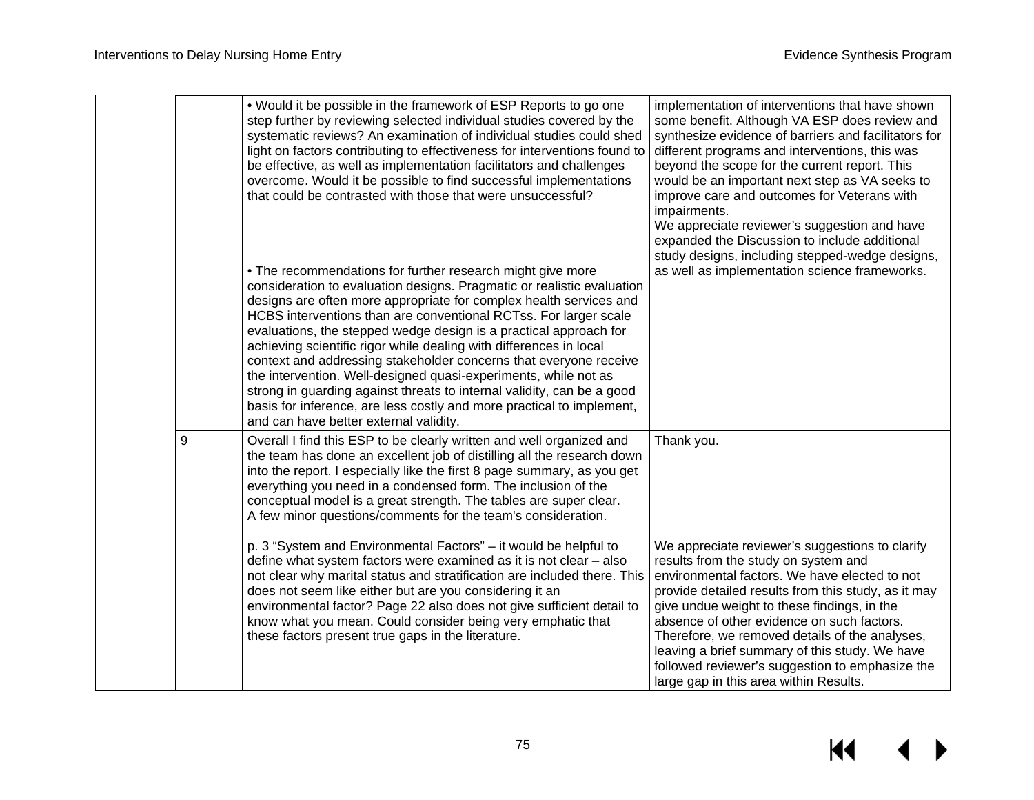|   | . Would it be possible in the framework of ESP Reports to go one<br>step further by reviewing selected individual studies covered by the<br>systematic reviews? An examination of individual studies could shed<br>light on factors contributing to effectiveness for interventions found to<br>be effective, as well as implementation facilitators and challenges<br>overcome. Would it be possible to find successful implementations<br>that could be contrasted with those that were unsuccessful?<br>. The recommendations for further research might give more<br>consideration to evaluation designs. Pragmatic or realistic evaluation<br>designs are often more appropriate for complex health services and<br>HCBS interventions than are conventional RCTss. For larger scale<br>evaluations, the stepped wedge design is a practical approach for<br>achieving scientific rigor while dealing with differences in local<br>context and addressing stakeholder concerns that everyone receive<br>the intervention. Well-designed quasi-experiments, while not as<br>strong in guarding against threats to internal validity, can be a good<br>basis for inference, are less costly and more practical to implement,<br>and can have better external validity. | implementation of interventions that have shown<br>some benefit. Although VA ESP does review and<br>synthesize evidence of barriers and facilitators for<br>different programs and interventions, this was<br>beyond the scope for the current report. This<br>would be an important next step as VA seeks to<br>improve care and outcomes for Veterans with<br>impairments.<br>We appreciate reviewer's suggestion and have<br>expanded the Discussion to include additional<br>study designs, including stepped-wedge designs,<br>as well as implementation science frameworks. |
|---|---------------------------------------------------------------------------------------------------------------------------------------------------------------------------------------------------------------------------------------------------------------------------------------------------------------------------------------------------------------------------------------------------------------------------------------------------------------------------------------------------------------------------------------------------------------------------------------------------------------------------------------------------------------------------------------------------------------------------------------------------------------------------------------------------------------------------------------------------------------------------------------------------------------------------------------------------------------------------------------------------------------------------------------------------------------------------------------------------------------------------------------------------------------------------------------------------------------------------------------------------------------------------|-----------------------------------------------------------------------------------------------------------------------------------------------------------------------------------------------------------------------------------------------------------------------------------------------------------------------------------------------------------------------------------------------------------------------------------------------------------------------------------------------------------------------------------------------------------------------------------|
| 9 | Overall I find this ESP to be clearly written and well organized and<br>the team has done an excellent job of distilling all the research down<br>into the report. I especially like the first 8 page summary, as you get<br>everything you need in a condensed form. The inclusion of the<br>conceptual model is a great strength. The tables are super clear.<br>A few minor questions/comments for the team's consideration.                                                                                                                                                                                                                                                                                                                                                                                                                                                                                                                                                                                                                                                                                                                                                                                                                                           | Thank you.                                                                                                                                                                                                                                                                                                                                                                                                                                                                                                                                                                        |
|   | p. 3 "System and Environmental Factors" – it would be helpful to<br>define what system factors were examined as it is not clear - also<br>not clear why marital status and stratification are included there. This<br>does not seem like either but are you considering it an<br>environmental factor? Page 22 also does not give sufficient detail to<br>know what you mean. Could consider being very emphatic that<br>these factors present true gaps in the literature.                                                                                                                                                                                                                                                                                                                                                                                                                                                                                                                                                                                                                                                                                                                                                                                               | We appreciate reviewer's suggestions to clarify<br>results from the study on system and<br>environmental factors. We have elected to not<br>provide detailed results from this study, as it may<br>give undue weight to these findings, in the<br>absence of other evidence on such factors.<br>Therefore, we removed details of the analyses,<br>leaving a brief summary of this study. We have<br>followed reviewer's suggestion to emphasize the<br>large gap in this area within Results.                                                                                     |

### $\overline{\mathbf{M}}$ ▶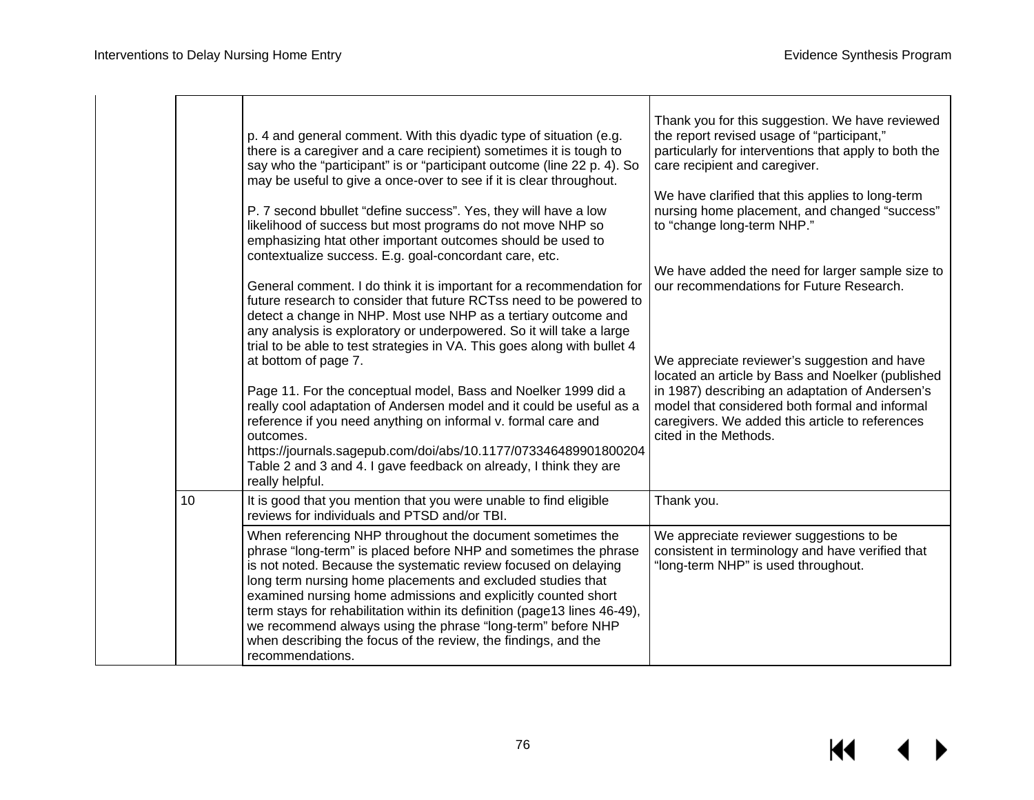|    | p. 4 and general comment. With this dyadic type of situation (e.g.<br>there is a caregiver and a care recipient) sometimes it is tough to<br>say who the "participant" is or "participant outcome (line 22 p. 4). So<br>may be useful to give a once-over to see if it is clear throughout.<br>P. 7 second bbullet "define success". Yes, they will have a low<br>likelihood of success but most programs do not move NHP so<br>emphasizing htat other important outcomes should be used to<br>contextualize success. E.g. goal-concordant care, etc.<br>General comment. I do think it is important for a recommendation for<br>future research to consider that future RCTss need to be powered to<br>detect a change in NHP. Most use NHP as a tertiary outcome and<br>any analysis is exploratory or underpowered. So it will take a large<br>trial to be able to test strategies in VA. This goes along with bullet 4<br>at bottom of page 7.<br>Page 11. For the conceptual model, Bass and Noelker 1999 did a<br>really cool adaptation of Andersen model and it could be useful as a<br>reference if you need anything on informal v. formal care and<br>outcomes.<br>https://journals.sagepub.com/doi/abs/10.1177/073346489901800204<br>Table 2 and 3 and 4. I gave feedback on already, I think they are<br>really helpful. | Thank you for this suggestion. We have reviewed<br>the report revised usage of "participant,"<br>particularly for interventions that apply to both the<br>care recipient and caregiver.<br>We have clarified that this applies to long-term<br>nursing home placement, and changed "success"<br>to "change long-term NHP."<br>We have added the need for larger sample size to<br>our recommendations for Future Research.<br>We appreciate reviewer's suggestion and have<br>located an article by Bass and Noelker (published<br>in 1987) describing an adaptation of Andersen's<br>model that considered both formal and informal<br>caregivers. We added this article to references<br>cited in the Methods. |
|----|---------------------------------------------------------------------------------------------------------------------------------------------------------------------------------------------------------------------------------------------------------------------------------------------------------------------------------------------------------------------------------------------------------------------------------------------------------------------------------------------------------------------------------------------------------------------------------------------------------------------------------------------------------------------------------------------------------------------------------------------------------------------------------------------------------------------------------------------------------------------------------------------------------------------------------------------------------------------------------------------------------------------------------------------------------------------------------------------------------------------------------------------------------------------------------------------------------------------------------------------------------------------------------------------------------------------------------------|------------------------------------------------------------------------------------------------------------------------------------------------------------------------------------------------------------------------------------------------------------------------------------------------------------------------------------------------------------------------------------------------------------------------------------------------------------------------------------------------------------------------------------------------------------------------------------------------------------------------------------------------------------------------------------------------------------------|
| 10 | It is good that you mention that you were unable to find eligible<br>reviews for individuals and PTSD and/or TBI.                                                                                                                                                                                                                                                                                                                                                                                                                                                                                                                                                                                                                                                                                                                                                                                                                                                                                                                                                                                                                                                                                                                                                                                                                     | Thank you.                                                                                                                                                                                                                                                                                                                                                                                                                                                                                                                                                                                                                                                                                                       |
|    | When referencing NHP throughout the document sometimes the<br>phrase "long-term" is placed before NHP and sometimes the phrase<br>is not noted. Because the systematic review focused on delaying<br>long term nursing home placements and excluded studies that<br>examined nursing home admissions and explicitly counted short<br>term stays for rehabilitation within its definition (page13 lines 46-49),<br>we recommend always using the phrase "long-term" before NHP<br>when describing the focus of the review, the findings, and the<br>recommendations.                                                                                                                                                                                                                                                                                                                                                                                                                                                                                                                                                                                                                                                                                                                                                                   | We appreciate reviewer suggestions to be<br>consistent in terminology and have verified that<br>"long-term NHP" is used throughout.                                                                                                                                                                                                                                                                                                                                                                                                                                                                                                                                                                              |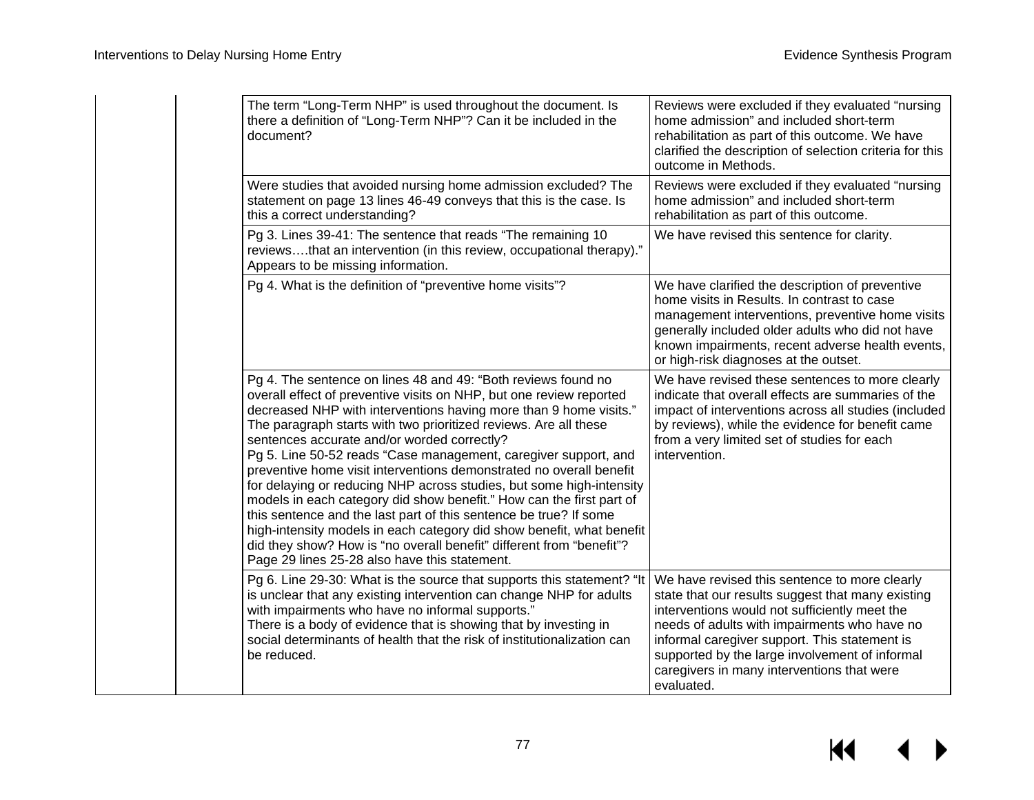| The term "Long-Term NHP" is used throughout the document. Is<br>there a definition of "Long-Term NHP"? Can it be included in the<br>document?                                                                                                                                                                                                                                                                                                                                                                                                                                                                                                                                                                                                                                                                                                                                                 | Reviews were excluded if they evaluated "nursing<br>home admission" and included short-term<br>rehabilitation as part of this outcome. We have<br>clarified the description of selection criteria for this<br>outcome in Methods.                                                                                                                                  |
|-----------------------------------------------------------------------------------------------------------------------------------------------------------------------------------------------------------------------------------------------------------------------------------------------------------------------------------------------------------------------------------------------------------------------------------------------------------------------------------------------------------------------------------------------------------------------------------------------------------------------------------------------------------------------------------------------------------------------------------------------------------------------------------------------------------------------------------------------------------------------------------------------|--------------------------------------------------------------------------------------------------------------------------------------------------------------------------------------------------------------------------------------------------------------------------------------------------------------------------------------------------------------------|
| Were studies that avoided nursing home admission excluded? The<br>statement on page 13 lines 46-49 conveys that this is the case. Is<br>this a correct understanding?                                                                                                                                                                                                                                                                                                                                                                                                                                                                                                                                                                                                                                                                                                                         | Reviews were excluded if they evaluated "nursing<br>home admission" and included short-term<br>rehabilitation as part of this outcome.                                                                                                                                                                                                                             |
| Pg 3. Lines 39-41: The sentence that reads "The remaining 10<br>reviewsthat an intervention (in this review, occupational therapy)."<br>Appears to be missing information.                                                                                                                                                                                                                                                                                                                                                                                                                                                                                                                                                                                                                                                                                                                    | We have revised this sentence for clarity.                                                                                                                                                                                                                                                                                                                         |
| Pg 4. What is the definition of "preventive home visits"?                                                                                                                                                                                                                                                                                                                                                                                                                                                                                                                                                                                                                                                                                                                                                                                                                                     | We have clarified the description of preventive<br>home visits in Results. In contrast to case<br>management interventions, preventive home visits<br>generally included older adults who did not have<br>known impairments, recent adverse health events,<br>or high-risk diagnoses at the outset.                                                                |
| Pg 4. The sentence on lines 48 and 49: "Both reviews found no<br>overall effect of preventive visits on NHP, but one review reported<br>decreased NHP with interventions having more than 9 home visits."<br>The paragraph starts with two prioritized reviews. Are all these<br>sentences accurate and/or worded correctly?<br>Pg 5. Line 50-52 reads "Case management, caregiver support, and<br>preventive home visit interventions demonstrated no overall benefit<br>for delaying or reducing NHP across studies, but some high-intensity<br>models in each category did show benefit." How can the first part of<br>this sentence and the last part of this sentence be true? If some<br>high-intensity models in each category did show benefit, what benefit<br>did they show? How is "no overall benefit" different from "benefit"?<br>Page 29 lines 25-28 also have this statement. | We have revised these sentences to more clearly<br>indicate that overall effects are summaries of the<br>impact of interventions across all studies (included<br>by reviews), while the evidence for benefit came<br>from a very limited set of studies for each<br>intervention.                                                                                  |
| Pg 6. Line 29-30: What is the source that supports this statement? "It<br>is unclear that any existing intervention can change NHP for adults<br>with impairments who have no informal supports."<br>There is a body of evidence that is showing that by investing in<br>social determinants of health that the risk of institutionalization can<br>be reduced.                                                                                                                                                                                                                                                                                                                                                                                                                                                                                                                               | We have revised this sentence to more clearly<br>state that our results suggest that many existing<br>interventions would not sufficiently meet the<br>needs of adults with impairments who have no<br>informal caregiver support. This statement is<br>supported by the large involvement of informal<br>caregivers in many interventions that were<br>evaluated. |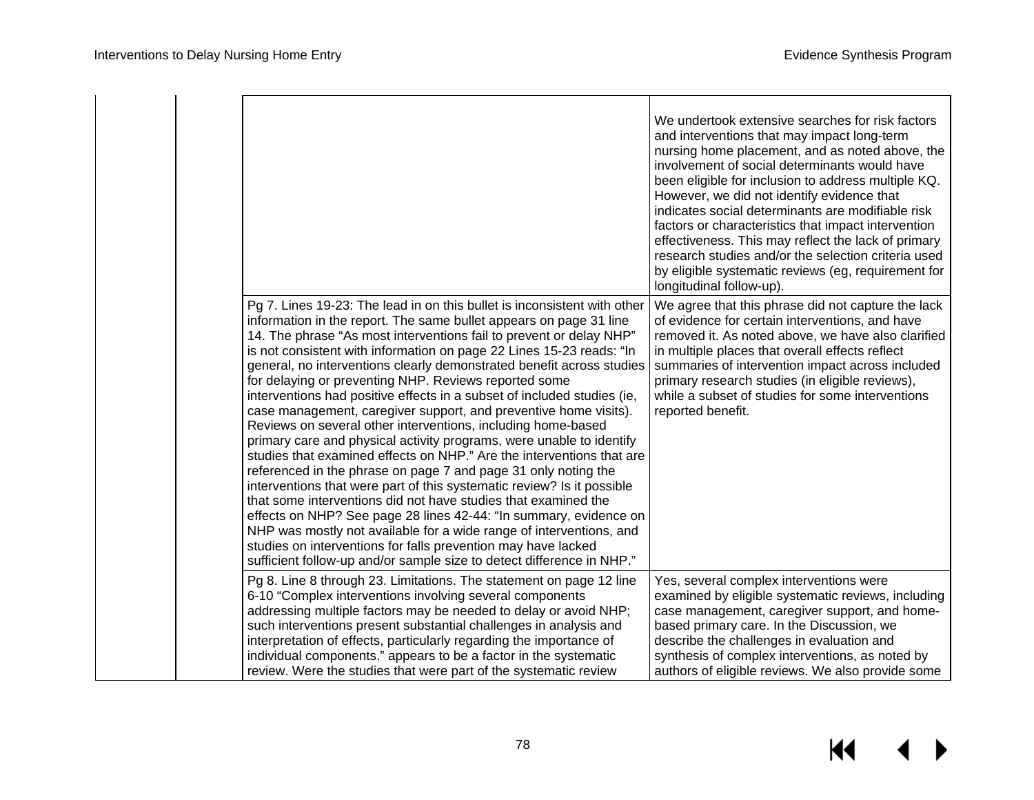|  |                                                                                                                                                                                                                                                                                                                                                                                                                                                                                                                                                                                                                                                                                                                                                                                                                                                                                                                                                                                                                                                                                                                                                                                                                                                                                                     | We undertook extensive searches for risk factors<br>and interventions that may impact long-term<br>nursing home placement, and as noted above, the<br>involvement of social determinants would have<br>been eligible for inclusion to address multiple KQ.<br>However, we did not identify evidence that<br>indicates social determinants are modifiable risk<br>factors or characteristics that impact intervention<br>effectiveness. This may reflect the lack of primary<br>research studies and/or the selection criteria used<br>by eligible systematic reviews (eg, requirement for<br>longitudinal follow-up). |
|--|-----------------------------------------------------------------------------------------------------------------------------------------------------------------------------------------------------------------------------------------------------------------------------------------------------------------------------------------------------------------------------------------------------------------------------------------------------------------------------------------------------------------------------------------------------------------------------------------------------------------------------------------------------------------------------------------------------------------------------------------------------------------------------------------------------------------------------------------------------------------------------------------------------------------------------------------------------------------------------------------------------------------------------------------------------------------------------------------------------------------------------------------------------------------------------------------------------------------------------------------------------------------------------------------------------|-----------------------------------------------------------------------------------------------------------------------------------------------------------------------------------------------------------------------------------------------------------------------------------------------------------------------------------------------------------------------------------------------------------------------------------------------------------------------------------------------------------------------------------------------------------------------------------------------------------------------|
|  | Pg 7. Lines 19-23: The lead in on this bullet is inconsistent with other<br>information in the report. The same bullet appears on page 31 line<br>14. The phrase "As most interventions fail to prevent or delay NHP"<br>is not consistent with information on page 22 Lines 15-23 reads: "In<br>general, no interventions clearly demonstrated benefit across studies<br>for delaying or preventing NHP. Reviews reported some<br>interventions had positive effects in a subset of included studies (ie,<br>case management, caregiver support, and preventive home visits).<br>Reviews on several other interventions, including home-based<br>primary care and physical activity programs, were unable to identify<br>studies that examined effects on NHP." Are the interventions that are<br>referenced in the phrase on page 7 and page 31 only noting the<br>interventions that were part of this systematic review? Is it possible<br>that some interventions did not have studies that examined the<br>effects on NHP? See page 28 lines 42-44: "In summary, evidence on<br>NHP was mostly not available for a wide range of interventions, and<br>studies on interventions for falls prevention may have lacked<br>sufficient follow-up and/or sample size to detect difference in NHP." | We agree that this phrase did not capture the lack<br>of evidence for certain interventions, and have<br>removed it. As noted above, we have also clarified<br>in multiple places that overall effects reflect<br>summaries of intervention impact across included<br>primary research studies (in eligible reviews),<br>while a subset of studies for some interventions<br>reported benefit.                                                                                                                                                                                                                        |
|  | Pg 8. Line 8 through 23. Limitations. The statement on page 12 line<br>6-10 "Complex interventions involving several components<br>addressing multiple factors may be needed to delay or avoid NHP;<br>such interventions present substantial challenges in analysis and<br>interpretation of effects, particularly regarding the importance of<br>individual components." appears to be a factor in the systematic<br>review. Were the studies that were part of the systematic review                                                                                                                                                                                                                                                                                                                                                                                                                                                                                                                                                                                                                                                                                                                                                                                                             | Yes, several complex interventions were<br>examined by eligible systematic reviews, including<br>case management, caregiver support, and home-<br>based primary care. In the Discussion, we<br>describe the challenges in evaluation and<br>synthesis of complex interventions, as noted by<br>authors of eligible reviews. We also provide some                                                                                                                                                                                                                                                                      |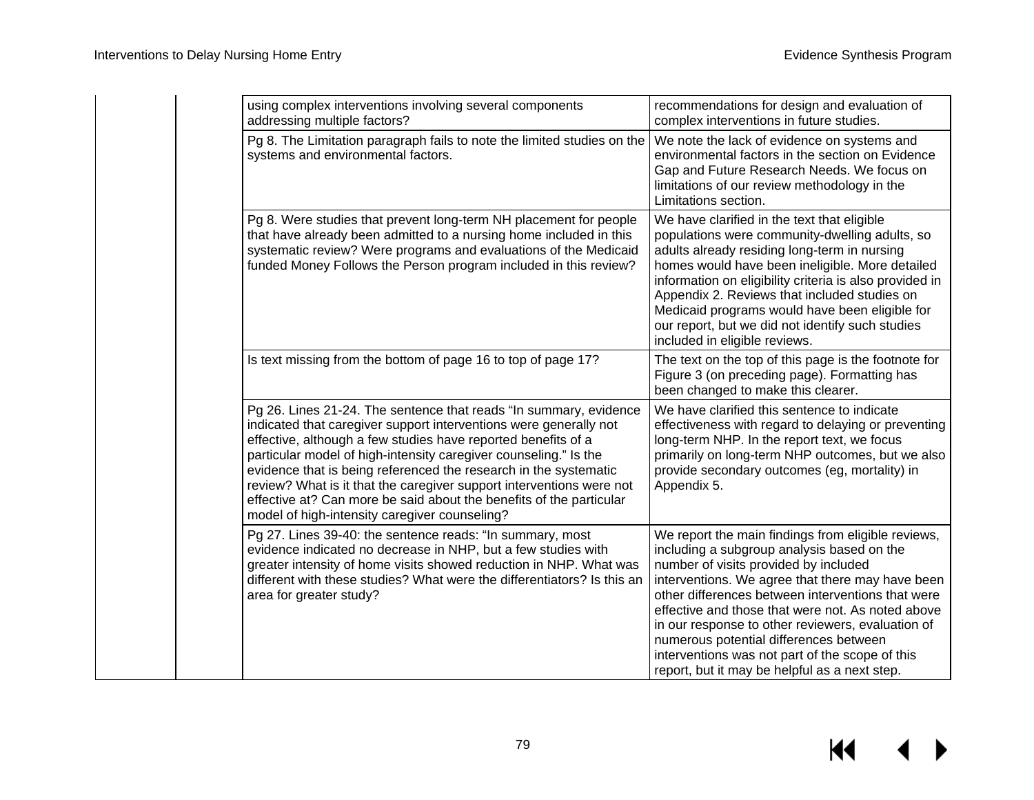| using complex interventions involving several components<br>addressing multiple factors?                                                                                                                                                                                                                                                                                                                                                                                                                                                        | recommendations for design and evaluation of<br>complex interventions in future studies.                                                                                                                                                                                                                                                                                                                                                                                                                   |
|-------------------------------------------------------------------------------------------------------------------------------------------------------------------------------------------------------------------------------------------------------------------------------------------------------------------------------------------------------------------------------------------------------------------------------------------------------------------------------------------------------------------------------------------------|------------------------------------------------------------------------------------------------------------------------------------------------------------------------------------------------------------------------------------------------------------------------------------------------------------------------------------------------------------------------------------------------------------------------------------------------------------------------------------------------------------|
| Pg 8. The Limitation paragraph fails to note the limited studies on the<br>systems and environmental factors.                                                                                                                                                                                                                                                                                                                                                                                                                                   | We note the lack of evidence on systems and<br>environmental factors in the section on Evidence<br>Gap and Future Research Needs. We focus on<br>limitations of our review methodology in the<br>Limitations section.                                                                                                                                                                                                                                                                                      |
| Pg 8. Were studies that prevent long-term NH placement for people<br>that have already been admitted to a nursing home included in this<br>systematic review? Were programs and evaluations of the Medicaid<br>funded Money Follows the Person program included in this review?                                                                                                                                                                                                                                                                 | We have clarified in the text that eligible<br>populations were community-dwelling adults, so<br>adults already residing long-term in nursing<br>homes would have been ineligible. More detailed<br>information on eligibility criteria is also provided in<br>Appendix 2. Reviews that included studies on<br>Medicaid programs would have been eligible for<br>our report, but we did not identify such studies<br>included in eligible reviews.                                                         |
| Is text missing from the bottom of page 16 to top of page 17?                                                                                                                                                                                                                                                                                                                                                                                                                                                                                   | The text on the top of this page is the footnote for<br>Figure 3 (on preceding page). Formatting has<br>been changed to make this clearer.                                                                                                                                                                                                                                                                                                                                                                 |
| Pg 26. Lines 21-24. The sentence that reads "In summary, evidence<br>indicated that caregiver support interventions were generally not<br>effective, although a few studies have reported benefits of a<br>particular model of high-intensity caregiver counseling." Is the<br>evidence that is being referenced the research in the systematic<br>review? What is it that the caregiver support interventions were not<br>effective at? Can more be said about the benefits of the particular<br>model of high-intensity caregiver counseling? | We have clarified this sentence to indicate<br>effectiveness with regard to delaying or preventing<br>long-term NHP. In the report text, we focus<br>primarily on long-term NHP outcomes, but we also<br>provide secondary outcomes (eg, mortality) in<br>Appendix 5.                                                                                                                                                                                                                                      |
| Pg 27. Lines 39-40: the sentence reads: "In summary, most<br>evidence indicated no decrease in NHP, but a few studies with<br>greater intensity of home visits showed reduction in NHP. What was<br>different with these studies? What were the differentiators? Is this an<br>area for greater study?                                                                                                                                                                                                                                          | We report the main findings from eligible reviews,<br>including a subgroup analysis based on the<br>number of visits provided by included<br>interventions. We agree that there may have been<br>other differences between interventions that were<br>effective and those that were not. As noted above<br>in our response to other reviewers, evaluation of<br>numerous potential differences between<br>interventions was not part of the scope of this<br>report, but it may be helpful as a next step. |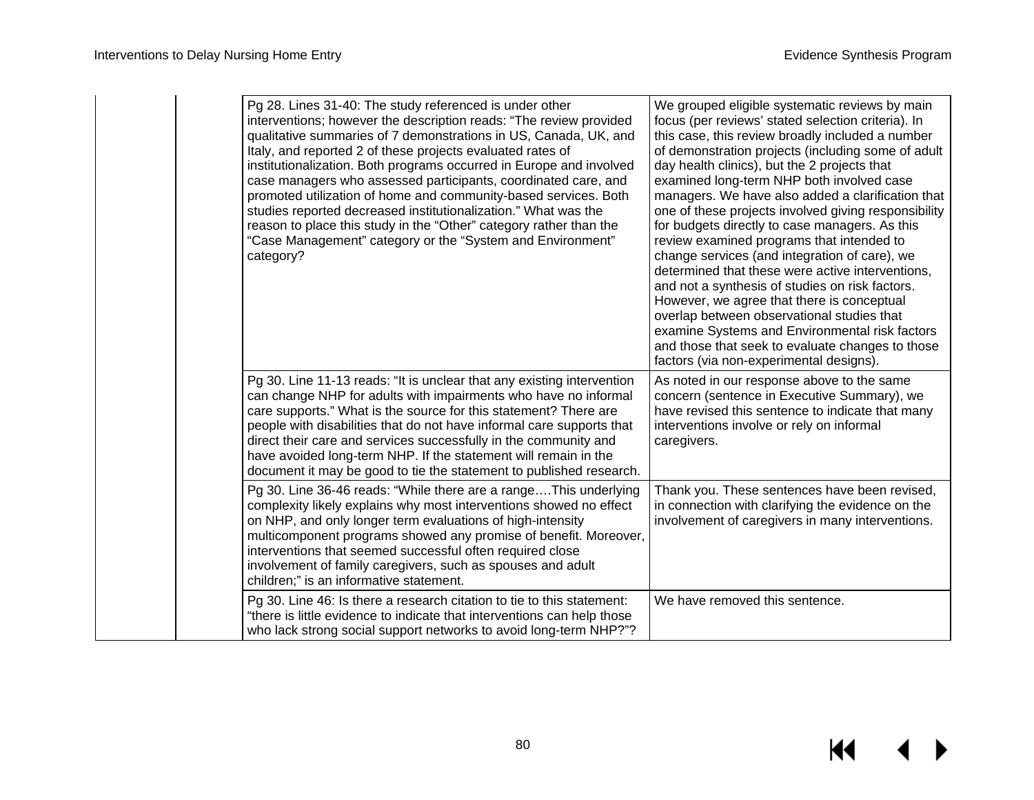| Pg 28. Lines 31-40: The study referenced is under other<br>interventions; however the description reads: "The review provided<br>qualitative summaries of 7 demonstrations in US, Canada, UK, and<br>Italy, and reported 2 of these projects evaluated rates of<br>institutionalization. Both programs occurred in Europe and involved<br>case managers who assessed participants, coordinated care, and<br>promoted utilization of home and community-based services. Both<br>studies reported decreased institutionalization." What was the<br>reason to place this study in the "Other" category rather than the<br>"Case Management" category or the "System and Environment"<br>category? | We grouped eligible systematic reviews by main<br>focus (per reviews' stated selection criteria). In<br>this case, this review broadly included a number<br>of demonstration projects (including some of adult<br>day health clinics), but the 2 projects that<br>examined long-term NHP both involved case<br>managers. We have also added a clarification that<br>one of these projects involved giving responsibility<br>for budgets directly to case managers. As this<br>review examined programs that intended to<br>change services (and integration of care), we<br>determined that these were active interventions,<br>and not a synthesis of studies on risk factors.<br>However, we agree that there is conceptual<br>overlap between observational studies that<br>examine Systems and Environmental risk factors<br>and those that seek to evaluate changes to those<br>factors (via non-experimental designs). |
|------------------------------------------------------------------------------------------------------------------------------------------------------------------------------------------------------------------------------------------------------------------------------------------------------------------------------------------------------------------------------------------------------------------------------------------------------------------------------------------------------------------------------------------------------------------------------------------------------------------------------------------------------------------------------------------------|------------------------------------------------------------------------------------------------------------------------------------------------------------------------------------------------------------------------------------------------------------------------------------------------------------------------------------------------------------------------------------------------------------------------------------------------------------------------------------------------------------------------------------------------------------------------------------------------------------------------------------------------------------------------------------------------------------------------------------------------------------------------------------------------------------------------------------------------------------------------------------------------------------------------------|
| Pg 30. Line 11-13 reads: "It is unclear that any existing intervention<br>can change NHP for adults with impairments who have no informal<br>care supports." What is the source for this statement? There are<br>people with disabilities that do not have informal care supports that<br>direct their care and services successfully in the community and<br>have avoided long-term NHP. If the statement will remain in the<br>document it may be good to tie the statement to published research.                                                                                                                                                                                           | As noted in our response above to the same<br>concern (sentence in Executive Summary), we<br>have revised this sentence to indicate that many<br>interventions involve or rely on informal<br>caregivers.                                                                                                                                                                                                                                                                                                                                                                                                                                                                                                                                                                                                                                                                                                                    |
| Pg 30. Line 36-46 reads: "While there are a rangeThis underlying<br>complexity likely explains why most interventions showed no effect<br>on NHP, and only longer term evaluations of high-intensity<br>multicomponent programs showed any promise of benefit. Moreover,<br>interventions that seemed successful often required close<br>involvement of family caregivers, such as spouses and adult<br>children;" is an informative statement.                                                                                                                                                                                                                                                | Thank you. These sentences have been revised,<br>in connection with clarifying the evidence on the<br>involvement of caregivers in many interventions.                                                                                                                                                                                                                                                                                                                                                                                                                                                                                                                                                                                                                                                                                                                                                                       |
| Pg 30. Line 46: Is there a research citation to tie to this statement:<br>"there is little evidence to indicate that interventions can help those<br>who lack strong social support networks to avoid long-term NHP?"?                                                                                                                                                                                                                                                                                                                                                                                                                                                                         | We have removed this sentence.                                                                                                                                                                                                                                                                                                                                                                                                                                                                                                                                                                                                                                                                                                                                                                                                                                                                                               |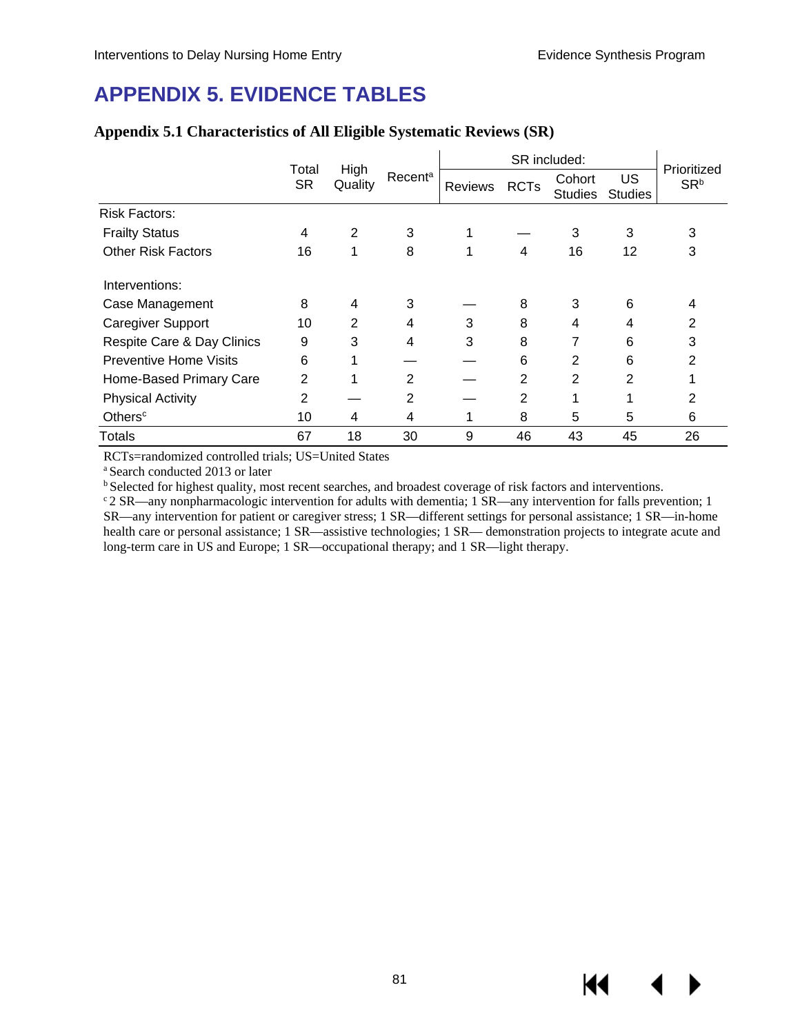# **APPENDIX 5. EVIDENCE TABLES**

|                               | Total          | High    |                     | SR included: |                |                          |                      | Prioritized     |
|-------------------------------|----------------|---------|---------------------|--------------|----------------|--------------------------|----------------------|-----------------|
|                               | <b>SR</b>      | Quality | Recent <sup>a</sup> | Reviews      | <b>RCTs</b>    | Cohort<br><b>Studies</b> | US<br><b>Studies</b> | SR <sup>b</sup> |
| <b>Risk Factors:</b>          |                |         |                     |              |                |                          |                      |                 |
| <b>Frailty Status</b>         | 4              | 2       | 3                   |              |                | 3                        | 3                    | 3               |
| <b>Other Risk Factors</b>     | 16             |         | 8                   | 1            | 4              | 16                       | 12                   | 3               |
| Interventions:                |                |         |                     |              |                |                          |                      |                 |
| Case Management               | 8              | 4       | 3                   |              | 8              | 3                        | 6                    | 4               |
| <b>Caregiver Support</b>      | 10             | 2       | 4                   | 3            | 8              | 4                        | 4                    | 2               |
| Respite Care & Day Clinics    | 9              | 3       | 4                   | 3            | 8              |                          | 6                    | 3               |
| <b>Preventive Home Visits</b> | 6              |         |                     |              | 6              | 2                        | 6                    | 2               |
| Home-Based Primary Care       | $\overline{2}$ |         | $\overline{2}$      |              | 2              | $\overline{2}$           | 2                    |                 |
| <b>Physical Activity</b>      | 2              |         | 2                   |              | $\overline{2}$ |                          |                      | 2               |
| Others <sup>c</sup>           | 10             | 4       | 4                   | 1            | 8              | 5                        | 5                    | 6               |
| <b>Totals</b>                 | 67             | 18      | 30                  | 9            | 46             | 43                       | 45                   | 26              |

### **Appendix 5.1 Characteristics of All Eligible Systematic Reviews (SR)**

RCTs=randomized controlled trials; US=United States

<sup>a</sup> Search conducted 2013 or later<br><sup>b</sup> Selected for highest quality, most recent searches, and broadest coverage of risk factors and interventions.

 $\degree$  2 SR—any nonpharmacologic intervention for adults with dementia; 1 SR—any intervention for falls prevention; 1 SR—any intervention for patient or caregiver stress; 1 SR—different settings for personal assistance; 1 SR—in-home health care or personal assistance; 1 SR—assistive technologies; 1 SR— demonstration projects to integrate acute and long-term care in US and Europe; 1 SR—occupational therapy; and 1 SR—light therapy.

KI

▶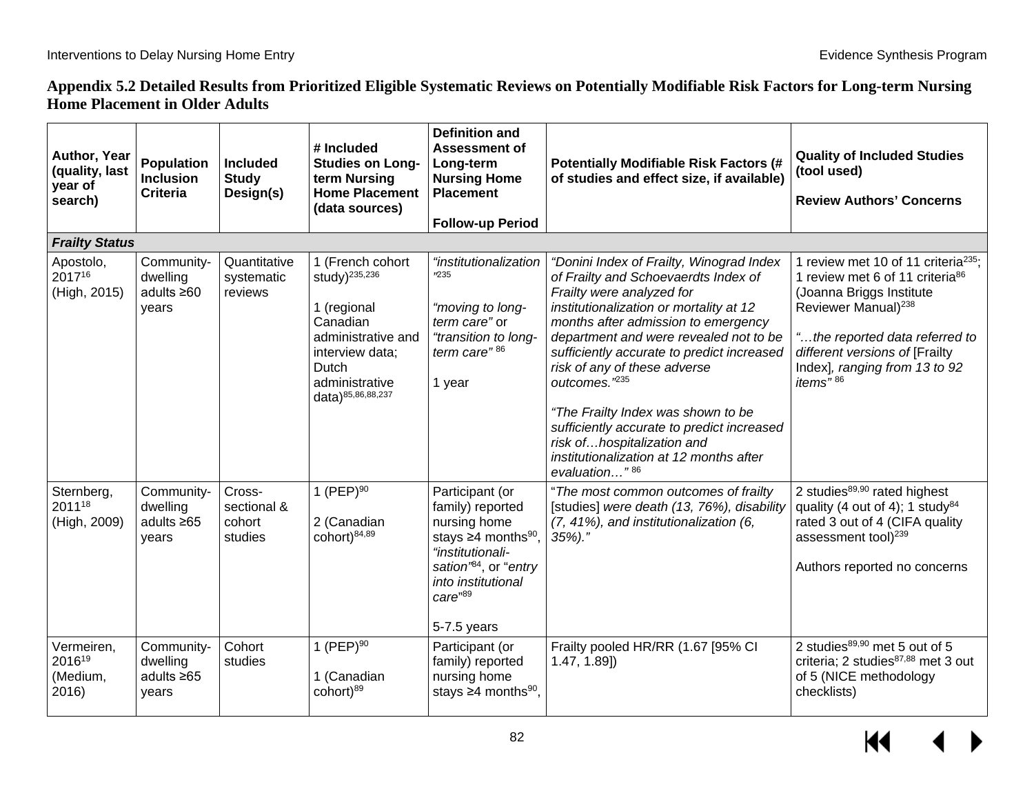### **Appendix 5.2 Detailed Results from Prioritized Eligible Systematic Reviews on Potentially Modifiable Risk Factors for Long-term Nursing Home Placement in Older Adults**

| Author, Year<br>(quality, last<br>year of<br>search) | <b>Population</b><br><b>Inclusion</b><br><b>Criteria</b> | <b>Included</b><br><b>Study</b><br>Design(s) | # Included<br><b>Studies on Long-</b><br>term Nursing<br><b>Home Placement</b><br>(data sources)                                                                  | <b>Definition and</b><br><b>Assessment of</b><br>Long-term<br><b>Nursing Home</b><br><b>Placement</b><br><b>Follow-up Period</b>                                                         | <b>Potentially Modifiable Risk Factors (#</b><br>of studies and effect size, if available)                                                                                                                                                                                                                                                                                                                                                                                                                             | <b>Quality of Included Studies</b><br>(tool used)<br><b>Review Authors' Concerns</b>                                                                                                                                                                                                       |
|------------------------------------------------------|----------------------------------------------------------|----------------------------------------------|-------------------------------------------------------------------------------------------------------------------------------------------------------------------|------------------------------------------------------------------------------------------------------------------------------------------------------------------------------------------|------------------------------------------------------------------------------------------------------------------------------------------------------------------------------------------------------------------------------------------------------------------------------------------------------------------------------------------------------------------------------------------------------------------------------------------------------------------------------------------------------------------------|--------------------------------------------------------------------------------------------------------------------------------------------------------------------------------------------------------------------------------------------------------------------------------------------|
| <b>Frailty Status</b>                                |                                                          |                                              |                                                                                                                                                                   |                                                                                                                                                                                          |                                                                                                                                                                                                                                                                                                                                                                                                                                                                                                                        |                                                                                                                                                                                                                                                                                            |
| Apostolo,<br>201716<br>(High, 2015)                  | Community-<br>dwelling<br>adults $\geq 60$<br>years      | Quantitative<br>systematic<br>reviews        | 1 (French cohort<br>study) <sup>235,236</sup><br>1 (regional<br>Canadian<br>administrative and<br>interview data;<br>Dutch<br>administrative<br>data)85,86,88,237 | "institutionalization<br><b>235</b><br>"moving to long-<br>term care" or<br>"transition to long-<br>term care" <sup>86</sup><br>1 year                                                   | "Donini Index of Frailty, Winograd Index<br>of Frailty and Schoevaerdts Index of<br>Frailty were analyzed for<br>institutionalization or mortality at 12<br>months after admission to emergency<br>department and were revealed not to be<br>sufficiently accurate to predict increased<br>risk of any of these adverse<br>outcomes."235<br>"The Frailty Index was shown to be<br>sufficiently accurate to predict increased<br>risk ofhospitalization and<br>institutionalization at 12 months after<br>evaluation"86 | 1 review met 10 of 11 criteria <sup>235</sup> ;<br>1 review met 6 of 11 criteria <sup>86</sup><br>(Joanna Briggs Institute<br>Reviewer Manual) <sup>238</sup><br>"the reported data referred to<br>different versions of [Frailty<br>Index], ranging from 13 to 92<br>items" <sup>86</sup> |
| Sternberg,<br>201118<br>(High, 2009)                 | Community-<br>dwelling<br>adults $\geq 65$<br>years      | Cross-<br>sectional &<br>cohort<br>studies   | 1 (PEP) $^{90}$<br>2 (Canadian<br>cohort) <sup>84,89</sup>                                                                                                        | Participant (or<br>family) reported<br>nursing home<br>stays $\geq 4$ months <sup>90</sup> ,<br>"institutionali-<br>sation'84, or "entry<br>into institutional<br>care"89<br>5-7.5 years | "The most common outcomes of frailty<br>[studies] were death (13, 76%), disability<br>(7, 41%), and institutionalization (6,<br>$35\%$ )."                                                                                                                                                                                                                                                                                                                                                                             | 2 studies <sup>89,90</sup> rated highest<br>quality (4 out of 4); 1 study <sup>84</sup><br>rated 3 out of 4 (CIFA quality<br>assessment tool) <sup>239</sup><br>Authors reported no concerns                                                                                               |
| Vermeiren,<br>201619<br>(Medium,<br>2016)            | Community-<br>dwelling<br>adults $\geq 65$<br>years      | Cohort<br>studies                            | 1 (PEP) $90$<br>1 (Canadian<br>cohort) <sup>89</sup>                                                                                                              | Participant (or<br>family) reported<br>nursing home<br>stays $\geq 4$ months <sup>90</sup> ,                                                                                             | Frailty pooled HR/RR (1.67 [95% CI<br>$1.47, 1.89$ ]                                                                                                                                                                                                                                                                                                                                                                                                                                                                   | 2 studies <sup>89,90</sup> met 5 out of 5<br>criteria; 2 studies <sup>87,88</sup> met 3 out<br>of 5 (NICE methodology<br>checklists)                                                                                                                                                       |

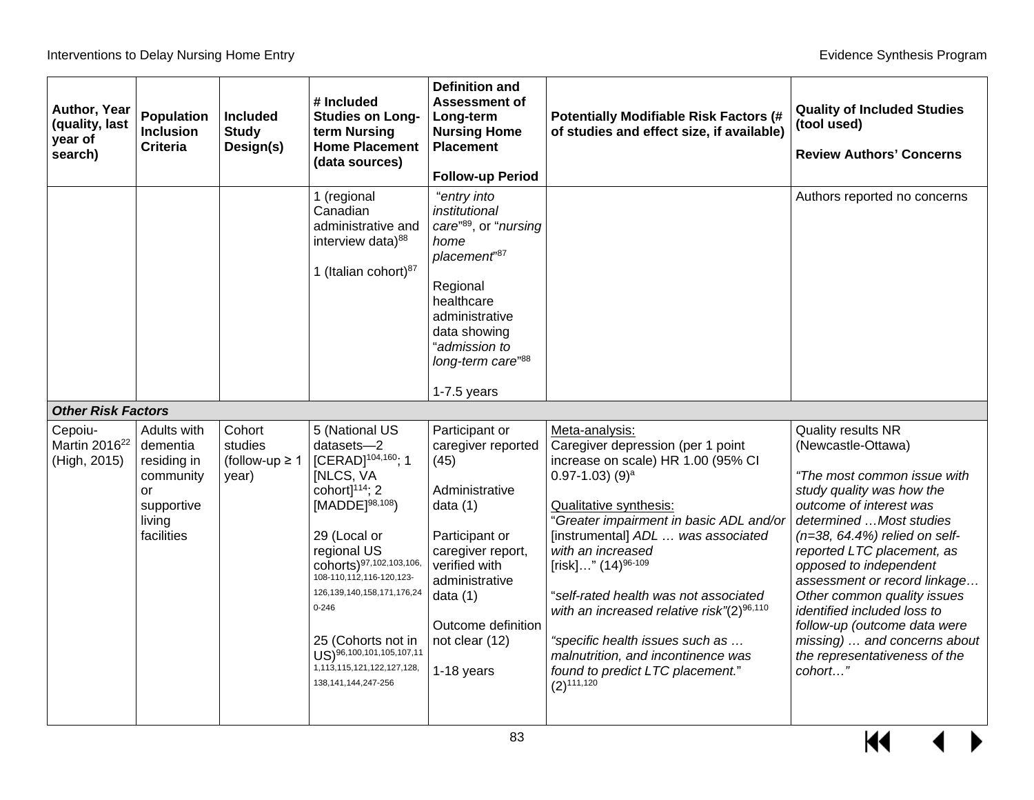| Author, Year<br>(quality, last<br>year of<br>search) | Population<br><b>Inclusion</b><br><b>Criteria</b>                                               | Included<br><b>Study</b><br>Design(s)             | # Included<br><b>Studies on Long-</b><br>term Nursing<br><b>Home Placement</b><br>(data sources)                                                                                                                                                                                                                                                                                                     | <b>Definition and</b><br>Assessment of<br>Long-term<br><b>Nursing Home</b><br><b>Placement</b><br><b>Follow-up Period</b>                                                                                                  | <b>Potentially Modifiable Risk Factors (#</b><br>of studies and effect size, if available)                                                                                                                                                                                                                                                                                                                                                                                                                            | <b>Quality of Included Studies</b><br>(tool used)<br><b>Review Authors' Concerns</b>                                                                                                                                                                                                                                                                                                                                                                                     |
|------------------------------------------------------|-------------------------------------------------------------------------------------------------|---------------------------------------------------|------------------------------------------------------------------------------------------------------------------------------------------------------------------------------------------------------------------------------------------------------------------------------------------------------------------------------------------------------------------------------------------------------|----------------------------------------------------------------------------------------------------------------------------------------------------------------------------------------------------------------------------|-----------------------------------------------------------------------------------------------------------------------------------------------------------------------------------------------------------------------------------------------------------------------------------------------------------------------------------------------------------------------------------------------------------------------------------------------------------------------------------------------------------------------|--------------------------------------------------------------------------------------------------------------------------------------------------------------------------------------------------------------------------------------------------------------------------------------------------------------------------------------------------------------------------------------------------------------------------------------------------------------------------|
|                                                      |                                                                                                 |                                                   | 1 (regional<br>Canadian<br>administrative and<br>interview data) <sup>88</sup><br>1 (Italian cohort) <sup>87</sup>                                                                                                                                                                                                                                                                                   | "entry into<br>institutional<br>care"89, or "nursing<br>home<br>placement"87<br>Regional<br>healthcare<br>administrative<br>data showing<br>"admission to<br>long-term care"88<br>$1-7.5$ years                            |                                                                                                                                                                                                                                                                                                                                                                                                                                                                                                                       | Authors reported no concerns                                                                                                                                                                                                                                                                                                                                                                                                                                             |
| <b>Other Risk Factors</b>                            |                                                                                                 |                                                   |                                                                                                                                                                                                                                                                                                                                                                                                      |                                                                                                                                                                                                                            |                                                                                                                                                                                                                                                                                                                                                                                                                                                                                                                       |                                                                                                                                                                                                                                                                                                                                                                                                                                                                          |
| Cepoiu-<br>Martin 2016 <sup>22</sup><br>(High, 2015) | Adults with<br>dementia<br>residing in<br>community<br>or<br>supportive<br>living<br>facilities | Cohort<br>studies<br>(follow-up $\geq 1$<br>year) | 5 (National US<br>datasets-2<br>[CERAD] <sup>104,160</sup> ; 1<br><b>INLCS, VA</b><br>cohort] $114$ ; 2<br>$[MADDE]^{98,108}$<br>29 (Local or<br>regional US<br>cohorts) 97, 102, 103, 106,<br>108-110,112,116-120,123-<br>126, 139, 140, 158, 171, 176, 24<br>$0 - 246$<br>25 (Cohorts not in<br>US) <sup>96,100,101,105,107,11</sup><br>1, 113, 115, 121, 122, 127, 128,<br>138, 141, 144, 247-256 | Participant or<br>caregiver reported<br>(45)<br>Administrative<br>data $(1)$<br>Participant or<br>caregiver report,<br>verified with<br>administrative<br>data $(1)$<br>Outcome definition<br>not clear (12)<br>1-18 years | Meta-analysis:<br>Caregiver depression (per 1 point<br>increase on scale) HR 1.00 (95% CI<br>$0.97 - 1.03$ ) (9) <sup>a</sup><br><b>Qualitative synthesis:</b><br>"Greater impairment in basic ADL and/or<br>[instrumental] ADL  was associated<br>with an increased<br>[risk]" $(14)^{96-109}$<br>"self-rated health was not associated<br>with an increased relative risk"(2)96,110<br>"specific health issues such as<br>malnutrition, and incontinence was<br>found to predict LTC placement."<br>$(2)^{111,120}$ | <b>Quality results NR</b><br>(Newcastle-Ottawa)<br>"The most common issue with<br>study quality was how the<br>outcome of interest was<br>determined  Most studies<br>$(n=38, 64.4\%)$ relied on self-<br>reported LTC placement, as<br>opposed to independent<br>assessment or record linkage<br>Other common quality issues<br>identified included loss to<br>follow-up (outcome data were<br>missing)  and concerns about<br>the representativeness of the<br>cohort" |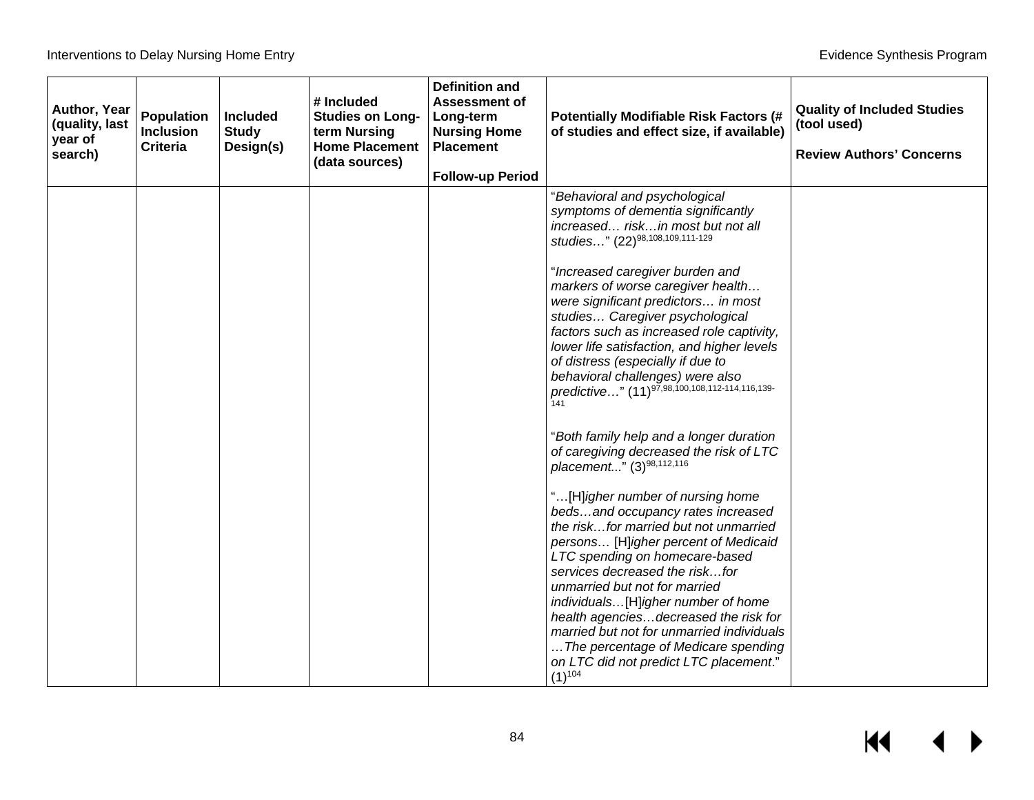$M \leftarrow \leftarrow$ 

| Author, Year<br>(quality, last<br>year of<br>search) | Population<br><b>Inclusion</b><br><b>Criteria</b> | <b>Included</b><br><b>Study</b><br>Design(s) | # Included<br><b>Studies on Long-</b><br>term Nursing<br><b>Home Placement</b><br>(data sources) | <b>Definition and</b><br><b>Assessment of</b><br>Long-term<br><b>Nursing Home</b><br><b>Placement</b> | <b>Potentially Modifiable Risk Factors (#</b><br>of studies and effect size, if available)                                                                                                                                                                                                                                                                                                                                                                                                                                                                                                                                                                                                                                                                                                                                                                                                                                                                                                             | <b>Quality of Included Studies</b><br>(tool used)<br><b>Review Authors' Concerns</b> |
|------------------------------------------------------|---------------------------------------------------|----------------------------------------------|--------------------------------------------------------------------------------------------------|-------------------------------------------------------------------------------------------------------|--------------------------------------------------------------------------------------------------------------------------------------------------------------------------------------------------------------------------------------------------------------------------------------------------------------------------------------------------------------------------------------------------------------------------------------------------------------------------------------------------------------------------------------------------------------------------------------------------------------------------------------------------------------------------------------------------------------------------------------------------------------------------------------------------------------------------------------------------------------------------------------------------------------------------------------------------------------------------------------------------------|--------------------------------------------------------------------------------------|
|                                                      |                                                   |                                              |                                                                                                  | <b>Follow-up Period</b>                                                                               | "Behavioral and psychological<br>symptoms of dementia significantly<br>increased riskin most but not all<br>studies" (22)98,108,109,111-129<br>"Increased caregiver burden and<br>markers of worse caregiver health<br>were significant predictors in most<br>studies Caregiver psychological<br>factors such as increased role captivity,<br>lower life satisfaction, and higher levels<br>of distress (especially if due to<br>behavioral challenges) were also<br>predictive" (11) <sup>97,98,100,108,112-114,116,139-</sup><br>141<br>"Both family help and a longer duration<br>of caregiving decreased the risk of LTC<br>placement" (3)98,112,116<br>"[H]igher number of nursing home<br>bedsand occupancy rates increased<br>the riskfor married but not unmarried<br>persons [H]igher percent of Medicaid<br>LTC spending on homecare-based<br>services decreased the riskfor<br>unmarried but not for married<br>individuals[H]igher number of home<br>health agenciesdecreased the risk for |                                                                                      |
|                                                      |                                                   |                                              |                                                                                                  |                                                                                                       | married but not for unmarried individuals<br>The percentage of Medicare spending<br>on LTC did not predict LTC placement."<br>$(1)^{104}$                                                                                                                                                                                                                                                                                                                                                                                                                                                                                                                                                                                                                                                                                                                                                                                                                                                              |                                                                                      |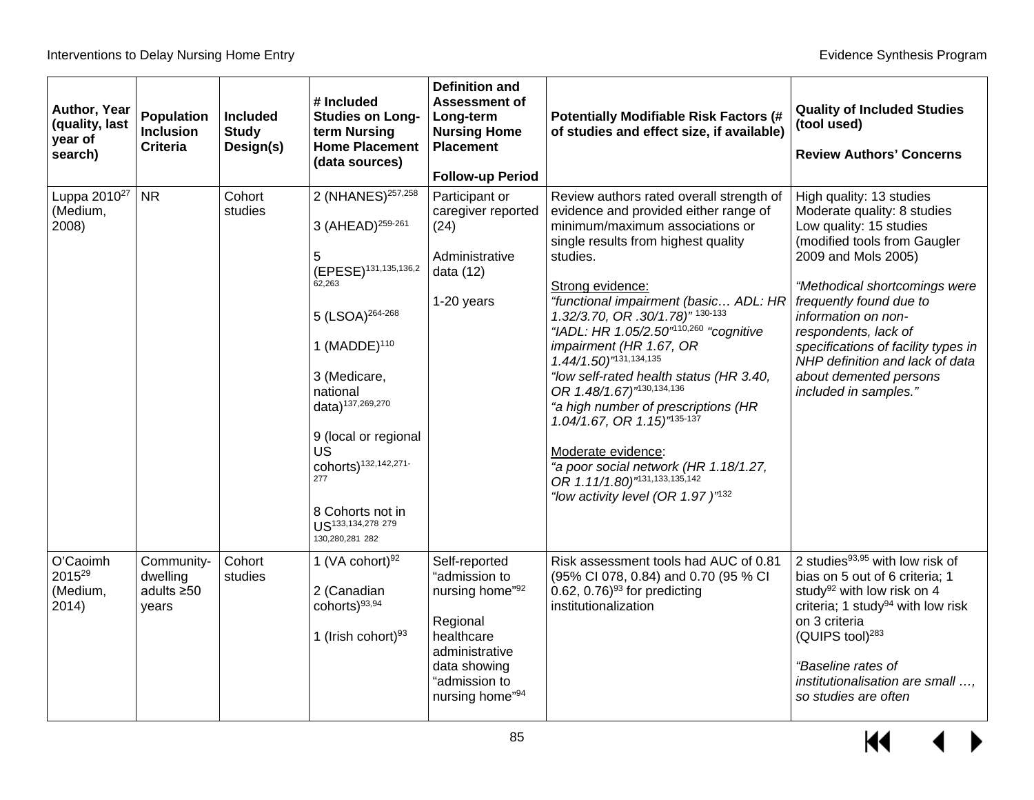| Author, Year<br>(quality, last<br>year of<br>search) | Population<br><b>Inclusion</b><br><b>Criteria</b>   | <b>Included</b><br><b>Study</b><br>Design(s) | # Included<br><b>Studies on Long-</b><br>term Nursing<br><b>Home Placement</b><br>(data sources)                                                                                                                                                                                                                                                                                   | <b>Definition and</b><br><b>Assessment of</b><br>Long-term<br><b>Nursing Home</b><br><b>Placement</b><br><b>Follow-up Period</b>                  | <b>Potentially Modifiable Risk Factors (#</b><br>of studies and effect size, if available)                                                                                                                                                                                                                                                                                                                                                                                                                                                                                                                                                                                                    | <b>Quality of Included Studies</b><br>(tool used)<br><b>Review Authors' Concerns</b>                                                                                                                                                                                                                                                                                              |
|------------------------------------------------------|-----------------------------------------------------|----------------------------------------------|------------------------------------------------------------------------------------------------------------------------------------------------------------------------------------------------------------------------------------------------------------------------------------------------------------------------------------------------------------------------------------|---------------------------------------------------------------------------------------------------------------------------------------------------|-----------------------------------------------------------------------------------------------------------------------------------------------------------------------------------------------------------------------------------------------------------------------------------------------------------------------------------------------------------------------------------------------------------------------------------------------------------------------------------------------------------------------------------------------------------------------------------------------------------------------------------------------------------------------------------------------|-----------------------------------------------------------------------------------------------------------------------------------------------------------------------------------------------------------------------------------------------------------------------------------------------------------------------------------------------------------------------------------|
| Luppa 2010 <sup>27</sup><br>(Medium,<br>2008)        | <b>NR</b>                                           | Cohort<br>studies                            | 2 (NHANES) <sup>257,258</sup><br>3 (AHEAD) <sup>259-261</sup><br>5<br>(EPESE) <sup>131,135,136,2</sup><br>62,263<br>5 (LSOA) <sup>264-268</sup><br>1 (MADDE) $^{110}$<br>3 (Medicare,<br>national<br>data) <sup>137,269,270</sup><br>9 (local or regional<br>UŚ<br>cohorts) <sup>132,142,271-</sup><br>277<br>8 Cohorts not in<br>US <sup>133,134,278</sup> 279<br>130,280,281 282 | Participant or<br>caregiver reported<br>(24)<br>Administrative<br>data (12)<br>1-20 years                                                         | Review authors rated overall strength of<br>evidence and provided either range of<br>minimum/maximum associations or<br>single results from highest quality<br>studies.<br>Strong evidence:<br>"functional impairment (basic ADL: HR<br>1.32/3.70, OR .30/1.78)" 130-133<br>"IADL: HR 1.05/2.50" <sup>10,260</sup> "cognitive<br>impairment (HR 1.67, OR<br>1.44/1.50)"131,134,135<br>"low self-rated health status (HR 3.40,<br>OR 1.48/1.67)"130,134,136<br>"a high number of prescriptions (HR<br>1.04/1.67, OR 1.15)"135-137<br>Moderate evidence:<br>"a poor social network (HR 1.18/1.27,<br>OR 1.11/1.80) <sup><math>n31,133,135,142</math></sup><br>"low activity level (OR 1.97)"132 | High quality: 13 studies<br>Moderate quality: 8 studies<br>Low quality: 15 studies<br>(modified tools from Gaugler<br>2009 and Mols 2005)<br>"Methodical shortcomings were<br>frequently found due to<br>information on non-<br>respondents, lack of<br>specifications of facility types in<br>NHP definition and lack of data<br>about demented persons<br>included in samples." |
| O'Caoimh<br>201529<br>(Medium,<br>2014)              | Community-<br>dwelling<br>adults $\geq 50$<br>years | Cohort<br>studies                            | 1 (VA cohort) $92$<br>2 (Canadian<br>cohorts)93,94<br>1 (Irish cohort) $93$                                                                                                                                                                                                                                                                                                        | Self-reported<br>"admission to<br>nursing home"92<br>Regional<br>healthcare<br>administrative<br>data showing<br>"admission to<br>nursing home"94 | Risk assessment tools had AUC of 0.81<br>(95% CI 078, 0.84) and 0.70 (95 % CI<br>0.62, $0.76$ <sup>93</sup> for predicting<br>institutionalization                                                                                                                                                                                                                                                                                                                                                                                                                                                                                                                                            | 2 studies <sup>93,95</sup> with low risk of<br>bias on 5 out of 6 criteria; 1<br>study <sup>92</sup> with low risk on 4<br>criteria; 1 study <sup>94</sup> with low risk<br>on 3 criteria<br>(QUIPS tool) <sup>283</sup><br>"Baseline rates of<br>institutionalisation are small ,<br>so studies are often                                                                        |

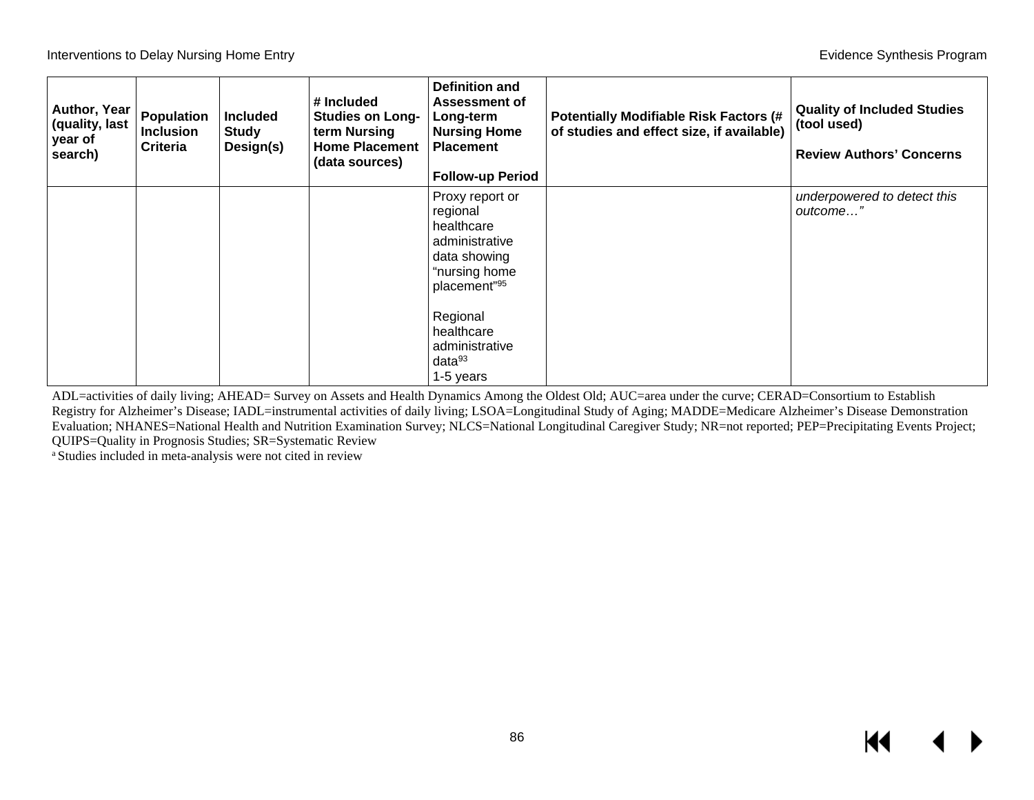| Author, Year<br>(quality, last<br>year of<br>search) | <b>Population</b><br><b>Inclusion</b><br>Criteria | <b>Included</b><br><b>Study</b><br>Design(s) | # Included<br><b>Studies on Long-</b><br>term Nursing<br><b>Home Placement</b><br>(data sources) | <b>Definition and</b><br><b>Assessment of</b><br>Long-term<br><b>Nursing Home</b><br><b>Placement</b><br><b>Follow-up Period</b> | <b>Potentially Modifiable Risk Factors (#</b><br>of studies and effect size, if available) | <b>Quality of Included Studies</b><br>(tool used)<br><b>Review Authors' Concerns</b> |
|------------------------------------------------------|---------------------------------------------------|----------------------------------------------|--------------------------------------------------------------------------------------------------|----------------------------------------------------------------------------------------------------------------------------------|--------------------------------------------------------------------------------------------|--------------------------------------------------------------------------------------|
|                                                      |                                                   |                                              |                                                                                                  | Proxy report or<br>regional<br>healthcare<br>administrative<br>data showing<br>"nursing home<br>placement"95                     |                                                                                            | underpowered to detect this<br>outcome"                                              |
|                                                      |                                                   |                                              |                                                                                                  | Regional<br>healthcare<br>administrative<br>data <sup>93</sup><br>1-5 years                                                      |                                                                                            |                                                                                      |

ADL=activities of daily living; AHEAD= Survey on Assets and Health Dynamics Among the Oldest Old; AUC=area under the curve; CERAD=Consortium to Establish Registry for Alzheimer's Disease; IADL=instrumental activities of daily living; LSOA=Longitudinal Study of Aging; MADDE=Medicare Alzheimer's Disease Demonstration Evaluation; NHANES=National Health and Nutrition Examination Survey; NLCS=National Longitudinal Caregiver Study; NR=not reported; PEP=Precipitating Events Project; QUIPS=Quality in Prognosis Studies; SR=Systematic Review

a Studies included in meta-analysis were not cited in review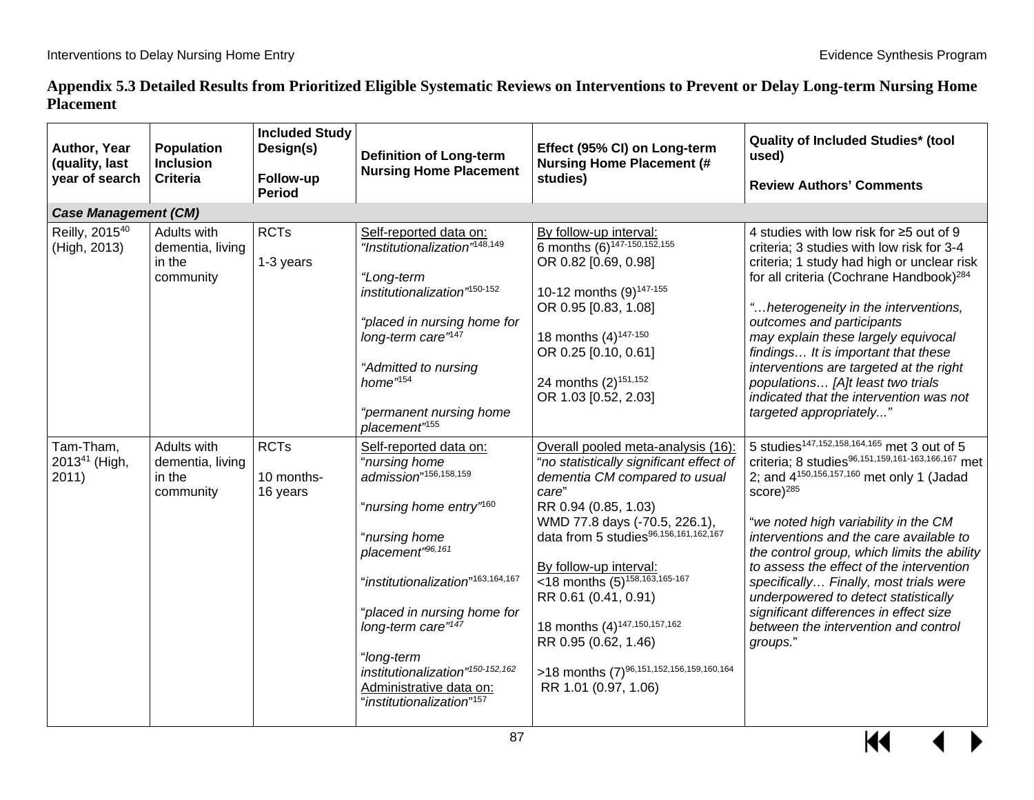### **Appendix 5.3 Detailed Results from Prioritized Eligible Systematic Reviews on Interventions to Prevent or Delay Long-term Nursing Home Placement**

| Author, Year<br>(quality, last<br>year of search | <b>Population</b><br><b>Inclusion</b><br>Criteria      | <b>Included Study</b><br>Design(s)<br>Follow-up<br><b>Period</b> | <b>Definition of Long-term</b><br><b>Nursing Home Placement</b>                                                                                                                                                                                                                                                                                                                      | Effect (95% CI) on Long-term<br><b>Nursing Home Placement (#</b><br>studies)                                                                                                                                                                                                                                                                                                                                                                                          | <b>Quality of Included Studies* (tool</b><br>used)<br><b>Review Authors' Comments</b>                                                                                                                                                                                                                                                                                                                                                                                                                                                                 |
|--------------------------------------------------|--------------------------------------------------------|------------------------------------------------------------------|--------------------------------------------------------------------------------------------------------------------------------------------------------------------------------------------------------------------------------------------------------------------------------------------------------------------------------------------------------------------------------------|-----------------------------------------------------------------------------------------------------------------------------------------------------------------------------------------------------------------------------------------------------------------------------------------------------------------------------------------------------------------------------------------------------------------------------------------------------------------------|-------------------------------------------------------------------------------------------------------------------------------------------------------------------------------------------------------------------------------------------------------------------------------------------------------------------------------------------------------------------------------------------------------------------------------------------------------------------------------------------------------------------------------------------------------|
| <b>Case Management (CM)</b>                      |                                                        |                                                                  |                                                                                                                                                                                                                                                                                                                                                                                      |                                                                                                                                                                                                                                                                                                                                                                                                                                                                       |                                                                                                                                                                                                                                                                                                                                                                                                                                                                                                                                                       |
| Reilly, 2015 <sup>40</sup><br>(High, 2013)       | Adults with<br>dementia, living<br>in the<br>community | <b>RCTs</b><br>1-3 years                                         | Self-reported data on:<br>"Institutionalization" <sup>148,149</sup><br>"Long-term<br>institutionalization <sup>"150-152</sup><br>"placed in nursing home for<br>long-term care" <sup>147</sup><br>"Admitted to nursing<br>home" <sup>154</sup><br>"permanent nursing home<br>placement" <sup>155</sup>                                                                               | By follow-up interval:<br>6 months (6) <sup>147-150,152</sup> ,155<br>OR 0.82 [0.69, 0.98]<br>10-12 months (9) <sup>147-155</sup><br>OR 0.95 [0.83, 1.08]<br>18 months (4) <sup>147-150</sup><br>OR 0.25 [0.10, 0.61]<br>24 months (2) <sup>151,152</sup><br>OR 1.03 [0.52, 2.03]                                                                                                                                                                                     | 4 studies with low risk for ≥5 out of 9<br>criteria; 3 studies with low risk for 3-4<br>criteria; 1 study had high or unclear risk<br>for all criteria (Cochrane Handbook) <sup>284</sup><br>"heterogeneity in the interventions,<br>outcomes and participants<br>may explain these largely equivocal<br>findings It is important that these<br>interventions are targeted at the right<br>populations [A]t least two trials<br>indicated that the intervention was not<br>targeted appropriately"                                                    |
| Tam-Tham,<br>2013 <sup>41</sup> (High,<br>2011)  | Adults with<br>dementia, living<br>in the<br>community | <b>RCTs</b><br>10 months-<br>16 years                            | Self-reported data on:<br>"nursing home<br>admission"156,158,159<br>"nursing home entry" <sup>160</sup><br>"nursing home<br>placement"96,161<br>"institutionalization" <sup>163,164,167</sup><br>"placed in nursing home for<br>long-term care" <sup>147</sup><br>"long-term<br>institutionalization"150-152,162<br>Administrative data on:<br>"institutionalization" <sup>157</sup> | Overall pooled meta-analysis (16):<br>"no statistically significant effect of<br>dementia CM compared to usual<br>care"<br>RR 0.94 (0.85, 1.03)<br>WMD 77.8 days (-70.5, 226.1),<br>data from 5 studies96,156,161,162,167<br>By follow-up interval:<br><18 months $(5)^{158,163,165-167}$<br>RR 0.61 (0.41, 0.91)<br>18 months (4) <sup>147,150,157,162</sup><br>RR 0.95 (0.62, 1.46)<br>>18 months (7) <sup>96,151,152,156,159,160,164</sup><br>RR 1.01 (0.97, 1.06) | 5 studies <sup>147,152,158,164,165</sup> met 3 out of 5<br>criteria; 8 studies96,151,159,161-163,166,167 met<br>2; and 4 <sup>150,156,157,160</sup> met only 1 (Jadad<br>$score)^{285}$<br>"we noted high variability in the CM<br>interventions and the care available to<br>the control group, which limits the ability<br>to assess the effect of the intervention<br>specifically Finally, most trials were<br>underpowered to detect statistically<br>significant differences in effect size<br>between the intervention and control<br>groups." |



 $\blacktriangleleft$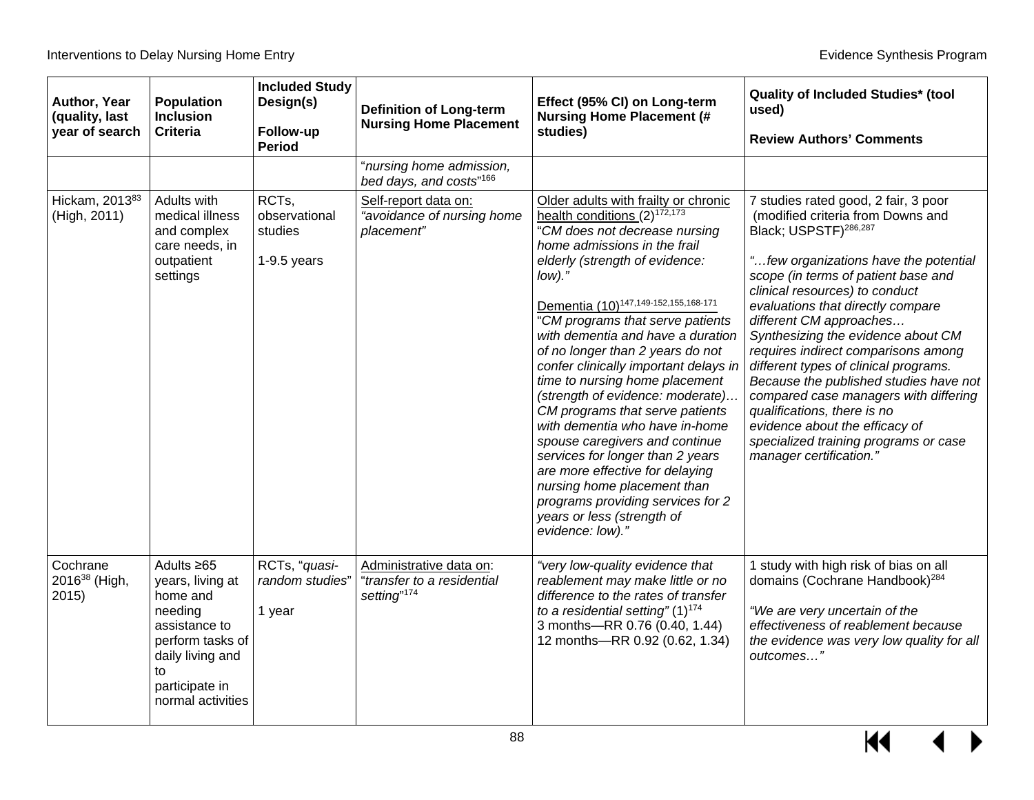| Author, Year<br>(quality, last<br>year of search | <b>Population</b><br><b>Inclusion</b><br><b>Criteria</b>                                                                                                          | <b>Included Study</b><br>Design(s)<br>Follow-up<br><b>Period</b> | <b>Definition of Long-term</b><br><b>Nursing Home Placement</b>                  | Effect (95% CI) on Long-term<br><b>Nursing Home Placement (#</b><br>studies)                                                                                                                                                                                                                                                                                                                                                                                                                                                                                                                                                                                                                                                                                                 | <b>Quality of Included Studies* (tool</b><br>used)<br><b>Review Authors' Comments</b>                                                                                                                                                                                                                                                                                                                                                                                                                                                                                                                                                          |
|--------------------------------------------------|-------------------------------------------------------------------------------------------------------------------------------------------------------------------|------------------------------------------------------------------|----------------------------------------------------------------------------------|------------------------------------------------------------------------------------------------------------------------------------------------------------------------------------------------------------------------------------------------------------------------------------------------------------------------------------------------------------------------------------------------------------------------------------------------------------------------------------------------------------------------------------------------------------------------------------------------------------------------------------------------------------------------------------------------------------------------------------------------------------------------------|------------------------------------------------------------------------------------------------------------------------------------------------------------------------------------------------------------------------------------------------------------------------------------------------------------------------------------------------------------------------------------------------------------------------------------------------------------------------------------------------------------------------------------------------------------------------------------------------------------------------------------------------|
|                                                  |                                                                                                                                                                   |                                                                  | "nursing home admission,<br>bed days, and costs"166                              |                                                                                                                                                                                                                                                                                                                                                                                                                                                                                                                                                                                                                                                                                                                                                                              |                                                                                                                                                                                                                                                                                                                                                                                                                                                                                                                                                                                                                                                |
| Hickam, 201383<br>(High, 2011)                   | Adults with<br>medical illness<br>and complex<br>care needs, in<br>outpatient<br>settings                                                                         | RCTs,<br>observational<br>studies<br>$1-9.5$ years               | Self-report data on:<br>"avoidance of nursing home<br>placement"                 | Older adults with frailty or chronic<br>health conditions $(2)^{172,173}$<br>"CM does not decrease nursing<br>home admissions in the frail<br>elderly (strength of evidence:<br>$low$ ."<br>Dementia (10) <sup>147,149-152,155,168-171</sup><br>"CM programs that serve patients<br>with dementia and have a duration<br>of no longer than 2 years do not<br>confer clinically important delays in<br>time to nursing home placement<br>(strength of evidence: moderate)<br>CM programs that serve patients<br>with dementia who have in-home<br>spouse caregivers and continue<br>services for longer than 2 years<br>are more effective for delaying<br>nursing home placement than<br>programs providing services for 2<br>years or less (strength of<br>evidence: low)." | 7 studies rated good, 2 fair, 3 poor<br>(modified criteria from Downs and<br>Black; USPSTF) <sup>286,287</sup><br>"few organizations have the potential<br>scope (in terms of patient base and<br>clinical resources) to conduct<br>evaluations that directly compare<br>different CM approaches<br>Synthesizing the evidence about CM<br>requires indirect comparisons among<br>different types of clinical programs.<br>Because the published studies have not<br>compared case managers with differing<br>qualifications, there is no<br>evidence about the efficacy of<br>specialized training programs or case<br>manager certification." |
| Cochrane<br>2016 <sup>38</sup> (High,<br>2015    | Adults $\geq 65$<br>years, living at<br>home and<br>needing<br>assistance to<br>perform tasks of<br>daily living and<br>to<br>participate in<br>normal activities | RCTs, "quasi-<br>random studies"<br>1 year                       | Administrative data on:<br>"transfer to a residential<br>setting" <sup>174</sup> | "very low-quality evidence that<br>reablement may make little or no<br>difference to the rates of transfer<br>to a residential setting" $(1)^{174}$<br>3 months-RR 0.76 (0.40, 1.44)<br>12 months-RR 0.92 (0.62, 1.34)                                                                                                                                                                                                                                                                                                                                                                                                                                                                                                                                                       | 1 study with high risk of bias on all<br>domains (Cochrane Handbook) <sup>284</sup><br>"We are very uncertain of the<br>effectiveness of reablement because<br>the evidence was very low quality for all<br>outcomes"                                                                                                                                                                                                                                                                                                                                                                                                                          |

▶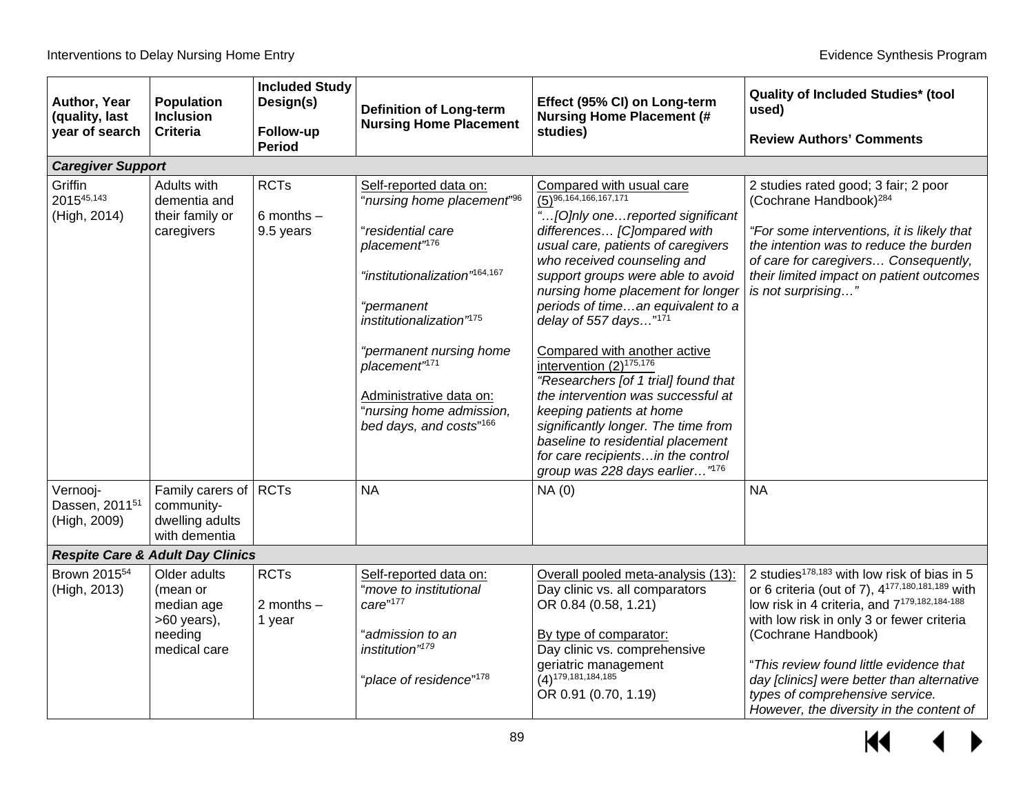| Author, Year<br>(quality, last<br>year of search       | <b>Population</b><br><b>Inclusion</b><br><b>Criteria</b>                         | <b>Included Study</b><br>Design(s)<br>Follow-up<br><b>Period</b> | <b>Definition of Long-term</b><br><b>Nursing Home Placement</b>                                                                                                                                                                                                                                                                                     | Effect (95% CI) on Long-term<br><b>Nursing Home Placement (#</b><br>studies)                                                                                                                                                                                                                                                                                                                                                                                                                                                                                                                                                                                                                   | <b>Quality of Included Studies* (tool)</b><br>used)<br><b>Review Authors' Comments</b>                                                                                                                                                                                                                                                                                                                                  |
|--------------------------------------------------------|----------------------------------------------------------------------------------|------------------------------------------------------------------|-----------------------------------------------------------------------------------------------------------------------------------------------------------------------------------------------------------------------------------------------------------------------------------------------------------------------------------------------------|------------------------------------------------------------------------------------------------------------------------------------------------------------------------------------------------------------------------------------------------------------------------------------------------------------------------------------------------------------------------------------------------------------------------------------------------------------------------------------------------------------------------------------------------------------------------------------------------------------------------------------------------------------------------------------------------|-------------------------------------------------------------------------------------------------------------------------------------------------------------------------------------------------------------------------------------------------------------------------------------------------------------------------------------------------------------------------------------------------------------------------|
| <b>Caregiver Support</b>                               |                                                                                  |                                                                  |                                                                                                                                                                                                                                                                                                                                                     |                                                                                                                                                                                                                                                                                                                                                                                                                                                                                                                                                                                                                                                                                                |                                                                                                                                                                                                                                                                                                                                                                                                                         |
| Griffin<br>201545,143<br>(High, 2014)                  | Adults with<br>dementia and<br>their family or<br>caregivers                     | <b>RCTs</b><br>$6$ months $-$<br>9.5 years                       | Self-reported data on:<br>"nursing home placement" <sup>96</sup><br>"residential care<br>placement"176<br>"institutionalization" <sup>164,167</sup><br>"permanent<br>institutionalization" <sup>175</sup><br>"permanent nursing home<br>placement" <sup>171</sup><br>Administrative data on:<br>"nursing home admission,<br>bed days, and costs"166 | Compared with usual care<br>$\overline{(5)^{96,164,166,167,171}}$<br>" [O]nly one reported significant<br>differences [C]ompared with<br>usual care, patients of caregivers<br>who received counseling and<br>support groups were able to avoid<br>nursing home placement for longer<br>periods of timean equivalent to a<br>delay of 557 days $"171$<br>Compared with another active<br>intervention $(2)^{175,176}$<br>"Researchers [of 1 trial] found that<br>the intervention was successful at<br>keeping patients at home<br>significantly longer. The time from<br>baseline to residential placement<br>for care recipientsin the control<br>group was 228 days earlier" <sup>176</sup> | 2 studies rated good; 3 fair; 2 poor<br>(Cochrane Handbook) <sup>284</sup><br>"For some interventions, it is likely that<br>the intention was to reduce the burden<br>of care for caregivers Consequently,<br>their limited impact on patient outcomes<br>is not surprising"                                                                                                                                            |
| Vernooj-<br>Dassen, 2011 <sup>51</sup><br>(High, 2009) | Family carers of<br>community-<br>dwelling adults<br>with dementia               | <b>RCTs</b>                                                      | <b>NA</b>                                                                                                                                                                                                                                                                                                                                           | NA(0)                                                                                                                                                                                                                                                                                                                                                                                                                                                                                                                                                                                                                                                                                          | <b>NA</b>                                                                                                                                                                                                                                                                                                                                                                                                               |
|                                                        | <b>Respite Care &amp; Adult Day Clinics</b>                                      |                                                                  |                                                                                                                                                                                                                                                                                                                                                     |                                                                                                                                                                                                                                                                                                                                                                                                                                                                                                                                                                                                                                                                                                |                                                                                                                                                                                                                                                                                                                                                                                                                         |
| Brown 2015 <sup>54</sup><br>(High, 2013)               | Older adults<br>(mean or<br>median age<br>>60 years),<br>needing<br>medical care | <b>RCTs</b><br>2 months $-$<br>1 year                            | Self-reported data on:<br>"move to institutional<br>care"177<br>"admission to an<br>institution" <sup>179</sup><br>"place of residence" <sup>178</sup>                                                                                                                                                                                              | Overall pooled meta-analysis (13):<br>Day clinic vs. all comparators<br>OR 0.84 (0.58, 1.21)<br>By type of comparator:<br>Day clinic vs. comprehensive<br>geriatric management<br>$(4)$ <sup>179,181,184,185</sup><br>OR 0.91 (0.70, 1.19)                                                                                                                                                                                                                                                                                                                                                                                                                                                     | 2 studies <sup>178,183</sup> with low risk of bias in 5<br>or 6 criteria (out of 7), $4^{177,180,181,189}$ with<br>low risk in 4 criteria, and 7 <sup>179,182,184-188</sup><br>with low risk in only 3 or fewer criteria<br>(Cochrane Handbook)<br>"This review found little evidence that<br>day [clinics] were better than alternative<br>types of comprehensive service.<br>However, the diversity in the content of |

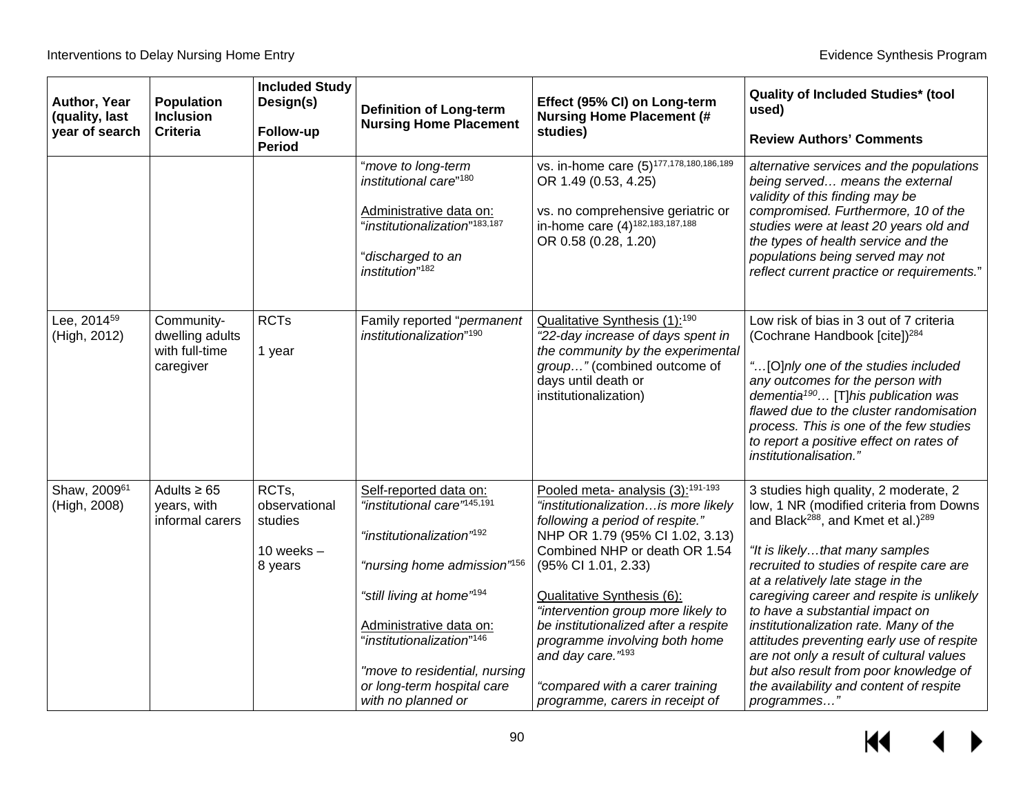| Author, Year<br>(quality, last<br>year of search | <b>Population</b><br><b>Inclusion</b><br><b>Criteria</b>     | <b>Included Study</b><br>Design(s)<br>Follow-up<br><b>Period</b> | <b>Definition of Long-term</b><br><b>Nursing Home Placement</b>                                                                                                                                                                                                                                                                                         | Effect (95% CI) on Long-term<br><b>Nursing Home Placement (#</b><br>studies)                                                                                                                                                                                                                                                                                                                                                                                            | <b>Quality of Included Studies* (tool)</b><br>used)<br><b>Review Authors' Comments</b>                                                                                                                                                                                                                                                                                                                                                                                                                                                                                                   |
|--------------------------------------------------|--------------------------------------------------------------|------------------------------------------------------------------|---------------------------------------------------------------------------------------------------------------------------------------------------------------------------------------------------------------------------------------------------------------------------------------------------------------------------------------------------------|-------------------------------------------------------------------------------------------------------------------------------------------------------------------------------------------------------------------------------------------------------------------------------------------------------------------------------------------------------------------------------------------------------------------------------------------------------------------------|------------------------------------------------------------------------------------------------------------------------------------------------------------------------------------------------------------------------------------------------------------------------------------------------------------------------------------------------------------------------------------------------------------------------------------------------------------------------------------------------------------------------------------------------------------------------------------------|
|                                                  |                                                              |                                                                  | "move to long-term<br>institutional care" <sup>180</sup><br>Administrative data on:<br>"institutionalization" <sup>183,187</sup><br>"discharged to an<br>institution" <sup>182</sup>                                                                                                                                                                    | vs. in-home care (5) <sup>177,178,180,186,189</sup><br>OR 1.49 (0.53, 4.25)<br>vs. no comprehensive geriatric or<br>in-home care (4) <sup>182,183,187,188</sup><br>OR 0.58 (0.28, 1.20)                                                                                                                                                                                                                                                                                 | alternative services and the populations<br>being served means the external<br>validity of this finding may be<br>compromised. Furthermore, 10 of the<br>studies were at least 20 years old and<br>the types of health service and the<br>populations being served may not<br>reflect current practice or requirements."                                                                                                                                                                                                                                                                 |
| Lee, 2014 <sup>59</sup><br>(High, 2012)          | Community-<br>dwelling adults<br>with full-time<br>caregiver | <b>RCTs</b><br>1 year                                            | Family reported "permanent<br>institutionalization" <sup>190</sup>                                                                                                                                                                                                                                                                                      | Qualitative Synthesis (1): <sup>190</sup><br>"22-day increase of days spent in<br>the community by the experimental<br>group" (combined outcome of<br>days until death or<br>institutionalization)                                                                                                                                                                                                                                                                      | Low risk of bias in 3 out of 7 criteria<br>(Cochrane Handbook [cite]) <sup>284</sup><br>"[O]nly one of the studies included<br>any outcomes for the person with<br>dementia <sup>190</sup> [T]his publication was<br>flawed due to the cluster randomisation<br>process. This is one of the few studies<br>to report a positive effect on rates of<br><i>institutionalisation.</i> "                                                                                                                                                                                                     |
| Shaw, 2009 <sup>61</sup><br>(High, 2008)         | Adults $\geq 65$<br>years, with<br>informal carers           | RCTs,<br>observational<br>studies<br>10 weeks $-$<br>8 years     | Self-reported data on:<br>"institutional care" <sup>145,191</sup><br>"institutionalization" <sup>192</sup><br>"nursing home admission" <sup>156</sup><br>"still living at home" <sup>194</sup><br>Administrative data on:<br>"institutionalization" <sup>146</sup><br>"move to residential, nursing<br>or long-term hospital care<br>with no planned or | Pooled meta- analysis (3): <sup>191-193</sup><br>"institutionalization is more likely<br>following a period of respite."<br>NHP OR 1.79 (95% CI 1.02, 3.13)<br>Combined NHP or death OR 1.54<br>(95% CI 1.01, 2.33)<br>Qualitative Synthesis (6):<br>"intervention group more likely to<br>be institutionalized after a respite<br>programme involving both home<br>and day care." <sup>193</sup><br>"compared with a carer training<br>programme, carers in receipt of | 3 studies high quality, 2 moderate, 2<br>low, 1 NR (modified criteria from Downs<br>and Black <sup>288</sup> , and Kmet et al.) <sup>289</sup><br>"It is likelythat many samples<br>recruited to studies of respite care are<br>at a relatively late stage in the<br>caregiving career and respite is unlikely<br>to have a substantial impact on<br>institutionalization rate. Many of the<br>attitudes preventing early use of respite<br>are not only a result of cultural values<br>but also result from poor knowledge of<br>the availability and content of respite<br>programmes" |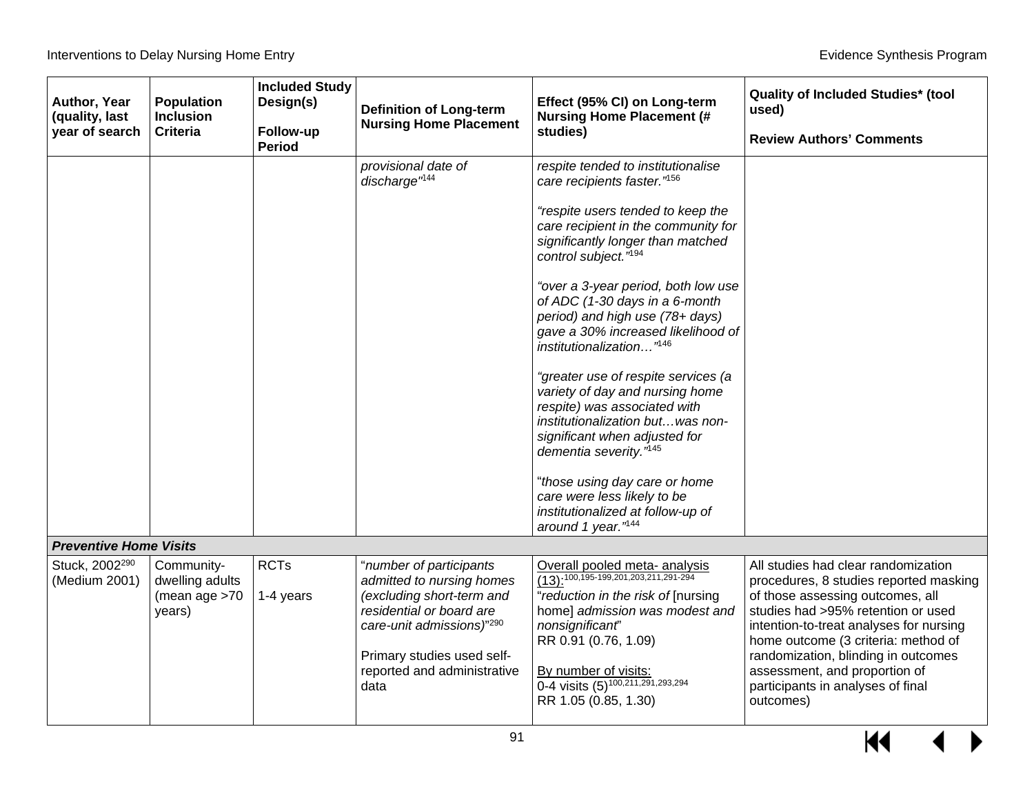| Author, Year<br>(quality, last<br>year of search | <b>Population</b><br><b>Inclusion</b><br><b>Criteria</b>   | <b>Included Study</b><br>Design(s)<br>Follow-up<br><b>Period</b> | <b>Definition of Long-term</b><br><b>Nursing Home Placement</b>                                                                                                                                                 | Effect (95% CI) on Long-term<br><b>Nursing Home Placement (#</b><br>studies)                                                                                                                                                                                                                                                                                                                                                                                                                                                                                                                                                                                                                                                                                      | <b>Quality of Included Studies* (tool</b><br>used)<br><b>Review Authors' Comments</b>                                                                                                                                                                                                                                                                               |
|--------------------------------------------------|------------------------------------------------------------|------------------------------------------------------------------|-----------------------------------------------------------------------------------------------------------------------------------------------------------------------------------------------------------------|-------------------------------------------------------------------------------------------------------------------------------------------------------------------------------------------------------------------------------------------------------------------------------------------------------------------------------------------------------------------------------------------------------------------------------------------------------------------------------------------------------------------------------------------------------------------------------------------------------------------------------------------------------------------------------------------------------------------------------------------------------------------|---------------------------------------------------------------------------------------------------------------------------------------------------------------------------------------------------------------------------------------------------------------------------------------------------------------------------------------------------------------------|
|                                                  |                                                            |                                                                  | provisional date of<br>discharge <sup>"144</sup>                                                                                                                                                                | respite tended to institutionalise<br>care recipients faster."156<br>"respite users tended to keep the<br>care recipient in the community for<br>significantly longer than matched<br>control subject." <sup>194</sup><br>"over a 3-year period, both low use<br>of ADC (1-30 days in a 6-month<br>period) and high use (78+ days)<br>gave a 30% increased likelihood of<br>institutionalization" <sup>146</sup><br>"greater use of respite services (a<br>variety of day and nursing home<br>respite) was associated with<br>institutionalization but was non-<br>significant when adjusted for<br>dementia severity."145<br>"those using day care or home<br>care were less likely to be<br>institutionalized at follow-up of<br>around 1 year." <sup>144</sup> |                                                                                                                                                                                                                                                                                                                                                                     |
| <b>Preventive Home Visits</b>                    |                                                            |                                                                  |                                                                                                                                                                                                                 |                                                                                                                                                                                                                                                                                                                                                                                                                                                                                                                                                                                                                                                                                                                                                                   |                                                                                                                                                                                                                                                                                                                                                                     |
| Stuck, 2002 <sup>290</sup><br>(Medium 2001)      | Community-<br>dwelling adults<br>(mean age $>70$<br>years) | <b>RCTs</b><br>1-4 years                                         | "number of participants<br>admitted to nursing homes<br>(excluding short-term and<br>residential or board are<br>care-unit admissions)"290<br>Primary studies used self-<br>reported and administrative<br>data | Overall pooled meta- analysis<br>$\frac{1}{(13)!^{100,195\cdot 199,201,203,211,291\cdot 294}}$<br>"reduction in the risk of [nursing<br>home] admission was modest and<br>nonsignificant'<br>RR 0.91 (0.76, 1.09)<br>By number of visits:<br>0-4 visits (5) <sup>100,211,291</sup> ,293,294<br>RR 1.05 (0.85, 1.30)                                                                                                                                                                                                                                                                                                                                                                                                                                               | All studies had clear randomization<br>procedures, 8 studies reported masking<br>of those assessing outcomes, all<br>studies had >95% retention or used<br>intention-to-treat analyses for nursing<br>home outcome (3 criteria: method of<br>randomization, blinding in outcomes<br>assessment, and proportion of<br>participants in analyses of final<br>outcomes) |

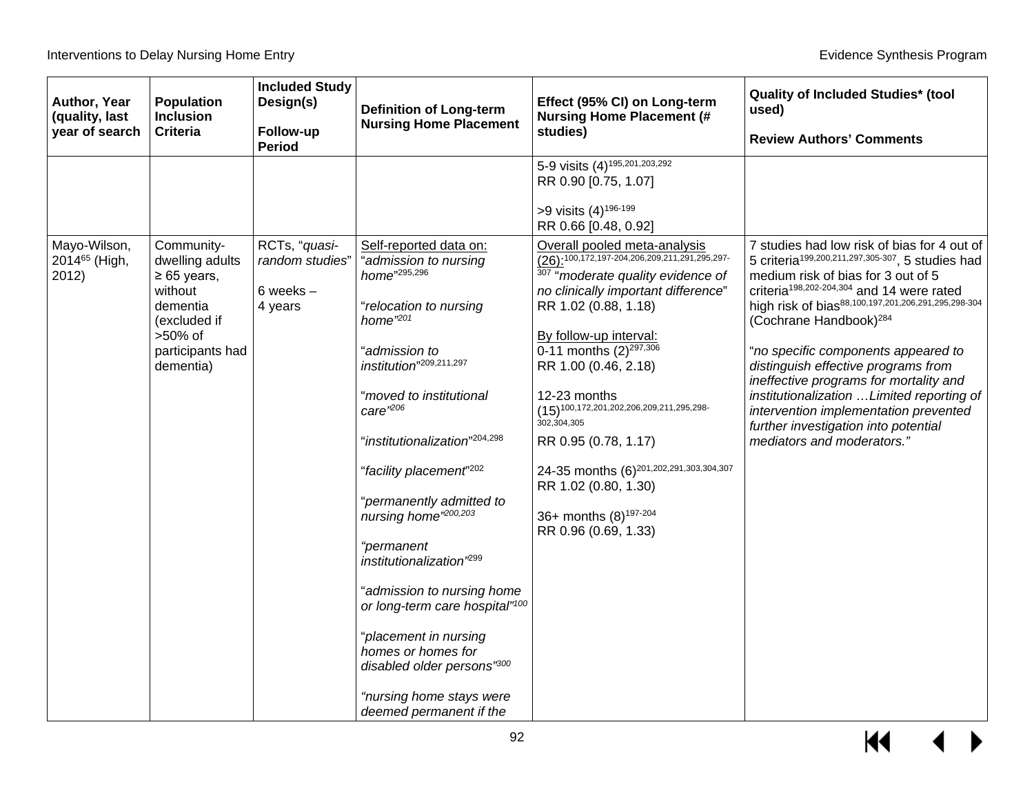| Author, Year<br><b>Population</b><br>(quality, last<br><b>Inclusion</b><br>year of search<br><b>Criteria</b> | <b>Included Study</b><br>Design(s)<br>Follow-up<br><b>Period</b> | <b>Definition of Long-term</b><br><b>Nursing Home Placement</b>                                                                                                                                                                                                                                                                                                                                                                                                                                                         | Effect (95% CI) on Long-term<br><b>Nursing Home Placement (#</b><br>studies)                                                                                                                                                                                                                                                                                                                                                          | <b>Quality of Included Studies* (tool</b><br>used)<br><b>Review Authors' Comments</b>                                                                                                                                                                                                                                                                                                                                                                                         |
|--------------------------------------------------------------------------------------------------------------|------------------------------------------------------------------|-------------------------------------------------------------------------------------------------------------------------------------------------------------------------------------------------------------------------------------------------------------------------------------------------------------------------------------------------------------------------------------------------------------------------------------------------------------------------------------------------------------------------|---------------------------------------------------------------------------------------------------------------------------------------------------------------------------------------------------------------------------------------------------------------------------------------------------------------------------------------------------------------------------------------------------------------------------------------|-------------------------------------------------------------------------------------------------------------------------------------------------------------------------------------------------------------------------------------------------------------------------------------------------------------------------------------------------------------------------------------------------------------------------------------------------------------------------------|
| Mayo-Wilson,<br>Community-<br>2014 <sup>65</sup> (High,<br>dwelling adults                                   | RCTs, "quasi-<br>random studies"                                 | Self-reported data on:<br>admission to nursing<br>home"295,296                                                                                                                                                                                                                                                                                                                                                                                                                                                          | 5-9 visits (4) <sup>195,201,203,292</sup><br>RR 0.90 [0.75, 1.07]<br>>9 visits (4) <sup>196-199</sup><br>RR 0.66 [0.48, 0.92]<br>Overall pooled meta-analysis<br>$\overline{(26)!^{100,172,197\cdot 204,206,209,211,291,295,297}}$                                                                                                                                                                                                    | 7 studies had low risk of bias for 4 out of<br>5 criteria <sup>199,200,211,297,305-307</sup> , 5 studies had                                                                                                                                                                                                                                                                                                                                                                  |
| 2012)<br>$\geq 65$ years,<br>without<br>dementia<br>(excluded if<br>>50% of<br>participants had<br>dementia) | 6 weeks $-$<br>4 years                                           | relocation to nursing<br>home $"201$<br>'admission to<br>institution"209,211,297<br>"moved to institutional<br>$care'$ <sup>206</sup><br>"institutionalization" <sup>204,298</sup><br>"facility placement" <sup>202</sup><br>"permanently admitted to<br>nursing home <sup>"200,203</sup><br>"permanent<br>institutionalization <sup>'299</sup><br>admission to nursing home<br>or long-term care hospital"100<br>"placement in nursing<br>homes or homes for<br>disabled older persons"300<br>"nursing home stays were | 307 "moderate quality evidence of<br>no clinically important difference"<br>RR 1.02 (0.88, 1.18)<br>By follow-up interval:<br>0-11 months $(2)^{297,306}$<br>RR 1.00 (0.46, 2.18)<br>12-23 months<br>$(15)^{100,172,201,202,206,209,211,295,298-}$<br>302,304,305<br>RR 0.95 (0.78, 1.17)<br>24-35 months (6) <sup>201,202,291,303,304,307</sup><br>RR 1.02 (0.80, 1.30)<br>36+ months (8) <sup>197-204</sup><br>RR 0.96 (0.69, 1.33) | medium risk of bias for 3 out of 5<br>criteria <sup>198,202-204,304</sup> and 14 were rated<br>high risk of bias88,100,197,201,206,291,295,298-304<br>(Cochrane Handbook) <sup>284</sup><br>"no specific components appeared to<br>distinguish effective programs from<br>ineffective programs for mortality and<br>institutionalization  Limited reporting of<br>intervention implementation prevented<br>further investigation into potential<br>mediators and moderators." |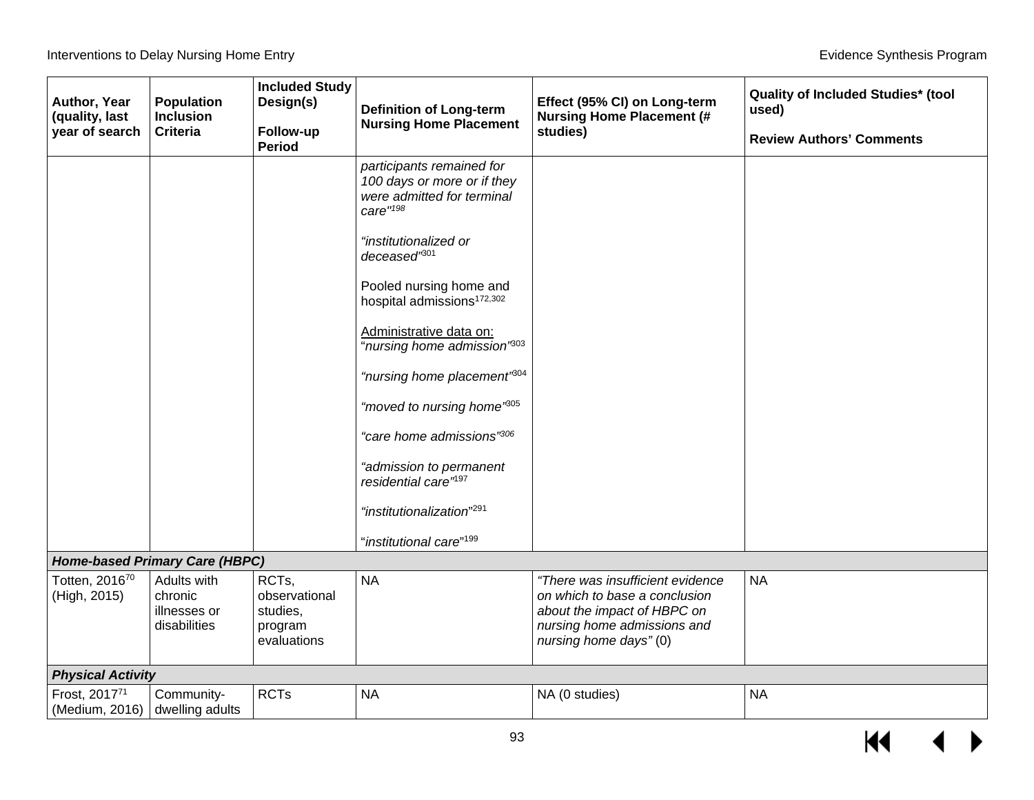| Author, Year<br>(quality, last  | <b>Population</b><br><b>Inclusion</b>                  | <b>Included Study</b><br>Design(s)                                      | <b>Definition of Long-term</b><br><b>Nursing Home Placement</b>                                                                                                                                                              | Effect (95% CI) on Long-term<br><b>Nursing Home Placement (#</b>                                                                                          | <b>Quality of Included Studies* (tool</b><br>used) |
|---------------------------------|--------------------------------------------------------|-------------------------------------------------------------------------|------------------------------------------------------------------------------------------------------------------------------------------------------------------------------------------------------------------------------|-----------------------------------------------------------------------------------------------------------------------------------------------------------|----------------------------------------------------|
| year of search                  | <b>Criteria</b>                                        | Follow-up<br><b>Period</b>                                              |                                                                                                                                                                                                                              | studies)                                                                                                                                                  | <b>Review Authors' Comments</b>                    |
|                                 |                                                        |                                                                         | participants remained for<br>100 days or more or if they<br>were admitted for terminal<br>care"198<br>"institutionalized or<br>deceased <sup>'801</sup><br>Pooled nursing home and<br>hospital admissions <sup>172,302</sup> |                                                                                                                                                           |                                                    |
|                                 |                                                        |                                                                         | Administrative data on:<br>"nursing home admission" <sup>803</sup>                                                                                                                                                           |                                                                                                                                                           |                                                    |
|                                 |                                                        |                                                                         | "nursing home placement"804                                                                                                                                                                                                  |                                                                                                                                                           |                                                    |
|                                 |                                                        |                                                                         | "moved to nursing home"805                                                                                                                                                                                                   |                                                                                                                                                           |                                                    |
|                                 |                                                        |                                                                         | "care home admissions"306                                                                                                                                                                                                    |                                                                                                                                                           |                                                    |
|                                 |                                                        |                                                                         | "admission to permanent<br>residential care" <sup>197</sup>                                                                                                                                                                  |                                                                                                                                                           |                                                    |
|                                 |                                                        |                                                                         | "institutionalization" <sup>291</sup>                                                                                                                                                                                        |                                                                                                                                                           |                                                    |
|                                 |                                                        |                                                                         | "institutional care" <sup>199</sup>                                                                                                                                                                                          |                                                                                                                                                           |                                                    |
|                                 | <b>Home-based Primary Care (HBPC)</b>                  |                                                                         |                                                                                                                                                                                                                              |                                                                                                                                                           |                                                    |
| Totten, 201670<br>(High, 2015)  | Adults with<br>chronic<br>illnesses or<br>disabilities | RCT <sub>s</sub><br>observational<br>studies,<br>program<br>evaluations | <b>NA</b>                                                                                                                                                                                                                    | "There was insufficient evidence<br>on which to base a conclusion<br>about the impact of HBPC on<br>nursing home admissions and<br>nursing home days" (0) | <b>NA</b>                                          |
| <b>Physical Activity</b>        |                                                        |                                                                         |                                                                                                                                                                                                                              |                                                                                                                                                           |                                                    |
| Frost, 201771<br>(Medium, 2016) | Community-<br>dwelling adults                          | <b>RCTs</b>                                                             | <b>NA</b>                                                                                                                                                                                                                    | NA (0 studies)                                                                                                                                            | <b>NA</b>                                          |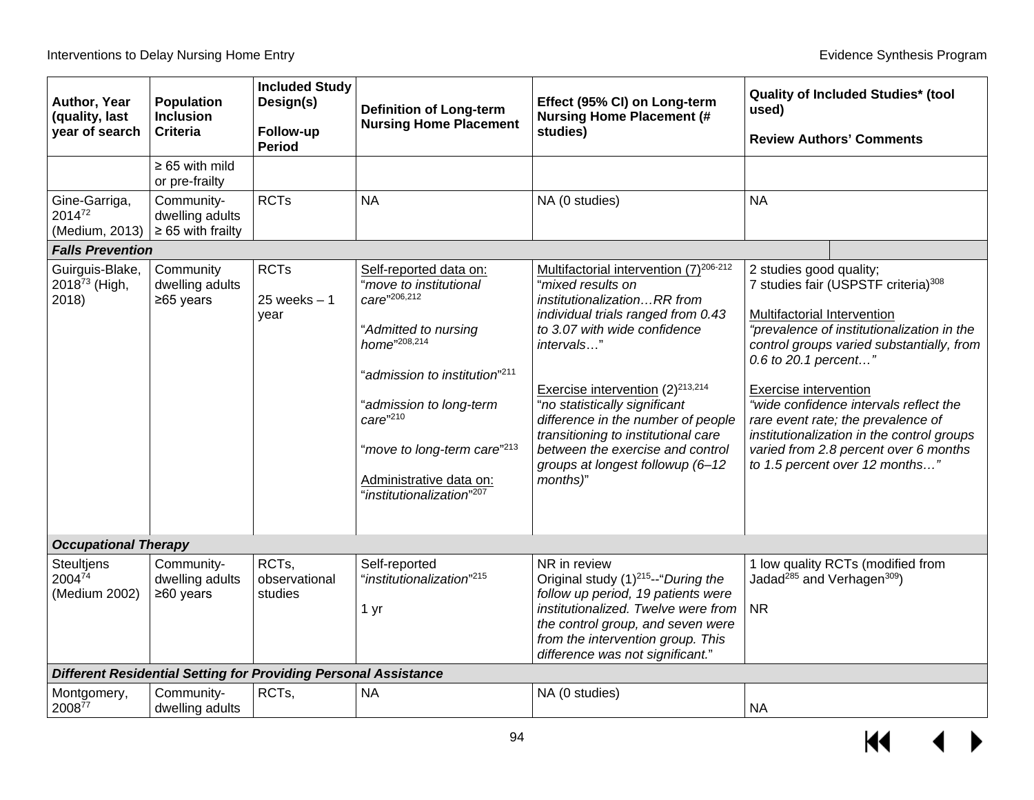| Author, Year<br>(quality, last<br>year of search  | <b>Population</b><br><b>Inclusion</b><br><b>Criteria</b> | <b>Included Study</b><br>Design(s)<br>Follow-up<br><b>Period</b>       | <b>Definition of Long-term</b><br><b>Nursing Home Placement</b>                                                                                                                                                                                                                                             | Effect (95% CI) on Long-term<br><b>Nursing Home Placement (#</b><br>studies)                                                                                                                                                                                                                                                                                                                                                          | used)                                                                                                   | <b>Quality of Included Studies* (tool</b><br><b>Review Authors' Comments</b>                                                                                                                                                                                                                                                                        |
|---------------------------------------------------|----------------------------------------------------------|------------------------------------------------------------------------|-------------------------------------------------------------------------------------------------------------------------------------------------------------------------------------------------------------------------------------------------------------------------------------------------------------|---------------------------------------------------------------------------------------------------------------------------------------------------------------------------------------------------------------------------------------------------------------------------------------------------------------------------------------------------------------------------------------------------------------------------------------|---------------------------------------------------------------------------------------------------------|-----------------------------------------------------------------------------------------------------------------------------------------------------------------------------------------------------------------------------------------------------------------------------------------------------------------------------------------------------|
|                                                   | $\geq 65$ with mild<br>or pre-frailty                    |                                                                        |                                                                                                                                                                                                                                                                                                             |                                                                                                                                                                                                                                                                                                                                                                                                                                       |                                                                                                         |                                                                                                                                                                                                                                                                                                                                                     |
| Gine-Garriga,<br>201472<br>(Medium, 2013)         | Community-<br>dwelling adults<br>$\geq 65$ with frailty  | <b>RCTs</b>                                                            | <b>NA</b>                                                                                                                                                                                                                                                                                                   | NA (0 studies)                                                                                                                                                                                                                                                                                                                                                                                                                        | <b>NA</b>                                                                                               |                                                                                                                                                                                                                                                                                                                                                     |
| <b>Falls Prevention</b>                           |                                                          |                                                                        |                                                                                                                                                                                                                                                                                                             |                                                                                                                                                                                                                                                                                                                                                                                                                                       |                                                                                                         |                                                                                                                                                                                                                                                                                                                                                     |
| Guirguis-Blake,<br>$2018^{73}$ (High,<br>2018     | Community<br>dwelling adults<br>≥65 years                | <b>RCTs</b><br>$25$ weeks $-1$<br>year                                 | Self-reported data on:<br>"move to institutional<br>care"206,212<br>"Admitted to nursing<br>home"208,214<br>"admission to institution" <sup>211</sup><br>"admission to long-term<br>care"210<br>"move to long-term care" <sup>213</sup><br>Administrative data on:<br>"institutionalization" <sup>207</sup> | Multifactorial intervention (7) <sup>206-212</sup><br>"mixed results on<br>institutionalizationRR from<br>individual trials ranged from 0.43<br>to 3.07 with wide confidence<br>intervals"<br>Exercise intervention $(2)^{213,214}$<br>"no statistically significant<br>difference in the number of people<br>transitioning to institutional care<br>between the exercise and control<br>groups at longest followup (6-12<br>months)" | 2 studies good quality;<br>Multifactorial Intervention<br>0.6 to 20.1 percent"<br>Exercise intervention | 7 studies fair (USPSTF criteria) <sup>308</sup><br>"prevalence of institutionalization in the<br>control groups varied substantially, from<br>"wide confidence intervals reflect the<br>rare event rate; the prevalence of<br>institutionalization in the control groups<br>varied from 2.8 percent over 6 months<br>to 1.5 percent over 12 months" |
| <b>Occupational Therapy</b>                       |                                                          |                                                                        |                                                                                                                                                                                                                                                                                                             |                                                                                                                                                                                                                                                                                                                                                                                                                                       |                                                                                                         |                                                                                                                                                                                                                                                                                                                                                     |
| <b>Steultjens</b><br>$2004^{74}$<br>(Medium 2002) | Community-<br>dwelling adults<br>$≥60$ years             | RCTs,<br>observational<br>studies                                      | Self-reported<br>"institutionalization" <sup>215</sup><br>1 yr                                                                                                                                                                                                                                              | NR in review<br>Original study (1) <sup>215</sup> --"During the<br>follow up period, 19 patients were<br>institutionalized. Twelve were from<br>the control group, and seven were<br>from the intervention group. This<br>difference was not significant."                                                                                                                                                                            | Jadad <sup>285</sup> and Verhagen <sup>309</sup> )<br><b>NR</b>                                         | 1 low quality RCTs (modified from                                                                                                                                                                                                                                                                                                                   |
|                                                   |                                                          | <b>Different Residential Setting for Providing Personal Assistance</b> |                                                                                                                                                                                                                                                                                                             |                                                                                                                                                                                                                                                                                                                                                                                                                                       |                                                                                                         |                                                                                                                                                                                                                                                                                                                                                     |
| Montgomery,<br>$2008^{77}$                        | Community-<br>dwelling adults                            | RCTs,                                                                  | <b>NA</b>                                                                                                                                                                                                                                                                                                   | NA (0 studies)                                                                                                                                                                                                                                                                                                                                                                                                                        | <b>NA</b>                                                                                               |                                                                                                                                                                                                                                                                                                                                                     |

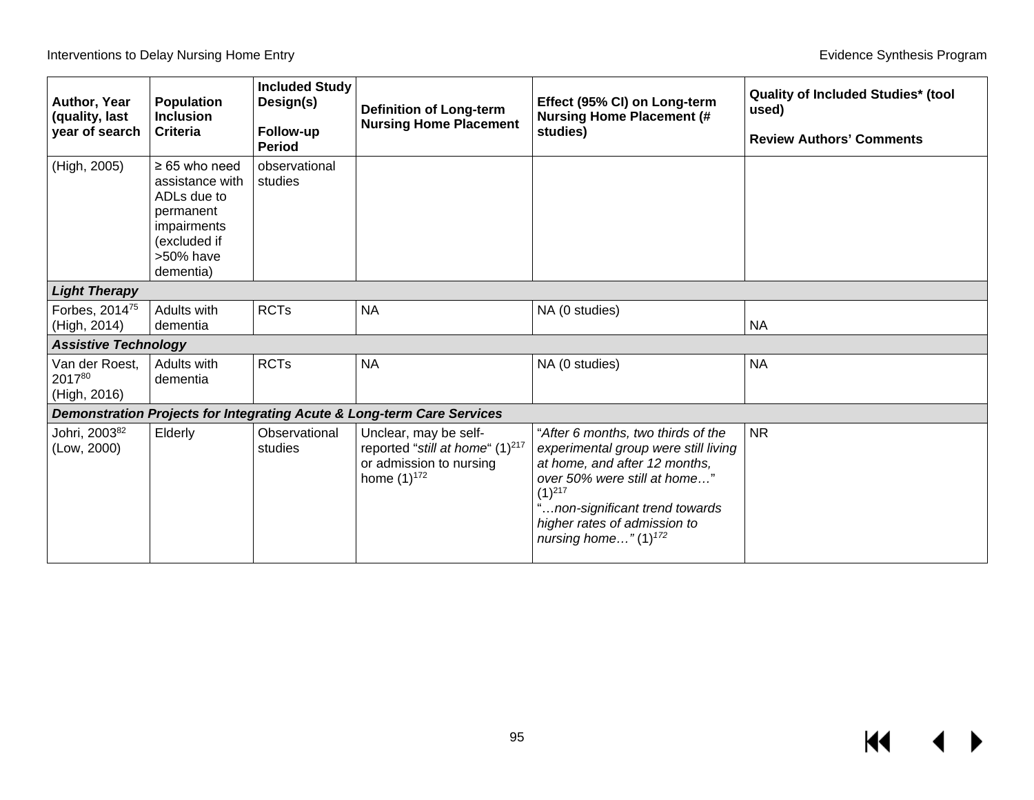| Author, Year<br>(quality, last<br>year of search | Population<br><b>Inclusion</b><br><b>Criteria</b>                                                                          | <b>Included Study</b><br>Design(s)<br>Follow-up<br><b>Period</b> | <b>Definition of Long-term</b><br><b>Nursing Home Placement</b>                                                     | Effect (95% CI) on Long-term<br><b>Nursing Home Placement (#</b><br>studies)                                                                                                                                                                             | <b>Quality of Included Studies* (tool</b><br>used)<br><b>Review Authors' Comments</b> |
|--------------------------------------------------|----------------------------------------------------------------------------------------------------------------------------|------------------------------------------------------------------|---------------------------------------------------------------------------------------------------------------------|----------------------------------------------------------------------------------------------------------------------------------------------------------------------------------------------------------------------------------------------------------|---------------------------------------------------------------------------------------|
| (High, 2005)                                     | $\geq 65$ who need<br>assistance with<br>ADLs due to<br>permanent<br>impairments<br>(excluded if<br>>50% have<br>dementia) | observational<br>studies                                         |                                                                                                                     |                                                                                                                                                                                                                                                          |                                                                                       |
| <b>Light Therapy</b>                             |                                                                                                                            |                                                                  |                                                                                                                     |                                                                                                                                                                                                                                                          |                                                                                       |
| Forbes, 2014 <sup>75</sup><br>(High, 2014)       | Adults with<br>dementia                                                                                                    | <b>RCTs</b>                                                      | <b>NA</b>                                                                                                           | NA (0 studies)                                                                                                                                                                                                                                           | <b>NA</b>                                                                             |
| <b>Assistive Technology</b>                      |                                                                                                                            |                                                                  |                                                                                                                     |                                                                                                                                                                                                                                                          |                                                                                       |
| Van der Roest,<br>201780<br>(High, 2016)         | Adults with<br>dementia                                                                                                    | <b>RCTs</b>                                                      | <b>NA</b>                                                                                                           | NA (0 studies)                                                                                                                                                                                                                                           | <b>NA</b>                                                                             |
|                                                  |                                                                                                                            |                                                                  | Demonstration Projects for Integrating Acute & Long-term Care Services                                              |                                                                                                                                                                                                                                                          |                                                                                       |
| Johri, 200382<br>(Low, 2000)                     | Elderly                                                                                                                    | Observational<br>studies                                         | Unclear, may be self-<br>reported "still at home" (1) <sup>217</sup><br>or admission to nursing<br>home $(1)^{172}$ | "After 6 months, two thirds of the<br>experimental group were still living<br>at home, and after 12 months,<br>over 50% were still at home"<br>$(1)^{217}$<br>non-significant trend towards<br>higher rates of admission to<br>nursing home" $(1)^{172}$ | <b>NR</b>                                                                             |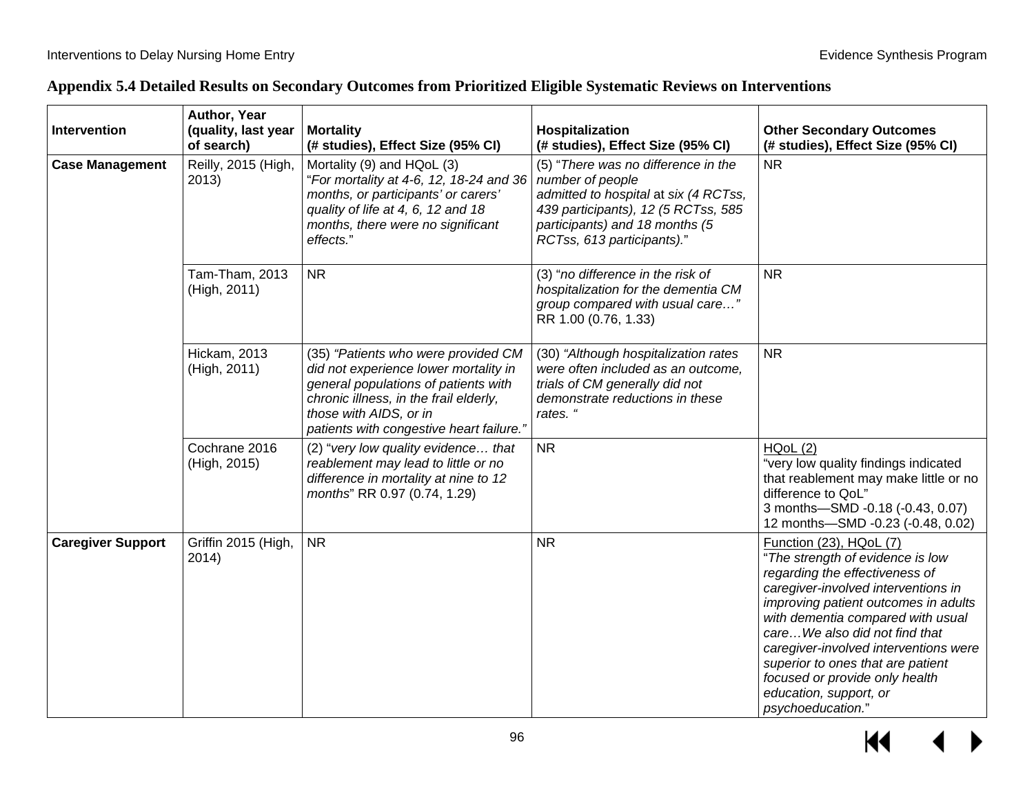| Appendix 5.4 Detailed Results on Secondary Outcomes from Prioritized Eligible Systematic Reviews on Interventions |  |  |  |
|-------------------------------------------------------------------------------------------------------------------|--|--|--|
|                                                                                                                   |  |  |  |

| Intervention             | Author, Year<br>(quality, last year<br>of search) | <b>Mortality</b><br>(# studies), Effect Size (95% CI)                                                                                                                                                                                | Hospitalization<br>(# studies), Effect Size (95% CI)                                                                                                                                                    | <b>Other Secondary Outcomes</b><br>(# studies), Effect Size (95% CI)                                                                                                                                                                                                                                                                                                                                              |
|--------------------------|---------------------------------------------------|--------------------------------------------------------------------------------------------------------------------------------------------------------------------------------------------------------------------------------------|---------------------------------------------------------------------------------------------------------------------------------------------------------------------------------------------------------|-------------------------------------------------------------------------------------------------------------------------------------------------------------------------------------------------------------------------------------------------------------------------------------------------------------------------------------------------------------------------------------------------------------------|
| <b>Case Management</b>   | Reilly, 2015 (High,<br>2013)                      | Mortality (9) and HQoL (3)<br>"For mortality at 4-6, 12, 18-24 and 36<br>months, or participants' or carers'<br>quality of life at 4, 6, 12 and 18<br>months, there were no significant<br>effects."                                 | (5) "There was no difference in the<br>number of people<br>admitted to hospital at six (4 RCTss,<br>439 participants), 12 (5 RCTss, 585<br>participants) and 18 months (5<br>RCTss, 613 participants)." | <b>NR</b>                                                                                                                                                                                                                                                                                                                                                                                                         |
|                          | Tam-Tham, 2013<br>(High, 2011)                    | <b>NR</b>                                                                                                                                                                                                                            | (3) "no difference in the risk of<br>hospitalization for the dementia CM<br>group compared with usual care"<br>RR 1.00 (0.76, 1.33)                                                                     | <b>NR</b>                                                                                                                                                                                                                                                                                                                                                                                                         |
|                          | Hickam, 2013<br>(High, 2011)                      | (35) "Patients who were provided CM<br>did not experience lower mortality in<br>general populations of patients with<br>chronic illness, in the frail elderly,<br>those with AIDS, or in<br>patients with congestive heart failure." | (30) "Although hospitalization rates<br>were often included as an outcome,<br>trials of CM generally did not<br>demonstrate reductions in these<br>rates. '                                             | <b>NR</b>                                                                                                                                                                                                                                                                                                                                                                                                         |
|                          | Cochrane 2016<br>(High, 2015)                     | (2) "very low quality evidence that<br>reablement may lead to little or no<br>difference in mortality at nine to 12<br>months" RR 0.97 (0.74, 1.29)                                                                                  | <b>NR</b>                                                                                                                                                                                               | HQoL(2)<br>"very low quality findings indicated<br>that reablement may make little or no<br>difference to QoL"<br>3 months-SMD -0.18 (-0.43, 0.07)<br>12 months-SMD -0.23 (-0.48, 0.02)                                                                                                                                                                                                                           |
| <b>Caregiver Support</b> | Griffin 2015 (High,<br>2014)                      | <b>NR</b>                                                                                                                                                                                                                            | <b>NR</b>                                                                                                                                                                                               | Function (23), HQoL (7)<br>"The strength of evidence is low<br>regarding the effectiveness of<br>caregiver-involved interventions in<br>improving patient outcomes in adults<br>with dementia compared with usual<br>careWe also did not find that<br>caregiver-involved interventions were<br>superior to ones that are patient<br>focused or provide only health<br>education, support, or<br>psychoeducation." |

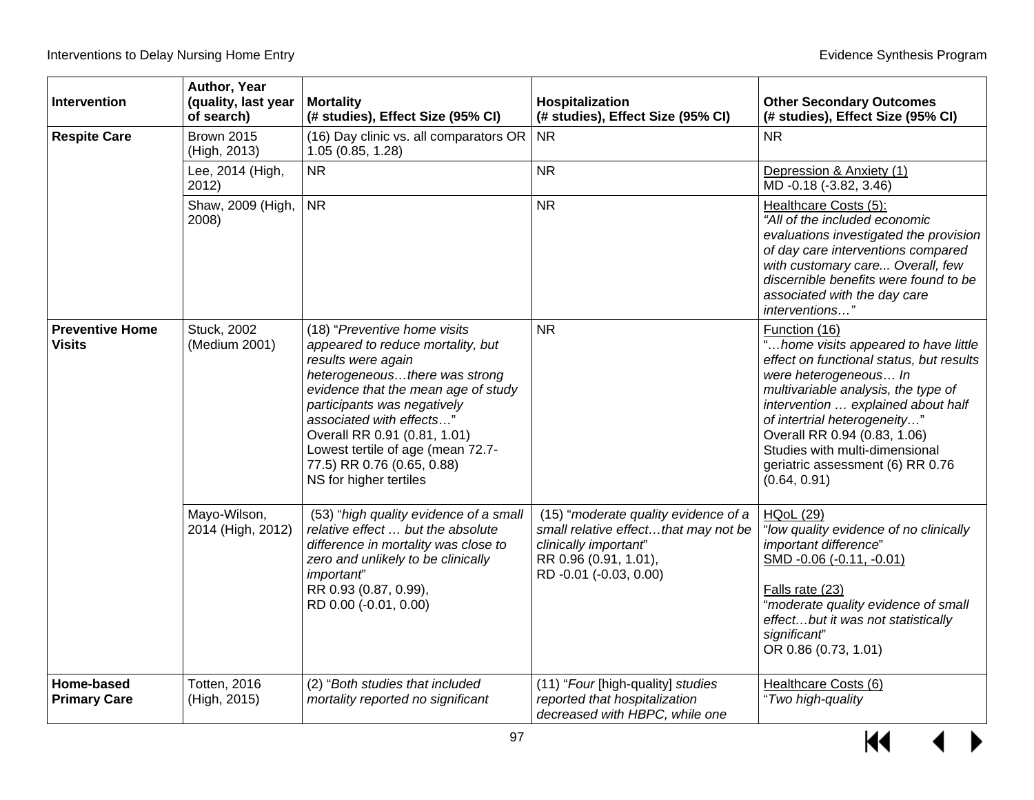| Intervention                            | Author, Year<br>(quality, last year<br>of search) | <b>Mortality</b><br>(# studies), Effect Size (95% CI)                                                                                                                                                                                                                                                                                                   | Hospitalization<br>(# studies), Effect Size (95% CI)                                                                                                     | <b>Other Secondary Outcomes</b><br>(# studies), Effect Size (95% CI)                                                                                                                                                                                                                                                                                          |
|-----------------------------------------|---------------------------------------------------|---------------------------------------------------------------------------------------------------------------------------------------------------------------------------------------------------------------------------------------------------------------------------------------------------------------------------------------------------------|----------------------------------------------------------------------------------------------------------------------------------------------------------|---------------------------------------------------------------------------------------------------------------------------------------------------------------------------------------------------------------------------------------------------------------------------------------------------------------------------------------------------------------|
| <b>Respite Care</b>                     | <b>Brown 2015</b><br>(High, 2013)                 | (16) Day clinic vs. all comparators OR<br>1.05 (0.85, 1.28)                                                                                                                                                                                                                                                                                             | <b>NR</b>                                                                                                                                                | <b>NR</b>                                                                                                                                                                                                                                                                                                                                                     |
|                                         | Lee, 2014 (High,<br>2012)                         | <b>NR</b>                                                                                                                                                                                                                                                                                                                                               | <b>NR</b>                                                                                                                                                | Depression & Anxiety (1)<br>$\overline{MD}$ -0.18 (-3.82, 3.46)                                                                                                                                                                                                                                                                                               |
|                                         | Shaw, 2009 (High,<br>2008)                        | <b>NR</b>                                                                                                                                                                                                                                                                                                                                               | <b>NR</b>                                                                                                                                                | Healthcare Costs (5):<br>"All of the included economic<br>evaluations investigated the provision<br>of day care interventions compared<br>with customary care Overall, few<br>discernible benefits were found to be<br>associated with the day care<br>interventions"                                                                                         |
| <b>Preventive Home</b><br><b>Visits</b> | <b>Stuck, 2002</b><br>(Medium 2001)               | (18) "Preventive home visits<br>appeared to reduce mortality, but<br>results were again<br>heterogeneousthere was strong<br>evidence that the mean age of study<br>participants was negatively<br>associated with effects"<br>Overall RR 0.91 (0.81, 1.01)<br>Lowest tertile of age (mean 72.7-<br>77.5) RR 0.76 (0.65, 0.88)<br>NS for higher tertiles | <b>NR</b>                                                                                                                                                | Function (16)<br>"home visits appeared to have little<br>effect on functional status, but results<br>were heterogeneous In<br>multivariable analysis, the type of<br>intervention  explained about half<br>of intertrial heterogeneity"<br>Overall RR 0.94 (0.83, 1.06)<br>Studies with multi-dimensional<br>geriatric assessment (6) RR 0.76<br>(0.64, 0.91) |
|                                         | Mayo-Wilson,<br>2014 (High, 2012)                 | (53) "high quality evidence of a small<br>relative effect  but the absolute<br>difference in mortality was close to<br>zero and unlikely to be clinically<br>important'<br>RR 0.93 (0.87, 0.99),<br>RD 0.00 (-0.01, 0.00)                                                                                                                               | (15) "moderate quality evidence of a<br>small relative effectthat may not be<br>clinically important"<br>RR 0.96 (0.91, 1.01),<br>RD -0.01 (-0.03, 0.00) | <b>HQoL (29)</b><br>"low quality evidence of no clinically<br>important difference"<br>SMD -0.06 (-0.11, -0.01)<br>Falls rate (23)<br>"moderate quality evidence of small<br>effectbut it was not statistically<br>significant'<br>OR 0.86 (0.73, 1.01)                                                                                                       |
| Home-based<br><b>Primary Care</b>       | <b>Totten, 2016</b><br>(High, 2015)               | (2) "Both studies that included<br>mortality reported no significant                                                                                                                                                                                                                                                                                    | (11) "Four [high-quality] studies<br>reported that hospitalization<br>decreased with HBPC, while one                                                     | Healthcare Costs (6)<br>"Two high-quality                                                                                                                                                                                                                                                                                                                     |

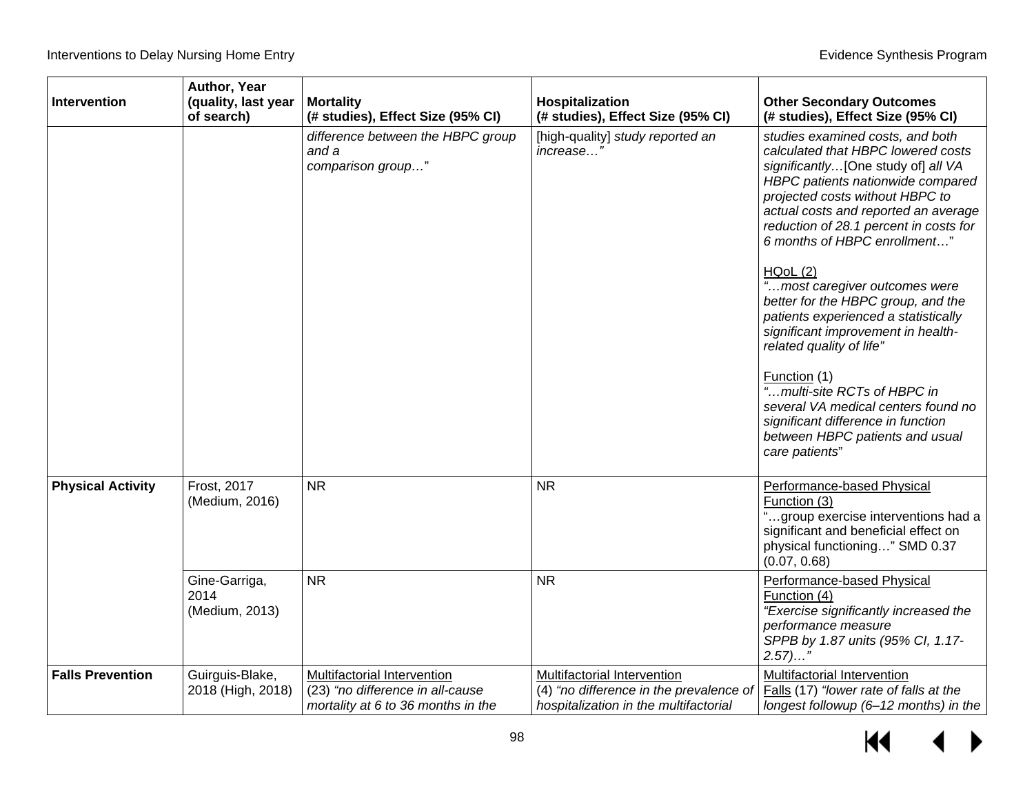| Intervention             | Author, Year<br>(quality, last year<br>of search) | <b>Mortality</b><br>(# studies), Effect Size (95% CI)                                                 | Hospitalization<br>(# studies), Effect Size (95% CI)                                                                         | <b>Other Secondary Outcomes</b><br>(# studies), Effect Size (95% CI)                                                                                                                                                                                                                                                                                                                                                                                                                                                                                                                                                                                                                |
|--------------------------|---------------------------------------------------|-------------------------------------------------------------------------------------------------------|------------------------------------------------------------------------------------------------------------------------------|-------------------------------------------------------------------------------------------------------------------------------------------------------------------------------------------------------------------------------------------------------------------------------------------------------------------------------------------------------------------------------------------------------------------------------------------------------------------------------------------------------------------------------------------------------------------------------------------------------------------------------------------------------------------------------------|
|                          |                                                   | difference between the HBPC group<br>and a<br>comparison group"                                       | [high-quality] study reported an<br>increase"                                                                                | studies examined costs, and both<br>calculated that HBPC lowered costs<br>significantly[One study of] all VA<br>HBPC patients nationwide compared<br>projected costs without HBPC to<br>actual costs and reported an average<br>reduction of 28.1 percent in costs for<br>6 months of HBPC enrollment"<br>HQoL(2)<br>"most caregiver outcomes were<br>better for the HBPC group, and the<br>patients experienced a statistically<br>significant improvement in health-<br>related quality of life"<br>Function (1)<br>"multi-site RCTs of HBPC in<br>several VA medical centers found no<br>significant difference in function<br>between HBPC patients and usual<br>care patients" |
| <b>Physical Activity</b> | Frost, 2017<br>(Medium, 2016)                     | <b>NR</b>                                                                                             | <b>NR</b>                                                                                                                    | Performance-based Physical<br>Function (3)<br>"group exercise interventions had a<br>significant and beneficial effect on<br>physical functioning" SMD 0.37<br>(0.07, 0.68)                                                                                                                                                                                                                                                                                                                                                                                                                                                                                                         |
|                          | Gine-Garriga,<br>2014<br>(Medium, 2013)           | <b>NR</b>                                                                                             | <b>NR</b>                                                                                                                    | Performance-based Physical<br>Function (4)<br>"Exercise significantly increased the<br>performance measure<br>SPPB by 1.87 units (95% Cl, 1.17-<br>$2.57)$ "                                                                                                                                                                                                                                                                                                                                                                                                                                                                                                                        |
| <b>Falls Prevention</b>  | Guirguis-Blake,<br>2018 (High, 2018)              | Multifactorial Intervention<br>(23) "no difference in all-cause<br>mortality at 6 to 36 months in the | Multifactorial Intervention<br>$\overline{(4)}$ "no difference in the prevalence of<br>hospitalization in the multifactorial | Multifactorial Intervention<br>Falls (17) "lower rate of falls at the<br>longest followup (6-12 months) in the                                                                                                                                                                                                                                                                                                                                                                                                                                                                                                                                                                      |